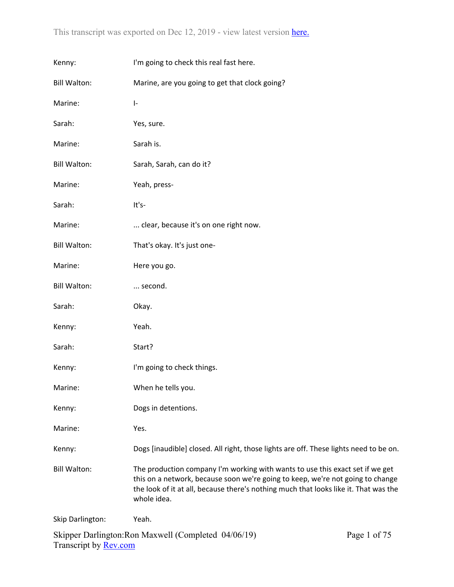| Kenny:              | I'm going to check this real fast here.                                                                                                                                                                                                                                |  |
|---------------------|------------------------------------------------------------------------------------------------------------------------------------------------------------------------------------------------------------------------------------------------------------------------|--|
| <b>Bill Walton:</b> | Marine, are you going to get that clock going?                                                                                                                                                                                                                         |  |
| Marine:             | $\left\vert -\right\rangle$                                                                                                                                                                                                                                            |  |
| Sarah:              | Yes, sure.                                                                                                                                                                                                                                                             |  |
| Marine:             | Sarah is.                                                                                                                                                                                                                                                              |  |
| <b>Bill Walton:</b> | Sarah, Sarah, can do it?                                                                                                                                                                                                                                               |  |
| Marine:             | Yeah, press-                                                                                                                                                                                                                                                           |  |
| Sarah:              | It's-                                                                                                                                                                                                                                                                  |  |
| Marine:             | clear, because it's on one right now.                                                                                                                                                                                                                                  |  |
| <b>Bill Walton:</b> | That's okay. It's just one-                                                                                                                                                                                                                                            |  |
| Marine:             | Here you go.                                                                                                                                                                                                                                                           |  |
| <b>Bill Walton:</b> | second.                                                                                                                                                                                                                                                                |  |
| Sarah:              | Okay.                                                                                                                                                                                                                                                                  |  |
| Kenny:              | Yeah.                                                                                                                                                                                                                                                                  |  |
| Sarah:              | Start?                                                                                                                                                                                                                                                                 |  |
| Kenny:              | I'm going to check things.                                                                                                                                                                                                                                             |  |
| Marine:             | When he tells you.                                                                                                                                                                                                                                                     |  |
| Kenny:              | Dogs in detentions.                                                                                                                                                                                                                                                    |  |
| Marine:             | Yes.                                                                                                                                                                                                                                                                   |  |
| Kenny:              | Dogs [inaudible] closed. All right, those lights are off. These lights need to be on.                                                                                                                                                                                  |  |
| <b>Bill Walton:</b> | The production company I'm working with wants to use this exact set if we get<br>this on a network, because soon we're going to keep, we're not going to change<br>the look of it at all, because there's nothing much that looks like it. That was the<br>whole idea. |  |
| Skip Darlington:    | Yeah.                                                                                                                                                                                                                                                                  |  |
|                     |                                                                                                                                                                                                                                                                        |  |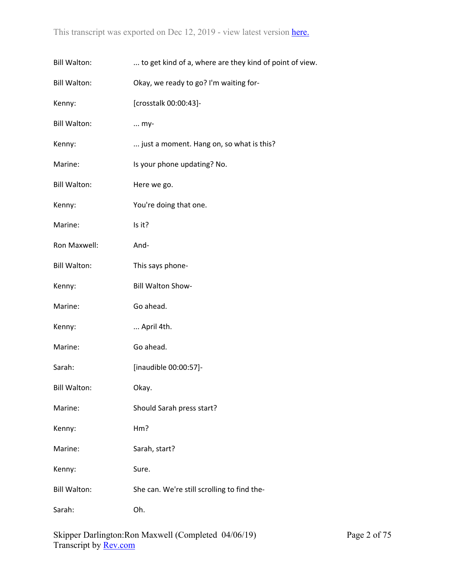| <b>Bill Walton:</b> | to get kind of a, where are they kind of point of view. |
|---------------------|---------------------------------------------------------|
| <b>Bill Walton:</b> | Okay, we ready to go? I'm waiting for-                  |
| Kenny:              | [crosstalk 00:00:43]-                                   |
| <b>Bill Walton:</b> | $\ldots$ my-                                            |
| Kenny:              | just a moment. Hang on, so what is this?                |
| Marine:             | Is your phone updating? No.                             |
| <b>Bill Walton:</b> | Here we go.                                             |
| Kenny:              | You're doing that one.                                  |
| Marine:             | Is it?                                                  |
| Ron Maxwell:        | And-                                                    |
| <b>Bill Walton:</b> | This says phone-                                        |
| Kenny:              | Bill Walton Show-                                       |
| Marine:             | Go ahead.                                               |
| Kenny:              | April 4th.                                              |
| Marine:             | Go ahead.                                               |
| Sarah:              | [inaudible 00:00:57]-                                   |
| <b>Bill Walton:</b> | Okay.                                                   |
| Marine:             | Should Sarah press start?                               |
| Kenny:              | Hm?                                                     |
| Marine:             | Sarah, start?                                           |
| Kenny:              | Sure.                                                   |
| <b>Bill Walton:</b> | She can. We're still scrolling to find the-             |
| Sarah:              | Oh.                                                     |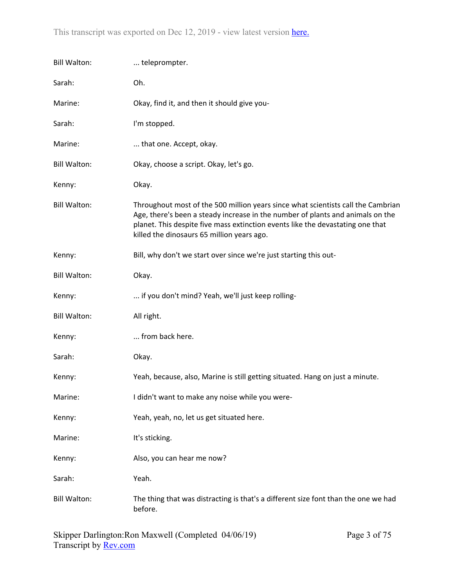| <b>Bill Walton:</b> | teleprompter.                                                                                                                                                                                                                                                                                      |
|---------------------|----------------------------------------------------------------------------------------------------------------------------------------------------------------------------------------------------------------------------------------------------------------------------------------------------|
| Sarah:              | Oh.                                                                                                                                                                                                                                                                                                |
| Marine:             | Okay, find it, and then it should give you-                                                                                                                                                                                                                                                        |
| Sarah:              | I'm stopped.                                                                                                                                                                                                                                                                                       |
| Marine:             | that one. Accept, okay.                                                                                                                                                                                                                                                                            |
| <b>Bill Walton:</b> | Okay, choose a script. Okay, let's go.                                                                                                                                                                                                                                                             |
| Kenny:              | Okay.                                                                                                                                                                                                                                                                                              |
| <b>Bill Walton:</b> | Throughout most of the 500 million years since what scientists call the Cambrian<br>Age, there's been a steady increase in the number of plants and animals on the<br>planet. This despite five mass extinction events like the devastating one that<br>killed the dinosaurs 65 million years ago. |
| Kenny:              | Bill, why don't we start over since we're just starting this out-                                                                                                                                                                                                                                  |
| <b>Bill Walton:</b> | Okay.                                                                                                                                                                                                                                                                                              |
| Kenny:              | if you don't mind? Yeah, we'll just keep rolling-                                                                                                                                                                                                                                                  |
| <b>Bill Walton:</b> | All right.                                                                                                                                                                                                                                                                                         |
| Kenny:              | from back here.                                                                                                                                                                                                                                                                                    |
| Sarah:              | Okay.                                                                                                                                                                                                                                                                                              |
| Kenny:              | Yeah, because, also, Marine is still getting situated. Hang on just a minute.                                                                                                                                                                                                                      |
| Marine:             | I didn't want to make any noise while you were-                                                                                                                                                                                                                                                    |
| Kenny:              | Yeah, yeah, no, let us get situated here.                                                                                                                                                                                                                                                          |
| Marine:             | It's sticking.                                                                                                                                                                                                                                                                                     |
| Kenny:              | Also, you can hear me now?                                                                                                                                                                                                                                                                         |
| Sarah:              | Yeah.                                                                                                                                                                                                                                                                                              |
| <b>Bill Walton:</b> | The thing that was distracting is that's a different size font than the one we had<br>before.                                                                                                                                                                                                      |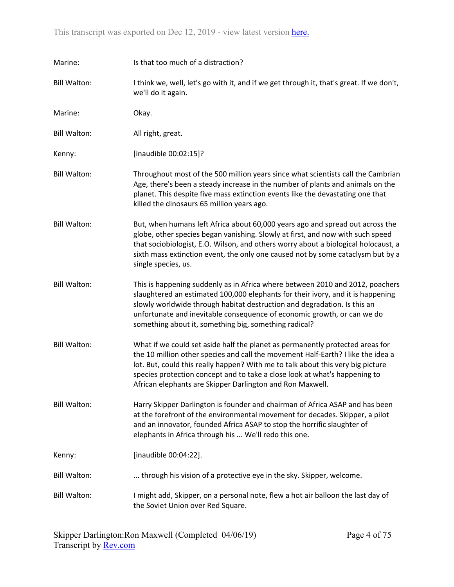| Marine:             | Is that too much of a distraction?                                                                                                                                                                                                                                                                                                                                                              |
|---------------------|-------------------------------------------------------------------------------------------------------------------------------------------------------------------------------------------------------------------------------------------------------------------------------------------------------------------------------------------------------------------------------------------------|
| <b>Bill Walton:</b> | I think we, well, let's go with it, and if we get through it, that's great. If we don't,<br>we'll do it again.                                                                                                                                                                                                                                                                                  |
| Marine:             | Okay.                                                                                                                                                                                                                                                                                                                                                                                           |
| <b>Bill Walton:</b> | All right, great.                                                                                                                                                                                                                                                                                                                                                                               |
| Kenny:              | [inaudible 00:02:15]?                                                                                                                                                                                                                                                                                                                                                                           |
| <b>Bill Walton:</b> | Throughout most of the 500 million years since what scientists call the Cambrian<br>Age, there's been a steady increase in the number of plants and animals on the<br>planet. This despite five mass extinction events like the devastating one that<br>killed the dinosaurs 65 million years ago.                                                                                              |
| <b>Bill Walton:</b> | But, when humans left Africa about 60,000 years ago and spread out across the<br>globe, other species began vanishing. Slowly at first, and now with such speed<br>that sociobiologist, E.O. Wilson, and others worry about a biological holocaust, a<br>sixth mass extinction event, the only one caused not by some cataclysm but by a<br>single species, us.                                 |
| <b>Bill Walton:</b> | This is happening suddenly as in Africa where between 2010 and 2012, poachers<br>slaughtered an estimated 100,000 elephants for their ivory, and it is happening<br>slowly worldwide through habitat destruction and degradation. Is this an<br>unfortunate and inevitable consequence of economic growth, or can we do<br>something about it, something big, something radical?                |
| <b>Bill Walton:</b> | What if we could set aside half the planet as permanently protected areas for<br>the 10 million other species and call the movement Half-Earth? I like the idea a<br>lot. But, could this really happen? With me to talk about this very big picture<br>species protection concept and to take a close look at what's happening to<br>African elephants are Skipper Darlington and Ron Maxwell. |
| <b>Bill Walton:</b> | Harry Skipper Darlington is founder and chairman of Africa ASAP and has been<br>at the forefront of the environmental movement for decades. Skipper, a pilot<br>and an innovator, founded Africa ASAP to stop the horrific slaughter of<br>elephants in Africa through his  We'll redo this one.                                                                                                |
| Kenny:              | [inaudible 00:04:22].                                                                                                                                                                                                                                                                                                                                                                           |
| <b>Bill Walton:</b> | through his vision of a protective eye in the sky. Skipper, welcome.                                                                                                                                                                                                                                                                                                                            |
| <b>Bill Walton:</b> | I might add, Skipper, on a personal note, flew a hot air balloon the last day of<br>the Soviet Union over Red Square.                                                                                                                                                                                                                                                                           |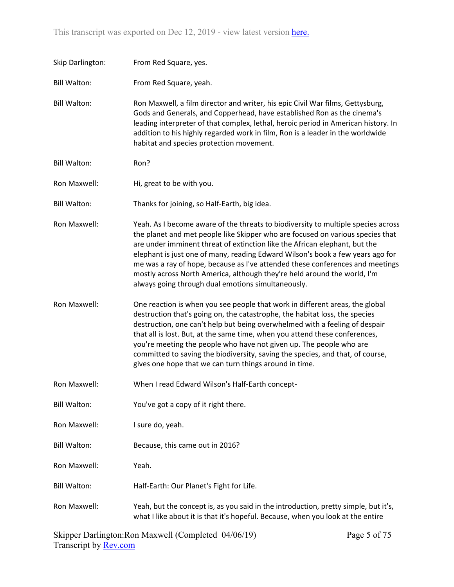| Skip Darlington:    | From Red Square, yes.                                                                                                                                                                                                                                                                                                                                                                                                                                                                                                                                  |
|---------------------|--------------------------------------------------------------------------------------------------------------------------------------------------------------------------------------------------------------------------------------------------------------------------------------------------------------------------------------------------------------------------------------------------------------------------------------------------------------------------------------------------------------------------------------------------------|
| <b>Bill Walton:</b> | From Red Square, yeah.                                                                                                                                                                                                                                                                                                                                                                                                                                                                                                                                 |
| <b>Bill Walton:</b> | Ron Maxwell, a film director and writer, his epic Civil War films, Gettysburg,<br>Gods and Generals, and Copperhead, have established Ron as the cinema's<br>leading interpreter of that complex, lethal, heroic period in American history. In<br>addition to his highly regarded work in film, Ron is a leader in the worldwide<br>habitat and species protection movement.                                                                                                                                                                          |
| <b>Bill Walton:</b> | Ron?                                                                                                                                                                                                                                                                                                                                                                                                                                                                                                                                                   |
| Ron Maxwell:        | Hi, great to be with you.                                                                                                                                                                                                                                                                                                                                                                                                                                                                                                                              |
| <b>Bill Walton:</b> | Thanks for joining, so Half-Earth, big idea.                                                                                                                                                                                                                                                                                                                                                                                                                                                                                                           |
| Ron Maxwell:        | Yeah. As I become aware of the threats to biodiversity to multiple species across<br>the planet and met people like Skipper who are focused on various species that<br>are under imminent threat of extinction like the African elephant, but the<br>elephant is just one of many, reading Edward Wilson's book a few years ago for<br>me was a ray of hope, because as I've attended these conferences and meetings<br>mostly across North America, although they're held around the world, I'm<br>always going through dual emotions simultaneously. |
| Ron Maxwell:        | One reaction is when you see people that work in different areas, the global<br>destruction that's going on, the catastrophe, the habitat loss, the species<br>destruction, one can't help but being overwhelmed with a feeling of despair<br>that all is lost. But, at the same time, when you attend these conferences,<br>you're meeting the people who have not given up. The people who are<br>committed to saving the biodiversity, saving the species, and that, of course,<br>gives one hope that we can turn things around in time.           |
| Ron Maxwell:        | When I read Edward Wilson's Half-Earth concept-                                                                                                                                                                                                                                                                                                                                                                                                                                                                                                        |
| <b>Bill Walton:</b> | You've got a copy of it right there.                                                                                                                                                                                                                                                                                                                                                                                                                                                                                                                   |
| Ron Maxwell:        | I sure do, yeah.                                                                                                                                                                                                                                                                                                                                                                                                                                                                                                                                       |
| <b>Bill Walton:</b> | Because, this came out in 2016?                                                                                                                                                                                                                                                                                                                                                                                                                                                                                                                        |
| Ron Maxwell:        | Yeah.                                                                                                                                                                                                                                                                                                                                                                                                                                                                                                                                                  |
| <b>Bill Walton:</b> | Half-Earth: Our Planet's Fight for Life.                                                                                                                                                                                                                                                                                                                                                                                                                                                                                                               |
| Ron Maxwell:        | Yeah, but the concept is, as you said in the introduction, pretty simple, but it's,<br>what I like about it is that it's hopeful. Because, when you look at the entire                                                                                                                                                                                                                                                                                                                                                                                 |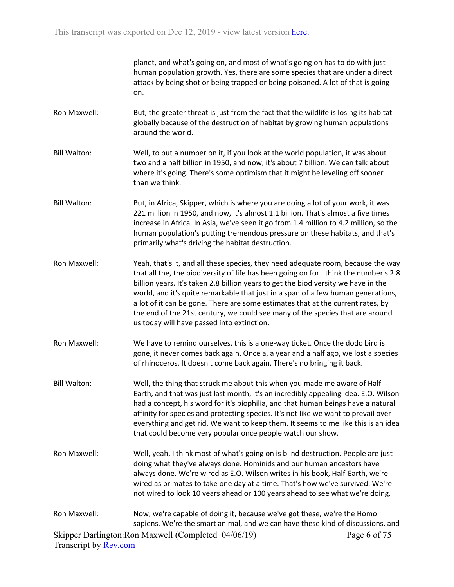planet, and what's going on, and most of what's going on has to do with just human population growth. Yes, there are some species that are under a direct attack by being shot or being trapped or being poisoned. A lot of that is going on.

- Ron Maxwell: But, the greater threat is just from the fact that the wildlife is losing its habitat globally because of the destruction of habitat by growing human populations around the world.
- Bill Walton: Well, to put a number on it, if you look at the world population, it was about two and a half billion in 1950, and now, it's about 7 billion. We can talk about where it's going. There's some optimism that it might be leveling off sooner than we think.
- Bill Walton: But, in Africa, Skipper, which is where you are doing a lot of your work, it was 221 million in 1950, and now, it's almost 1.1 billion. That's almost a five times increase in Africa. In Asia, we've seen it go from 1.4 million to 4.2 million, so the human population's putting tremendous pressure on these habitats, and that's primarily what's driving the habitat destruction.
- Ron Maxwell: Yeah, that's it, and all these species, they need adequate room, because the way that all the, the biodiversity of life has been going on for I think the number's 2.8 billion years. It's taken 2.8 billion years to get the biodiversity we have in the world, and it's quite remarkable that just in a span of a few human generations, a lot of it can be gone. There are some estimates that at the current rates, by the end of the 21st century, we could see many of the species that are around us today will have passed into extinction.
- Ron Maxwell: We have to remind ourselves, this is a one-way ticket. Once the dodo bird is gone, it never comes back again. Once a, a year and a half ago, we lost a species of rhinoceros. It doesn't come back again. There's no bringing it back.
- Bill Walton: Well, the thing that struck me about this when you made me aware of Half-Earth, and that was just last month, it's an incredibly appealing idea. E.O. Wilson had a concept, his word for it's biophilia, and that human beings have a natural affinity for species and protecting species. It's not like we want to prevail over everything and get rid. We want to keep them. It seems to me like this is an idea that could become very popular once people watch our show.
- Ron Maxwell: Well, yeah, I think most of what's going on is blind destruction. People are just doing what they've always done. Hominids and our human ancestors have always done. We're wired as E.O. Wilson writes in his book, Half-Earth, we're wired as primates to take one day at a time. That's how we've survived. We're not wired to look 10 years ahead or 100 years ahead to see what we're doing.
- Skipper Darlington:Ron Maxwell (Completed 04/06/19) Transcript by [Rev.com](https://www.rev.com/) Page 6 of 75 Ron Maxwell: Now, we're capable of doing it, because we've got these, we're the Homo sapiens. We're the smart animal, and we can have these kind of discussions, and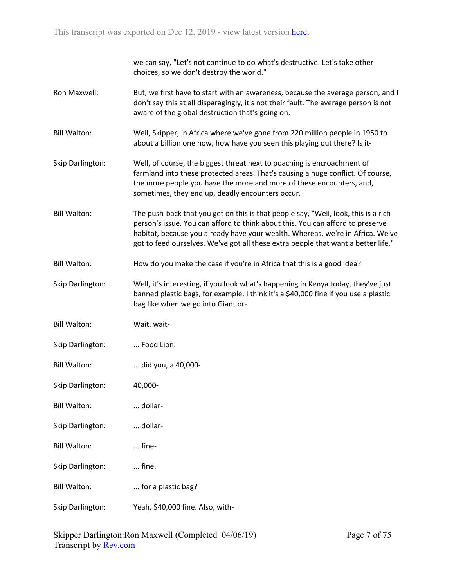| we can say, "Let's not continue to do what's destructive. Let's take other |
|----------------------------------------------------------------------------|
| choices, so we don't destroy the world."                                   |

- Ron Maxwell: But, we first have to start with an awareness, because the average person, and I don't say this at all disparagingly, it's not their fault. The average person is not aware of the global destruction that's going on.
- Bill Walton: Well, Skipper, in Africa where we've gone from 220 million people in 1950 to about a billion one now, how have you seen this playing out there? Is it-
- Skip Darlington: Well, of course, the biggest threat next to poaching is encroachment of farmland into these protected areas. That's causing a huge conflict. Of course, the more people you have the more and more of these encounters, and, sometimes, they end up, deadly encounters occur.
- Bill Walton: The push-back that you get on this is that people say, "Well, look, this is a rich person's issue. You can afford to think about this. You can afford to preserve habitat, because you already have your wealth. Whereas, we're in Africa. We've got to feed ourselves. We've got all these extra people that want a better life."
- Bill Walton: How do you make the case if you're in Africa that this is a good idea?
- Skip Darlington: Well, it's interesting, if you look what's happening in Kenya today, they've just banned plastic bags, for example. I think it's a \$40,000 fine if you use a plastic bag like when we go into Giant or-

| Bill Walton: | Wait, wait- |
|--------------|-------------|
|              |             |

- Skip Darlington: ... Food Lion.
- Bill Walton: ... did you, a 40,000-
- Skip Darlington: 40,000-
- Bill Walton: ... dollar-
- Skip Darlington: ... dollar-
- Bill Walton: ... fine-
- Skip Darlington: ... fine.
- Bill Walton: ... for a plastic bag?
- Skip Darlington: Yeah, \$40,000 fine. Also, with-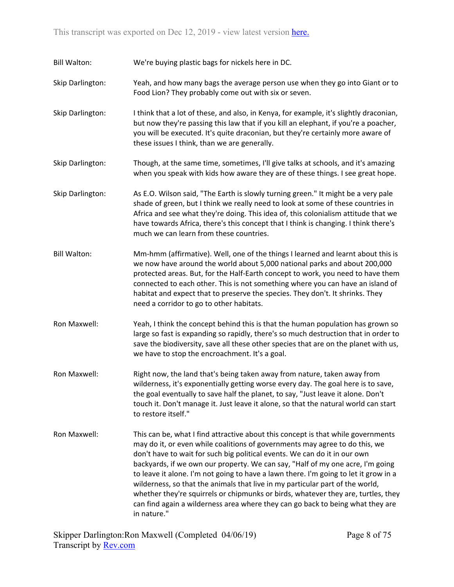Bill Walton: We're buying plastic bags for nickels here in DC.

- Skip Darlington: Yeah, and how many bags the average person use when they go into Giant or to Food Lion? They probably come out with six or seven.
- Skip Darlington: I think that a lot of these, and also, in Kenya, for example, it's slightly draconian, but now they're passing this law that if you kill an elephant, if you're a poacher, you will be executed. It's quite draconian, but they're certainly more aware of these issues I think, than we are generally.
- Skip Darlington: Though, at the same time, sometimes, I'll give talks at schools, and it's amazing when you speak with kids how aware they are of these things. I see great hope.
- Skip Darlington: As E.O. Wilson said, "The Earth is slowly turning green." It might be a very pale shade of green, but I think we really need to look at some of these countries in Africa and see what they're doing. This idea of, this colonialism attitude that we have towards Africa, there's this concept that I think is changing. I think there's much we can learn from these countries.
- Bill Walton: Mm-hmm (affirmative). Well, one of the things I learned and learnt about this is we now have around the world about 5,000 national parks and about 200,000 protected areas. But, for the Half-Earth concept to work, you need to have them connected to each other. This is not something where you can have an island of habitat and expect that to preserve the species. They don't. It shrinks. They need a corridor to go to other habitats.
- Ron Maxwell: Yeah, I think the concept behind this is that the human population has grown so large so fast is expanding so rapidly, there's so much destruction that in order to save the biodiversity, save all these other species that are on the planet with us, we have to stop the encroachment. It's a goal.
- Ron Maxwell: Right now, the land that's being taken away from nature, taken away from wilderness, it's exponentially getting worse every day. The goal here is to save, the goal eventually to save half the planet, to say, "Just leave it alone. Don't touch it. Don't manage it. Just leave it alone, so that the natural world can start to restore itself."
- Ron Maxwell: This can be, what I find attractive about this concept is that while governments may do it, or even while coalitions of governments may agree to do this, we don't have to wait for such big political events. We can do it in our own backyards, if we own our property. We can say, "Half of my one acre, I'm going to leave it alone. I'm not going to have a lawn there. I'm going to let it grow in a wilderness, so that the animals that live in my particular part of the world, whether they're squirrels or chipmunks or birds, whatever they are, turtles, they can find again a wilderness area where they can go back to being what they are in nature."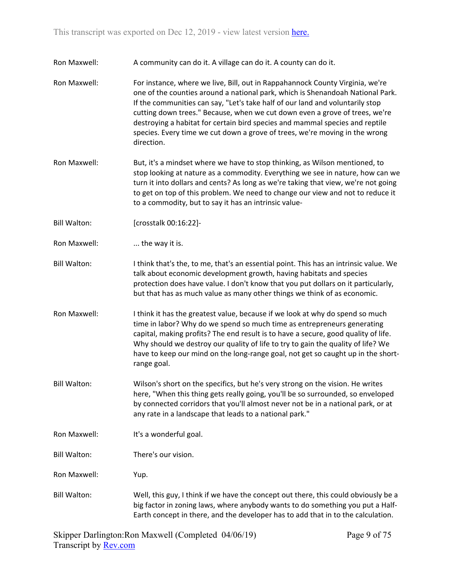- Ron Maxwell: A community can do it. A village can do it. A county can do it.
- Ron Maxwell: For instance, where we live, Bill, out in Rappahannock County Virginia, we're one of the counties around a national park, which is Shenandoah National Park. If the communities can say, "Let's take half of our land and voluntarily stop cutting down trees." Because, when we cut down even a grove of trees, we're destroying a habitat for certain bird species and mammal species and reptile species. Every time we cut down a grove of trees, we're moving in the wrong direction.
- Ron Maxwell: But, it's a mindset where we have to stop thinking, as Wilson mentioned, to stop looking at nature as a commodity. Everything we see in nature, how can we turn it into dollars and cents? As long as we're taking that view, we're not going to get on top of this problem. We need to change our view and not to reduce it to a commodity, but to say it has an intrinsic value-
- Bill Walton: [crosstalk 00:16:22]-
- Ron Maxwell: .... the way it is.
- Bill Walton: I think that's the, to me, that's an essential point. This has an intrinsic value. We talk about economic development growth, having habitats and species protection does have value. I don't know that you put dollars on it particularly, but that has as much value as many other things we think of as economic.
- Ron Maxwell: I think it has the greatest value, because if we look at why do spend so much time in labor? Why do we spend so much time as entrepreneurs generating capital, making profits? The end result is to have a secure, good quality of life. Why should we destroy our quality of life to try to gain the quality of life? We have to keep our mind on the long-range goal, not get so caught up in the shortrange goal.
- Bill Walton: Wilson's short on the specifics, but he's very strong on the vision. He writes here, "When this thing gets really going, you'll be so surrounded, so enveloped by connected corridors that you'll almost never not be in a national park, or at any rate in a landscape that leads to a national park."
- Ron Maxwell: It's a wonderful goal.
- Bill Walton: There's our vision.

Ron Maxwell: Yup.

Bill Walton: Well, this guy, I think if we have the concept out there, this could obviously be a big factor in zoning laws, where anybody wants to do something you put a Half-Earth concept in there, and the developer has to add that in to the calculation.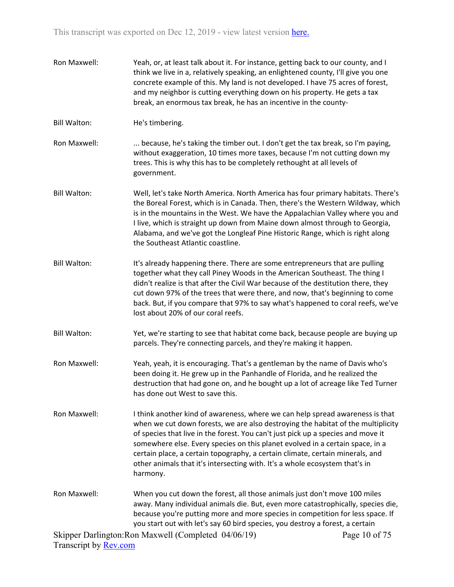Ron Maxwell: Yeah, or, at least talk about it. For instance, getting back to our county, and I think we live in a, relatively speaking, an enlightened county, I'll give you one concrete example of this. My land is not developed. I have 75 acres of forest, and my neighbor is cutting everything down on his property. He gets a tax break, an enormous tax break, he has an incentive in the county-Bill Walton: He's timbering. Ron Maxwell: ... because, he's taking the timber out. I don't get the tax break, so I'm paying, without exaggeration, 10 times more taxes, because I'm not cutting down my trees. This is why this has to be completely rethought at all levels of government. Bill Walton: Well, let's take North America. North America has four primary habitats. There's the Boreal Forest, which is in Canada. Then, there's the Western Wildway, which is in the mountains in the West. We have the Appalachian Valley where you and I live, which is straight up down from Maine down almost through to Georgia, Alabama, and we've got the Longleaf Pine Historic Range, which is right along the Southeast Atlantic coastline. Bill Walton: It's already happening there. There are some entrepreneurs that are pulling together what they call Piney Woods in the American Southeast. The thing I didn't realize is that after the Civil War because of the destitution there, they cut down 97% of the trees that were there, and now, that's beginning to come back. But, if you compare that 97% to say what's happened to coral reefs, we've lost about 20% of our coral reefs. Bill Walton: Yet, we're starting to see that habitat come back, because people are buying up parcels. They're connecting parcels, and they're making it happen. Ron Maxwell: Yeah, yeah, it is encouraging. That's a gentleman by the name of Davis who's been doing it. He grew up in the Panhandle of Florida, and he realized the destruction that had gone on, and he bought up a lot of acreage like Ted Turner has done out West to save this. Ron Maxwell: I think another kind of awareness, where we can help spread awareness is that when we cut down forests, we are also destroying the habitat of the multiplicity of species that live in the forest. You can't just pick up a species and move it somewhere else. Every species on this planet evolved in a certain space, in a certain place, a certain topography, a certain climate, certain minerals, and other animals that it's intersecting with. It's a whole ecosystem that's in harmony. Ron Maxwell: When you cut down the forest, all those animals just don't move 100 miles away. Many individual animals die. But, even more catastrophically, species die, because you're putting more and more species in competition for less space. If you start out with let's say 60 bird species, you destroy a forest, a certain

Skipper Darlington:Ron Maxwell (Completed 04/06/19) Transcript by [Rev.com](https://www.rev.com/) Page 10 of 75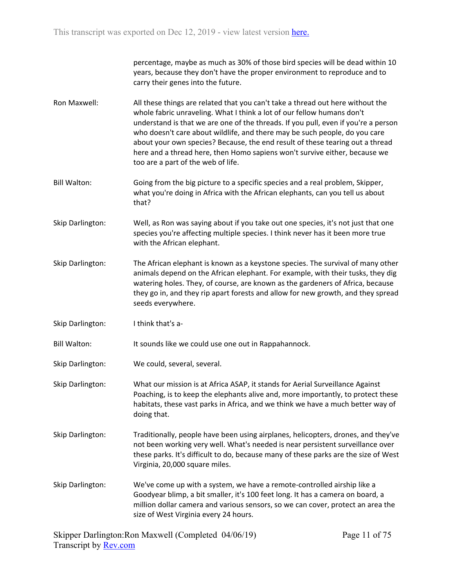percentage, maybe as much as 30% of those bird species will be dead within 10 years, because they don't have the proper environment to reproduce and to carry their genes into the future.

- Ron Maxwell: All these things are related that you can't take a thread out here without the whole fabric unraveling. What I think a lot of our fellow humans don't understand is that we are one of the threads. If you pull, even if you're a person who doesn't care about wildlife, and there may be such people, do you care about your own species? Because, the end result of these tearing out a thread here and a thread here, then Homo sapiens won't survive either, because we too are a part of the web of life.
- Bill Walton: Going from the big picture to a specific species and a real problem, Skipper, what you're doing in Africa with the African elephants, can you tell us about that?
- Skip Darlington: Well, as Ron was saying about if you take out one species, it's not just that one species you're affecting multiple species. I think never has it been more true with the African elephant.
- Skip Darlington: The African elephant is known as a keystone species. The survival of many other animals depend on the African elephant. For example, with their tusks, they dig watering holes. They, of course, are known as the gardeners of Africa, because they go in, and they rip apart forests and allow for new growth, and they spread seeds everywhere.
- Skip Darlington: I think that's a-

Bill Walton: It sounds like we could use one out in Rappahannock.

- Skip Darlington: We could, several, several.
- Skip Darlington: What our mission is at Africa ASAP, it stands for Aerial Surveillance Against Poaching, is to keep the elephants alive and, more importantly, to protect these habitats, these vast parks in Africa, and we think we have a much better way of doing that.
- Skip Darlington: Traditionally, people have been using airplanes, helicopters, drones, and they've not been working very well. What's needed is near persistent surveillance over these parks. It's difficult to do, because many of these parks are the size of West Virginia, 20,000 square miles.
- Skip Darlington: We've come up with a system, we have a remote-controlled airship like a Goodyear blimp, a bit smaller, it's 100 feet long. It has a camera on board, a million dollar camera and various sensors, so we can cover, protect an area the size of West Virginia every 24 hours.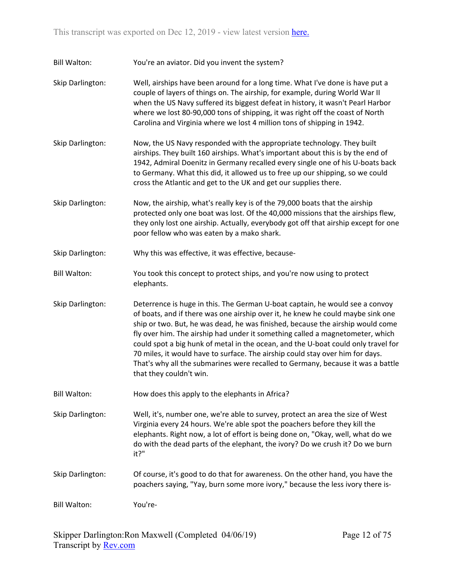Bill Walton: You're an aviator. Did you invent the system?

Skip Darlington: Well, airships have been around for a long time. What I've done is have put a couple of layers of things on. The airship, for example, during World War II when the US Navy suffered its biggest defeat in history, it wasn't Pearl Harbor where we lost 80-90,000 tons of shipping, it was right off the coast of North Carolina and Virginia where we lost 4 million tons of shipping in 1942.

Skip Darlington: Now, the US Navy responded with the appropriate technology. They built airships. They built 160 airships. What's important about this is by the end of 1942, Admiral Doenitz in Germany recalled every single one of his U-boats back to Germany. What this did, it allowed us to free up our shipping, so we could cross the Atlantic and get to the UK and get our supplies there.

Skip Darlington: Now, the airship, what's really key is of the 79,000 boats that the airship protected only one boat was lost. Of the 40,000 missions that the airships flew, they only lost one airship. Actually, everybody got off that airship except for one poor fellow who was eaten by a mako shark.

Skip Darlington: Why this was effective, it was effective, because-

Bill Walton: You took this concept to protect ships, and you're now using to protect elephants.

Skip Darlington: Deterrence is huge in this. The German U-boat captain, he would see a convoy of boats, and if there was one airship over it, he knew he could maybe sink one ship or two. But, he was dead, he was finished, because the airship would come fly over him. The airship had under it something called a magnetometer, which could spot a big hunk of metal in the ocean, and the U-boat could only travel for 70 miles, it would have to surface. The airship could stay over him for days. That's why all the submarines were recalled to Germany, because it was a battle that they couldn't win.

Bill Walton: How does this apply to the elephants in Africa?

Skip Darlington: Well, it's, number one, we're able to survey, protect an area the size of West Virginia every 24 hours. We're able spot the poachers before they kill the elephants. Right now, a lot of effort is being done on, "Okay, well, what do we do with the dead parts of the elephant, the ivory? Do we crush it? Do we burn it?"

Skip Darlington: Of course, it's good to do that for awareness. On the other hand, you have the poachers saying, "Yay, burn some more ivory," because the less ivory there is-

Bill Walton: You're-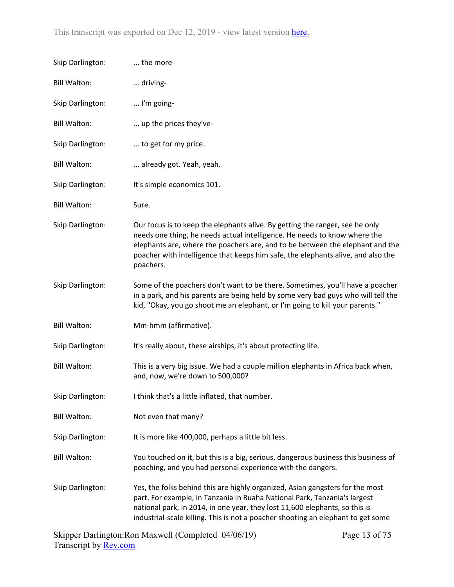| Skip Darlington:    | the more-                                                                                                                                                                                                                                                                                                                                   |
|---------------------|---------------------------------------------------------------------------------------------------------------------------------------------------------------------------------------------------------------------------------------------------------------------------------------------------------------------------------------------|
| <b>Bill Walton:</b> | driving-                                                                                                                                                                                                                                                                                                                                    |
| Skip Darlington:    | I'm going-                                                                                                                                                                                                                                                                                                                                  |
| <b>Bill Walton:</b> | up the prices they've-                                                                                                                                                                                                                                                                                                                      |
| Skip Darlington:    | to get for my price.                                                                                                                                                                                                                                                                                                                        |
| <b>Bill Walton:</b> | already got. Yeah, yeah.                                                                                                                                                                                                                                                                                                                    |
| Skip Darlington:    | It's simple economics 101.                                                                                                                                                                                                                                                                                                                  |
| <b>Bill Walton:</b> | Sure.                                                                                                                                                                                                                                                                                                                                       |
| Skip Darlington:    | Our focus is to keep the elephants alive. By getting the ranger, see he only<br>needs one thing, he needs actual intelligence. He needs to know where the<br>elephants are, where the poachers are, and to be between the elephant and the<br>poacher with intelligence that keeps him safe, the elephants alive, and also the<br>poachers. |
| Skip Darlington:    | Some of the poachers don't want to be there. Sometimes, you'll have a poacher<br>in a park, and his parents are being held by some very bad guys who will tell the<br>kid, "Okay, you go shoot me an elephant, or I'm going to kill your parents."                                                                                          |
| <b>Bill Walton:</b> | Mm-hmm (affirmative).                                                                                                                                                                                                                                                                                                                       |
| Skip Darlington:    | It's really about, these airships, it's about protecting life.                                                                                                                                                                                                                                                                              |
| <b>Bill Walton:</b> | This is a very big issue. We had a couple million elephants in Africa back when,<br>and, now, we're down to 500,000?                                                                                                                                                                                                                        |
| Skip Darlington:    | I think that's a little inflated, that number.                                                                                                                                                                                                                                                                                              |
| <b>Bill Walton:</b> | Not even that many?                                                                                                                                                                                                                                                                                                                         |
| Skip Darlington:    | It is more like 400,000, perhaps a little bit less.                                                                                                                                                                                                                                                                                         |
| <b>Bill Walton:</b> | You touched on it, but this is a big, serious, dangerous business this business of<br>poaching, and you had personal experience with the dangers.                                                                                                                                                                                           |
| Skip Darlington:    | Yes, the folks behind this are highly organized, Asian gangsters for the most<br>part. For example, in Tanzania in Ruaha National Park, Tanzania's largest<br>national park, in 2014, in one year, they lost 11,600 elephants, so this is<br>industrial-scale killing. This is not a poacher shooting an elephant to get some               |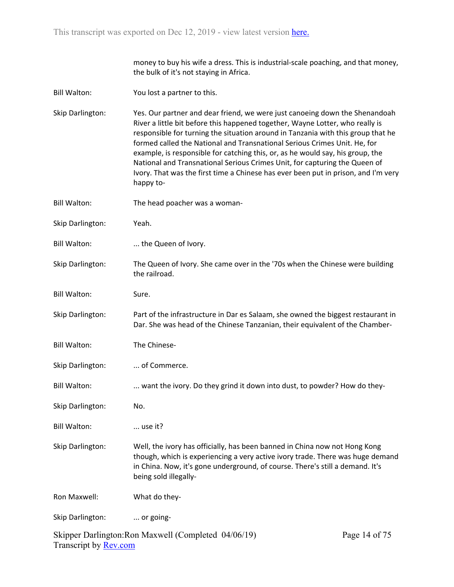money to buy his wife a dress. This is industrial-scale poaching, and that money, the bulk of it's not staying in Africa.

- Bill Walton: You lost a partner to this.
- Skip Darlington: Yes. Our partner and dear friend, we were just canoeing down the Shenandoah River a little bit before this happened together, Wayne Lotter, who really is responsible for turning the situation around in Tanzania with this group that he formed called the National and Transnational Serious Crimes Unit. He, for example, is responsible for catching this, or, as he would say, his group, the National and Transnational Serious Crimes Unit, for capturing the Queen of Ivory. That was the first time a Chinese has ever been put in prison, and I'm very happy to-
- Bill Walton: The head poacher was a woman-
- Skip Darlington: Yeah.
- Bill Walton: ... the Queen of Ivory.
- Skip Darlington: The Queen of Ivory. She came over in the '70s when the Chinese were building the railroad.
- Bill Walton: Sure.

Skip Darlington: Part of the infrastructure in Dar es Salaam, she owned the biggest restaurant in Dar. She was head of the Chinese Tanzanian, their equivalent of the Chamber-

- Bill Walton: The Chinese-
- Skip Darlington: ... of Commerce.
- Bill Walton: ... want the ivory. Do they grind it down into dust, to powder? How do they-

Skip Darlington: No.

- Bill Walton: ... use it?
- Skip Darlington: Well, the ivory has officially, has been banned in China now not Hong Kong though, which is experiencing a very active ivory trade. There was huge demand in China. Now, it's gone underground, of course. There's still a demand. It's being sold illegally-

Ron Maxwell: What do they-

Skip Darlington: ... or going-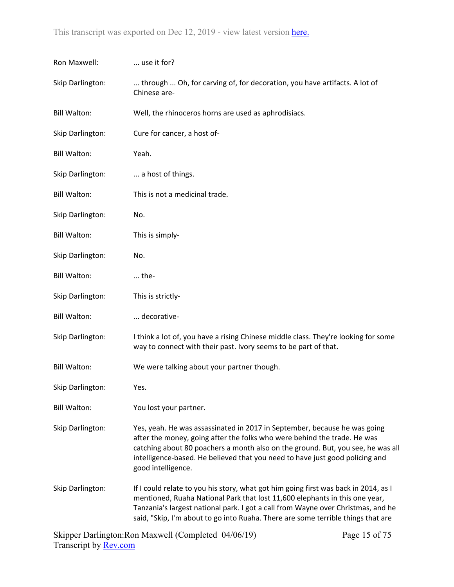| Ron Maxwell:        | use it for?                                                                                                                                                                                                                                                                                                                                    |
|---------------------|------------------------------------------------------------------------------------------------------------------------------------------------------------------------------------------------------------------------------------------------------------------------------------------------------------------------------------------------|
| Skip Darlington:    | through  Oh, for carving of, for decoration, you have artifacts. A lot of<br>Chinese are-                                                                                                                                                                                                                                                      |
| <b>Bill Walton:</b> | Well, the rhinoceros horns are used as aphrodisiacs.                                                                                                                                                                                                                                                                                           |
| Skip Darlington:    | Cure for cancer, a host of-                                                                                                                                                                                                                                                                                                                    |
| <b>Bill Walton:</b> | Yeah.                                                                                                                                                                                                                                                                                                                                          |
| Skip Darlington:    | a host of things.                                                                                                                                                                                                                                                                                                                              |
| <b>Bill Walton:</b> | This is not a medicinal trade.                                                                                                                                                                                                                                                                                                                 |
| Skip Darlington:    | No.                                                                                                                                                                                                                                                                                                                                            |
| <b>Bill Walton:</b> | This is simply-                                                                                                                                                                                                                                                                                                                                |
| Skip Darlington:    | No.                                                                                                                                                                                                                                                                                                                                            |
| <b>Bill Walton:</b> | $$ the-                                                                                                                                                                                                                                                                                                                                        |
| Skip Darlington:    | This is strictly-                                                                                                                                                                                                                                                                                                                              |
| <b>Bill Walton:</b> | decorative-                                                                                                                                                                                                                                                                                                                                    |
| Skip Darlington:    | I think a lot of, you have a rising Chinese middle class. They're looking for some<br>way to connect with their past. Ivory seems to be part of that.                                                                                                                                                                                          |
| <b>Bill Walton:</b> | We were talking about your partner though.                                                                                                                                                                                                                                                                                                     |
| Skip Darlington:    | Yes.                                                                                                                                                                                                                                                                                                                                           |
| <b>Bill Walton:</b> | You lost your partner.                                                                                                                                                                                                                                                                                                                         |
| Skip Darlington:    | Yes, yeah. He was assassinated in 2017 in September, because he was going<br>after the money, going after the folks who were behind the trade. He was<br>catching about 80 poachers a month also on the ground. But, you see, he was all<br>intelligence-based. He believed that you need to have just good policing and<br>good intelligence. |
| Skip Darlington:    | If I could relate to you his story, what got him going first was back in 2014, as I<br>mentioned, Ruaha National Park that lost 11,600 elephants in this one year,<br>Tanzania's largest national park. I got a call from Wayne over Christmas, and he<br>said, "Skip, I'm about to go into Ruaha. There are some terrible things that are     |
|                     |                                                                                                                                                                                                                                                                                                                                                |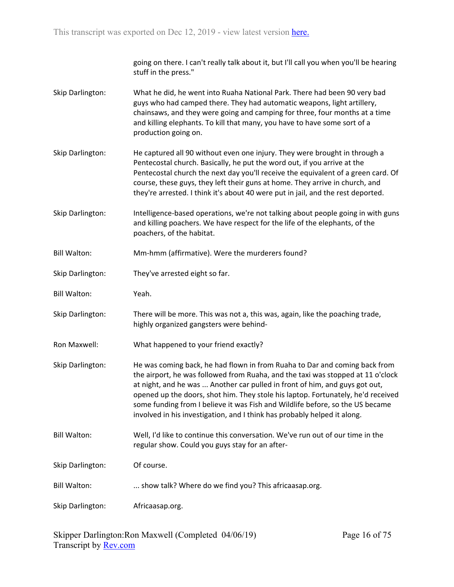going on there. I can't really talk about it, but I'll call you when you'll be hearing stuff in the press."

- Skip Darlington: What he did, he went into Ruaha National Park. There had been 90 very bad guys who had camped there. They had automatic weapons, light artillery, chainsaws, and they were going and camping for three, four months at a time and killing elephants. To kill that many, you have to have some sort of a production going on.
- Skip Darlington: He captured all 90 without even one injury. They were brought in through a Pentecostal church. Basically, he put the word out, if you arrive at the Pentecostal church the next day you'll receive the equivalent of a green card. Of course, these guys, they left their guns at home. They arrive in church, and they're arrested. I think it's about 40 were put in jail, and the rest deported.
- Skip Darlington: Intelligence-based operations, we're not talking about people going in with guns and killing poachers. We have respect for the life of the elephants, of the poachers, of the habitat.
- Bill Walton: Mm-hmm (affirmative). Were the murderers found?
- Skip Darlington: They've arrested eight so far.
- Bill Walton: Yeah.
- Skip Darlington: There will be more. This was not a, this was, again, like the poaching trade, highly organized gangsters were behind-
- Ron Maxwell: What happened to your friend exactly?
- Skip Darlington: He was coming back, he had flown in from Ruaha to Dar and coming back from the airport, he was followed from Ruaha, and the taxi was stopped at 11 o'clock at night, and he was ... Another car pulled in front of him, and guys got out, opened up the doors, shot him. They stole his laptop. Fortunately, he'd received some funding from I believe it was Fish and Wildlife before, so the US became involved in his investigation, and I think has probably helped it along.
- Bill Walton: Well, I'd like to continue this conversation. We've run out of our time in the regular show. Could you guys stay for an after-
- Skip Darlington: Of course.
- Bill Walton: ... show talk? Where do we find you? This africaasap.org.
- Skip Darlington: Africaasap.org.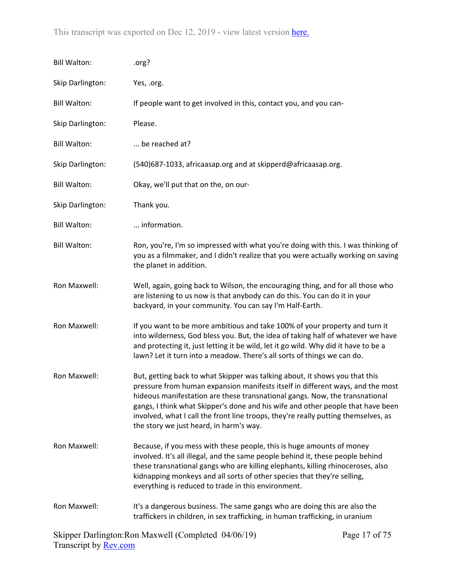| <b>Bill Walton:</b> | .org?                                                                                                                                                                                                                                                                                                                                                                                                                                                            |
|---------------------|------------------------------------------------------------------------------------------------------------------------------------------------------------------------------------------------------------------------------------------------------------------------------------------------------------------------------------------------------------------------------------------------------------------------------------------------------------------|
| Skip Darlington:    | Yes, .org.                                                                                                                                                                                                                                                                                                                                                                                                                                                       |
| <b>Bill Walton:</b> | If people want to get involved in this, contact you, and you can-                                                                                                                                                                                                                                                                                                                                                                                                |
| Skip Darlington:    | Please.                                                                                                                                                                                                                                                                                                                                                                                                                                                          |
| <b>Bill Walton:</b> | be reached at?                                                                                                                                                                                                                                                                                                                                                                                                                                                   |
| Skip Darlington:    | (540)687-1033, africaasap.org and at skipperd@africaasap.org.                                                                                                                                                                                                                                                                                                                                                                                                    |
| <b>Bill Walton:</b> | Okay, we'll put that on the, on our-                                                                                                                                                                                                                                                                                                                                                                                                                             |
| Skip Darlington:    | Thank you.                                                                                                                                                                                                                                                                                                                                                                                                                                                       |
| <b>Bill Walton:</b> | information.                                                                                                                                                                                                                                                                                                                                                                                                                                                     |
| <b>Bill Walton:</b> | Ron, you're, I'm so impressed with what you're doing with this. I was thinking of<br>you as a filmmaker, and I didn't realize that you were actually working on saving<br>the planet in addition.                                                                                                                                                                                                                                                                |
| Ron Maxwell:        | Well, again, going back to Wilson, the encouraging thing, and for all those who<br>are listening to us now is that anybody can do this. You can do it in your<br>backyard, in your community. You can say I'm Half-Earth.                                                                                                                                                                                                                                        |
| Ron Maxwell:        | If you want to be more ambitious and take 100% of your property and turn it<br>into wilderness, God bless you. But, the idea of taking half of whatever we have<br>and protecting it, just letting it be wild, let it go wild. Why did it have to be a<br>lawn? Let it turn into a meadow. There's all sorts of things we can do.                                                                                                                                |
| Ron Maxwell:        | But, getting back to what Skipper was talking about, it shows you that this<br>pressure from human expansion manifests itself in different ways, and the most<br>hideous manifestation are these transnational gangs. Now, the transnational<br>gangs, I think what Skipper's done and his wife and other people that have been<br>involved, what I call the front line troops, they're really putting themselves, as<br>the story we just heard, in harm's way. |
| Ron Maxwell:        | Because, if you mess with these people, this is huge amounts of money<br>involved. It's all illegal, and the same people behind it, these people behind<br>these transnational gangs who are killing elephants, killing rhinoceroses, also<br>kidnapping monkeys and all sorts of other species that they're selling,<br>everything is reduced to trade in this environment.                                                                                     |
| Ron Maxwell:        | It's a dangerous business. The same gangs who are doing this are also the<br>traffickers in children, in sex trafficking, in human trafficking, in uranium                                                                                                                                                                                                                                                                                                       |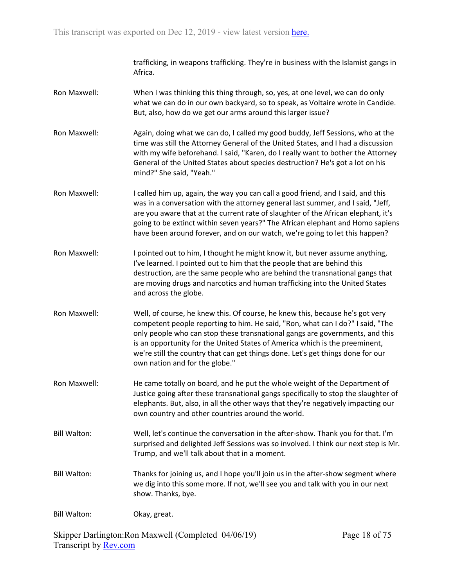trafficking, in weapons trafficking. They're in business with the Islamist gangs in Africa.

- Ron Maxwell: When I was thinking this thing through, so, yes, at one level, we can do only what we can do in our own backyard, so to speak, as Voltaire wrote in Candide. But, also, how do we get our arms around this larger issue?
- Ron Maxwell: Again, doing what we can do, I called my good buddy, Jeff Sessions, who at the time was still the Attorney General of the United States, and I had a discussion with my wife beforehand. I said, "Karen, do I really want to bother the Attorney General of the United States about species destruction? He's got a lot on his mind?" She said, "Yeah."
- Ron Maxwell: I called him up, again, the way you can call a good friend, and I said, and this was in a conversation with the attorney general last summer, and I said, "Jeff, are you aware that at the current rate of slaughter of the African elephant, it's going to be extinct within seven years?" The African elephant and Homo sapiens have been around forever, and on our watch, we're going to let this happen?
- Ron Maxwell: I pointed out to him, I thought he might know it, but never assume anything, I've learned. I pointed out to him that the people that are behind this destruction, are the same people who are behind the transnational gangs that are moving drugs and narcotics and human trafficking into the United States and across the globe.
- Ron Maxwell: Well, of course, he knew this. Of course, he knew this, because he's got very competent people reporting to him. He said, "Ron, what can I do?" I said, "The only people who can stop these transnational gangs are governments, and this is an opportunity for the United States of America which is the preeminent, we're still the country that can get things done. Let's get things done for our own nation and for the globe."
- Ron Maxwell: He came totally on board, and he put the whole weight of the Department of Justice going after these transnational gangs specifically to stop the slaughter of elephants. But, also, in all the other ways that they're negatively impacting our own country and other countries around the world.
- Bill Walton: Well, let's continue the conversation in the after-show. Thank you for that. I'm surprised and delighted Jeff Sessions was so involved. I think our next step is Mr. Trump, and we'll talk about that in a moment.
- Bill Walton: Thanks for joining us, and I hope you'll join us in the after-show segment where we dig into this some more. If not, we'll see you and talk with you in our next show. Thanks, bye.

Bill Walton: Okay, great.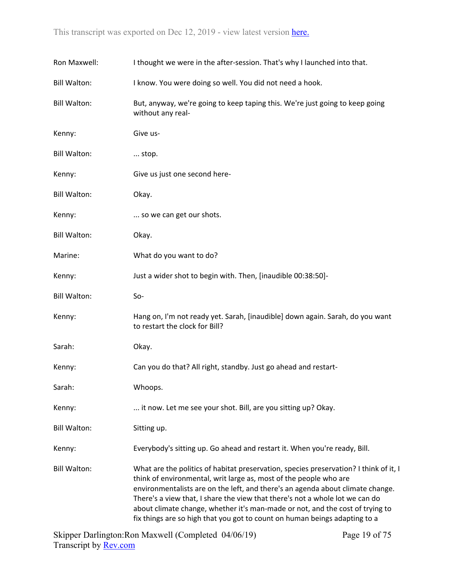| Ron Maxwell:        | I thought we were in the after-session. That's why I launched into that.                                                                                                                                                                                                                                                                                                                                                                                                                    |
|---------------------|---------------------------------------------------------------------------------------------------------------------------------------------------------------------------------------------------------------------------------------------------------------------------------------------------------------------------------------------------------------------------------------------------------------------------------------------------------------------------------------------|
| <b>Bill Walton:</b> | I know. You were doing so well. You did not need a hook.                                                                                                                                                                                                                                                                                                                                                                                                                                    |
| <b>Bill Walton:</b> | But, anyway, we're going to keep taping this. We're just going to keep going<br>without any real-                                                                                                                                                                                                                                                                                                                                                                                           |
| Kenny:              | Give us-                                                                                                                                                                                                                                                                                                                                                                                                                                                                                    |
| <b>Bill Walton:</b> | stop.                                                                                                                                                                                                                                                                                                                                                                                                                                                                                       |
| Kenny:              | Give us just one second here-                                                                                                                                                                                                                                                                                                                                                                                                                                                               |
| <b>Bill Walton:</b> | Okay.                                                                                                                                                                                                                                                                                                                                                                                                                                                                                       |
| Kenny:              | so we can get our shots.                                                                                                                                                                                                                                                                                                                                                                                                                                                                    |
| <b>Bill Walton:</b> | Okay.                                                                                                                                                                                                                                                                                                                                                                                                                                                                                       |
| Marine:             | What do you want to do?                                                                                                                                                                                                                                                                                                                                                                                                                                                                     |
| Kenny:              | Just a wider shot to begin with. Then, [inaudible 00:38:50]-                                                                                                                                                                                                                                                                                                                                                                                                                                |
| <b>Bill Walton:</b> | So-                                                                                                                                                                                                                                                                                                                                                                                                                                                                                         |
| Kenny:              | Hang on, I'm not ready yet. Sarah, [inaudible] down again. Sarah, do you want<br>to restart the clock for Bill?                                                                                                                                                                                                                                                                                                                                                                             |
| Sarah:              | Okay.                                                                                                                                                                                                                                                                                                                                                                                                                                                                                       |
| Kenny:              | Can you do that? All right, standby. Just go ahead and restart-                                                                                                                                                                                                                                                                                                                                                                                                                             |
| Sarah:              | Whoops.                                                                                                                                                                                                                                                                                                                                                                                                                                                                                     |
| Kenny:              | it now. Let me see your shot. Bill, are you sitting up? Okay.                                                                                                                                                                                                                                                                                                                                                                                                                               |
| <b>Bill Walton:</b> | Sitting up.                                                                                                                                                                                                                                                                                                                                                                                                                                                                                 |
| Kenny:              | Everybody's sitting up. Go ahead and restart it. When you're ready, Bill.                                                                                                                                                                                                                                                                                                                                                                                                                   |
| <b>Bill Walton:</b> | What are the politics of habitat preservation, species preservation? I think of it, I<br>think of environmental, writ large as, most of the people who are<br>environmentalists are on the left, and there's an agenda about climate change.<br>There's a view that, I share the view that there's not a whole lot we can do<br>about climate change, whether it's man-made or not, and the cost of trying to<br>fix things are so high that you got to count on human beings adapting to a |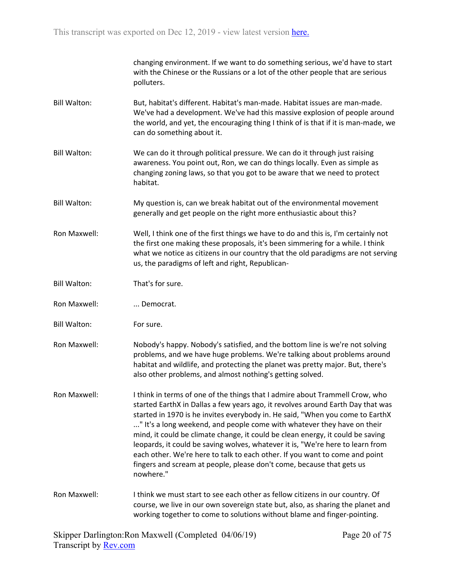changing environment. If we want to do something serious, we'd have to start with the Chinese or the Russians or a lot of the other people that are serious polluters.

- Bill Walton: But, habitat's different. Habitat's man-made. Habitat issues are man-made. We've had a development. We've had this massive explosion of people around the world, and yet, the encouraging thing I think of is that if it is man-made, we can do something about it.
- Bill Walton: We can do it through political pressure. We can do it through just raising awareness. You point out, Ron, we can do things locally. Even as simple as changing zoning laws, so that you got to be aware that we need to protect habitat.
- Bill Walton: My question is, can we break habitat out of the environmental movement generally and get people on the right more enthusiastic about this?
- Ron Maxwell: Well, I think one of the first things we have to do and this is, I'm certainly not the first one making these proposals, it's been simmering for a while. I think what we notice as citizens in our country that the old paradigms are not serving us, the paradigms of left and right, Republican-
- Bill Walton: That's for sure.
- Ron Maxwell: ... Democrat.
- Bill Walton: For sure.
- Ron Maxwell: Nobody's happy. Nobody's satisfied, and the bottom line is we're not solving problems, and we have huge problems. We're talking about problems around habitat and wildlife, and protecting the planet was pretty major. But, there's also other problems, and almost nothing's getting solved.
- Ron Maxwell: I think in terms of one of the things that I admire about Trammell Crow, who started EarthX in Dallas a few years ago, it revolves around Earth Day that was started in 1970 is he invites everybody in. He said, "When you come to EarthX ..." It's a long weekend, and people come with whatever they have on their mind, it could be climate change, it could be clean energy, it could be saving leopards, it could be saving wolves, whatever it is, "We're here to learn from each other. We're here to talk to each other. If you want to come and point fingers and scream at people, please don't come, because that gets us nowhere."
- Ron Maxwell: I think we must start to see each other as fellow citizens in our country. Of course, we live in our own sovereign state but, also, as sharing the planet and working together to come to solutions without blame and finger-pointing.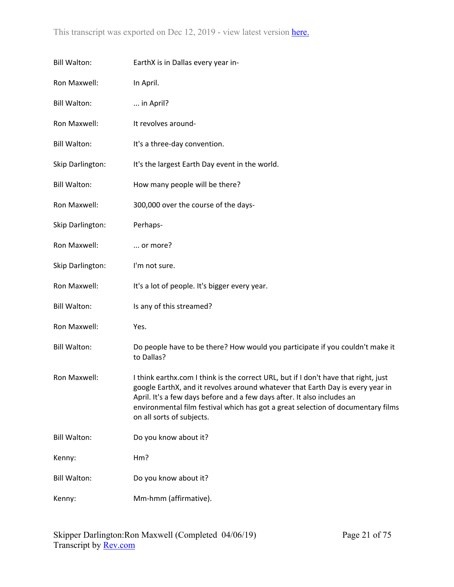| <b>Bill Walton:</b> | EarthX is in Dallas every year in-                                                                                                                                                                                                                                                                                                                                |
|---------------------|-------------------------------------------------------------------------------------------------------------------------------------------------------------------------------------------------------------------------------------------------------------------------------------------------------------------------------------------------------------------|
| Ron Maxwell:        | In April.                                                                                                                                                                                                                                                                                                                                                         |
| <b>Bill Walton:</b> | in April?                                                                                                                                                                                                                                                                                                                                                         |
| Ron Maxwell:        | It revolves around-                                                                                                                                                                                                                                                                                                                                               |
| <b>Bill Walton:</b> | It's a three-day convention.                                                                                                                                                                                                                                                                                                                                      |
| Skip Darlington:    | It's the largest Earth Day event in the world.                                                                                                                                                                                                                                                                                                                    |
| <b>Bill Walton:</b> | How many people will be there?                                                                                                                                                                                                                                                                                                                                    |
| Ron Maxwell:        | 300,000 over the course of the days-                                                                                                                                                                                                                                                                                                                              |
| Skip Darlington:    | Perhaps-                                                                                                                                                                                                                                                                                                                                                          |
| Ron Maxwell:        | or more?                                                                                                                                                                                                                                                                                                                                                          |
| Skip Darlington:    | I'm not sure.                                                                                                                                                                                                                                                                                                                                                     |
| Ron Maxwell:        | It's a lot of people. It's bigger every year.                                                                                                                                                                                                                                                                                                                     |
| <b>Bill Walton:</b> | Is any of this streamed?                                                                                                                                                                                                                                                                                                                                          |
| Ron Maxwell:        | Yes.                                                                                                                                                                                                                                                                                                                                                              |
| <b>Bill Walton:</b> | Do people have to be there? How would you participate if you couldn't make it<br>to Dallas?                                                                                                                                                                                                                                                                       |
| Ron Maxwell:        | I think earthx.com I think is the correct URL, but if I don't have that right, just<br>google EarthX, and it revolves around whatever that Earth Day is every year in<br>April. It's a few days before and a few days after. It also includes an<br>environmental film festival which has got a great selection of documentary films<br>on all sorts of subjects. |
| <b>Bill Walton:</b> | Do you know about it?                                                                                                                                                                                                                                                                                                                                             |
| Kenny:              | Hm?                                                                                                                                                                                                                                                                                                                                                               |
| <b>Bill Walton:</b> | Do you know about it?                                                                                                                                                                                                                                                                                                                                             |
| Kenny:              | Mm-hmm (affirmative).                                                                                                                                                                                                                                                                                                                                             |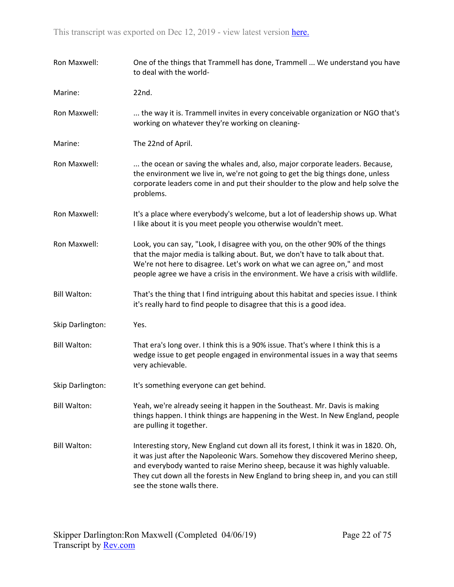| Ron Maxwell:        | One of the things that Trammell has done, Trammell  We understand you have<br>to deal with the world-                                                                                                                                                                                                                                                                 |
|---------------------|-----------------------------------------------------------------------------------------------------------------------------------------------------------------------------------------------------------------------------------------------------------------------------------------------------------------------------------------------------------------------|
| Marine:             | 22nd.                                                                                                                                                                                                                                                                                                                                                                 |
| Ron Maxwell:        | the way it is. Trammell invites in every conceivable organization or NGO that's<br>working on whatever they're working on cleaning-                                                                                                                                                                                                                                   |
| Marine:             | The 22nd of April.                                                                                                                                                                                                                                                                                                                                                    |
| Ron Maxwell:        | the ocean or saving the whales and, also, major corporate leaders. Because,<br>the environment we live in, we're not going to get the big things done, unless<br>corporate leaders come in and put their shoulder to the plow and help solve the<br>problems.                                                                                                         |
| Ron Maxwell:        | It's a place where everybody's welcome, but a lot of leadership shows up. What<br>I like about it is you meet people you otherwise wouldn't meet.                                                                                                                                                                                                                     |
| Ron Maxwell:        | Look, you can say, "Look, I disagree with you, on the other 90% of the things<br>that the major media is talking about. But, we don't have to talk about that.<br>We're not here to disagree. Let's work on what we can agree on," and most<br>people agree we have a crisis in the environment. We have a crisis with wildlife.                                      |
| <b>Bill Walton:</b> | That's the thing that I find intriguing about this habitat and species issue. I think<br>it's really hard to find people to disagree that this is a good idea.                                                                                                                                                                                                        |
| Skip Darlington:    | Yes.                                                                                                                                                                                                                                                                                                                                                                  |
| <b>Bill Walton:</b> | That era's long over. I think this is a 90% issue. That's where I think this is a<br>wedge issue to get people engaged in environmental issues in a way that seems<br>very achievable.                                                                                                                                                                                |
| Skip Darlington:    | It's something everyone can get behind.                                                                                                                                                                                                                                                                                                                               |
| <b>Bill Walton:</b> | Yeah, we're already seeing it happen in the Southeast. Mr. Davis is making<br>things happen. I think things are happening in the West. In New England, people<br>are pulling it together.                                                                                                                                                                             |
| <b>Bill Walton:</b> | Interesting story, New England cut down all its forest, I think it was in 1820. Oh,<br>it was just after the Napoleonic Wars. Somehow they discovered Merino sheep,<br>and everybody wanted to raise Merino sheep, because it was highly valuable.<br>They cut down all the forests in New England to bring sheep in, and you can still<br>see the stone walls there. |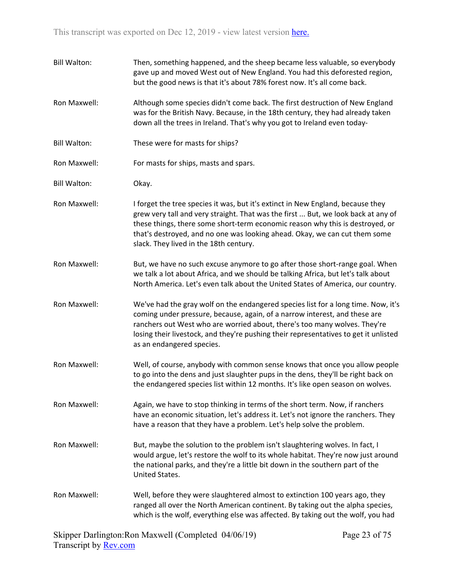Bill Walton: Then, something happened, and the sheep became less valuable, so everybody gave up and moved West out of New England. You had this deforested region, but the good news is that it's about 78% forest now. It's all come back. Ron Maxwell: Although some species didn't come back. The first destruction of New England was for the British Navy. Because, in the 18th century, they had already taken down all the trees in Ireland. That's why you got to Ireland even today-Bill Walton: These were for masts for ships? Ron Maxwell: For masts for ships, masts and spars. Bill Walton: Okay. Ron Maxwell: I forget the tree species it was, but it's extinct in New England, because they grew very tall and very straight. That was the first ... But, we look back at any of these things, there some short-term economic reason why this is destroyed, or that's destroyed, and no one was looking ahead. Okay, we can cut them some slack. They lived in the 18th century. Ron Maxwell: But, we have no such excuse anymore to go after those short-range goal. When we talk a lot about Africa, and we should be talking Africa, but let's talk about North America. Let's even talk about the United States of America, our country. Ron Maxwell: We've had the gray wolf on the endangered species list for a long time. Now, it's coming under pressure, because, again, of a narrow interest, and these are ranchers out West who are worried about, there's too many wolves. They're losing their livestock, and they're pushing their representatives to get it unlisted as an endangered species. Ron Maxwell: Well, of course, anybody with common sense knows that once you allow people to go into the dens and just slaughter pups in the dens, they'll be right back on the endangered species list within 12 months. It's like open season on wolves. Ron Maxwell: Again, we have to stop thinking in terms of the short term. Now, if ranchers have an economic situation, let's address it. Let's not ignore the ranchers. They have a reason that they have a problem. Let's help solve the problem. Ron Maxwell: But, maybe the solution to the problem isn't slaughtering wolves. In fact, I would argue, let's restore the wolf to its whole habitat. They're now just around the national parks, and they're a little bit down in the southern part of the United States. Ron Maxwell: Well, before they were slaughtered almost to extinction 100 years ago, they ranged all over the North American continent. By taking out the alpha species, which is the wolf, everything else was affected. By taking out the wolf, you had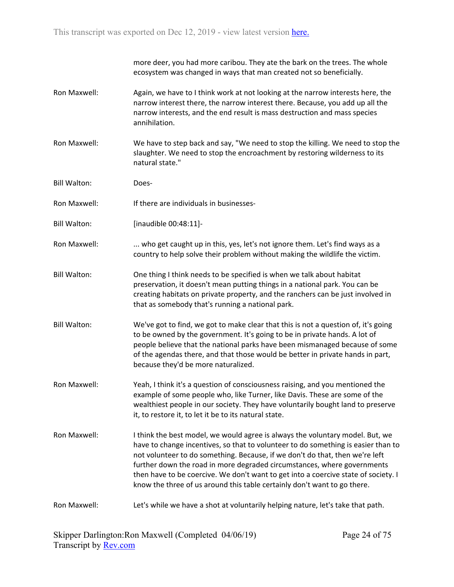more deer, you had more caribou. They ate the bark on the trees. The whole ecosystem was changed in ways that man created not so beneficially.

- Ron Maxwell: Again, we have to I think work at not looking at the narrow interests here, the narrow interest there, the narrow interest there. Because, you add up all the narrow interests, and the end result is mass destruction and mass species annihilation.
- Ron Maxwell: We have to step back and say, "We need to stop the killing. We need to stop the slaughter. We need to stop the encroachment by restoring wilderness to its natural state."
- Bill Walton: Does-
- Ron Maxwell: If there are individuals in businesses-
- Bill Walton: [inaudible 00:48:11]-
- Ron Maxwell: ... who get caught up in this, yes, let's not ignore them. Let's find ways as a country to help solve their problem without making the wildlife the victim.
- Bill Walton: One thing I think needs to be specified is when we talk about habitat preservation, it doesn't mean putting things in a national park. You can be creating habitats on private property, and the ranchers can be just involved in that as somebody that's running a national park.
- Bill Walton: We've got to find, we got to make clear that this is not a question of, it's going to be owned by the government. It's going to be in private hands. A lot of people believe that the national parks have been mismanaged because of some of the agendas there, and that those would be better in private hands in part, because they'd be more naturalized.
- Ron Maxwell: Yeah, I think it's a question of consciousness raising, and you mentioned the example of some people who, like Turner, like Davis. These are some of the wealthiest people in our society. They have voluntarily bought land to preserve it, to restore it, to let it be to its natural state.
- Ron Maxwell: I think the best model, we would agree is always the voluntary model. But, we have to change incentives, so that to volunteer to do something is easier than to not volunteer to do something. Because, if we don't do that, then we're left further down the road in more degraded circumstances, where governments then have to be coercive. We don't want to get into a coercive state of society. I know the three of us around this table certainly don't want to go there.

## Ron Maxwell: Let's while we have a shot at voluntarily helping nature, let's take that path.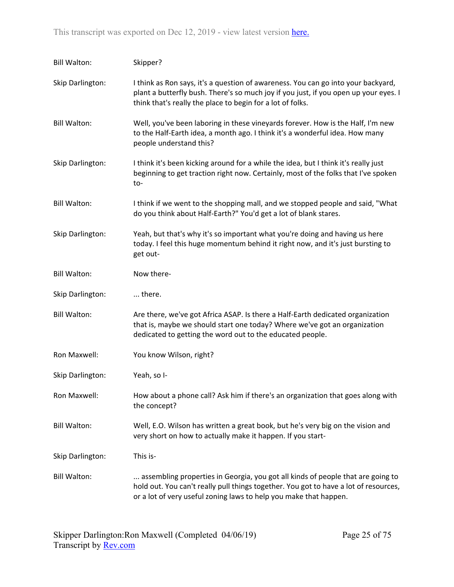| <b>Bill Walton:</b> | Skipper?                                                                                                                                                                                                                                     |
|---------------------|----------------------------------------------------------------------------------------------------------------------------------------------------------------------------------------------------------------------------------------------|
| Skip Darlington:    | I think as Ron says, it's a question of awareness. You can go into your backyard,<br>plant a butterfly bush. There's so much joy if you just, if you open up your eyes. I<br>think that's really the place to begin for a lot of folks.      |
| <b>Bill Walton:</b> | Well, you've been laboring in these vineyards forever. How is the Half, I'm new<br>to the Half-Earth idea, a month ago. I think it's a wonderful idea. How many<br>people understand this?                                                   |
| Skip Darlington:    | I think it's been kicking around for a while the idea, but I think it's really just<br>beginning to get traction right now. Certainly, most of the folks that I've spoken<br>to-                                                             |
| <b>Bill Walton:</b> | I think if we went to the shopping mall, and we stopped people and said, "What<br>do you think about Half-Earth?" You'd get a lot of blank stares.                                                                                           |
| Skip Darlington:    | Yeah, but that's why it's so important what you're doing and having us here<br>today. I feel this huge momentum behind it right now, and it's just bursting to<br>get out-                                                                   |
| <b>Bill Walton:</b> | Now there-                                                                                                                                                                                                                                   |
| Skip Darlington:    | there.                                                                                                                                                                                                                                       |
| <b>Bill Walton:</b> | Are there, we've got Africa ASAP. Is there a Half-Earth dedicated organization<br>that is, maybe we should start one today? Where we've got an organization<br>dedicated to getting the word out to the educated people.                     |
| Ron Maxwell:        | You know Wilson, right?                                                                                                                                                                                                                      |
| Skip Darlington:    | Yeah, so I-                                                                                                                                                                                                                                  |
| Ron Maxwell:        | How about a phone call? Ask him if there's an organization that goes along with<br>the concept?                                                                                                                                              |
| <b>Bill Walton:</b> | Well, E.O. Wilson has written a great book, but he's very big on the vision and<br>very short on how to actually make it happen. If you start-                                                                                               |
| Skip Darlington:    | This is-                                                                                                                                                                                                                                     |
| <b>Bill Walton:</b> | assembling properties in Georgia, you got all kinds of people that are going to<br>hold out. You can't really pull things together. You got to have a lot of resources,<br>or a lot of very useful zoning laws to help you make that happen. |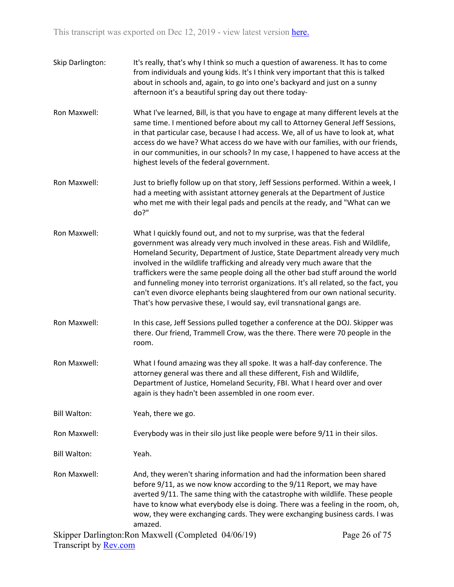| Skip Darlington:    | It's really, that's why I think so much a question of awareness. It has to come<br>from individuals and young kids. It's I think very important that this is talked<br>about in schools and, again, to go into one's backyard and just on a sunny<br>afternoon it's a beautiful spring day out there today-                                                                                                                                                                                                                                                                                                                                                |
|---------------------|------------------------------------------------------------------------------------------------------------------------------------------------------------------------------------------------------------------------------------------------------------------------------------------------------------------------------------------------------------------------------------------------------------------------------------------------------------------------------------------------------------------------------------------------------------------------------------------------------------------------------------------------------------|
| Ron Maxwell:        | What I've learned, Bill, is that you have to engage at many different levels at the<br>same time. I mentioned before about my call to Attorney General Jeff Sessions,<br>in that particular case, because I had access. We, all of us have to look at, what<br>access do we have? What access do we have with our families, with our friends,<br>in our communities, in our schools? In my case, I happened to have access at the<br>highest levels of the federal government.                                                                                                                                                                             |
| Ron Maxwell:        | Just to briefly follow up on that story, Jeff Sessions performed. Within a week, I<br>had a meeting with assistant attorney generals at the Department of Justice<br>who met me with their legal pads and pencils at the ready, and "What can we<br>do?"                                                                                                                                                                                                                                                                                                                                                                                                   |
| Ron Maxwell:        | What I quickly found out, and not to my surprise, was that the federal<br>government was already very much involved in these areas. Fish and Wildlife,<br>Homeland Security, Department of Justice, State Department already very much<br>involved in the wildlife trafficking and already very much aware that the<br>traffickers were the same people doing all the other bad stuff around the world<br>and funneling money into terrorist organizations. It's all related, so the fact, you<br>can't even divorce elephants being slaughtered from our own national security.<br>That's how pervasive these, I would say, evil transnational gangs are. |
| Ron Maxwell:        | In this case, Jeff Sessions pulled together a conference at the DOJ. Skipper was<br>there. Our friend, Trammell Crow, was the there. There were 70 people in the<br>room.                                                                                                                                                                                                                                                                                                                                                                                                                                                                                  |
| Ron Maxwell:        | What I found amazing was they all spoke. It was a half-day conference. The<br>attorney general was there and all these different, Fish and Wildlife,<br>Department of Justice, Homeland Security, FBI. What I heard over and over<br>again is they hadn't been assembled in one room ever.                                                                                                                                                                                                                                                                                                                                                                 |
| <b>Bill Walton:</b> | Yeah, there we go.                                                                                                                                                                                                                                                                                                                                                                                                                                                                                                                                                                                                                                         |
| Ron Maxwell:        | Everybody was in their silo just like people were before 9/11 in their silos.                                                                                                                                                                                                                                                                                                                                                                                                                                                                                                                                                                              |
| <b>Bill Walton:</b> | Yeah.                                                                                                                                                                                                                                                                                                                                                                                                                                                                                                                                                                                                                                                      |
| Ron Maxwell:        | And, they weren't sharing information and had the information been shared<br>before 9/11, as we now know according to the 9/11 Report, we may have<br>averted 9/11. The same thing with the catastrophe with wildlife. These people<br>have to know what everybody else is doing. There was a feeling in the room, oh,<br>wow, they were exchanging cards. They were exchanging business cards. I was<br>amazed.                                                                                                                                                                                                                                           |
|                     |                                                                                                                                                                                                                                                                                                                                                                                                                                                                                                                                                                                                                                                            |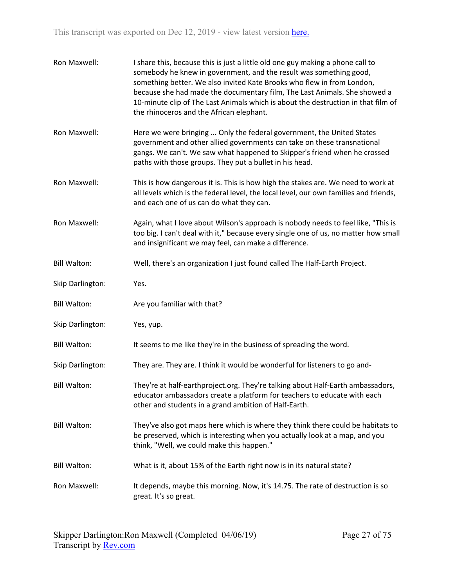| Ron Maxwell:        | I share this, because this is just a little old one guy making a phone call to<br>somebody he knew in government, and the result was something good,<br>something better. We also invited Kate Brooks who flew in from London,<br>because she had made the documentary film, The Last Animals. She showed a<br>10-minute clip of The Last Animals which is about the destruction in that film of<br>the rhinoceros and the African elephant. |
|---------------------|----------------------------------------------------------------------------------------------------------------------------------------------------------------------------------------------------------------------------------------------------------------------------------------------------------------------------------------------------------------------------------------------------------------------------------------------|
| Ron Maxwell:        | Here we were bringing  Only the federal government, the United States<br>government and other allied governments can take on these transnational<br>gangs. We can't. We saw what happened to Skipper's friend when he crossed<br>paths with those groups. They put a bullet in his head.                                                                                                                                                     |
| Ron Maxwell:        | This is how dangerous it is. This is how high the stakes are. We need to work at<br>all levels which is the federal level, the local level, our own families and friends,<br>and each one of us can do what they can.                                                                                                                                                                                                                        |
| Ron Maxwell:        | Again, what I love about Wilson's approach is nobody needs to feel like, "This is<br>too big. I can't deal with it," because every single one of us, no matter how small<br>and insignificant we may feel, can make a difference.                                                                                                                                                                                                            |
| <b>Bill Walton:</b> | Well, there's an organization I just found called The Half-Earth Project.                                                                                                                                                                                                                                                                                                                                                                    |
| Skip Darlington:    | Yes.                                                                                                                                                                                                                                                                                                                                                                                                                                         |
| <b>Bill Walton:</b> | Are you familiar with that?                                                                                                                                                                                                                                                                                                                                                                                                                  |
| Skip Darlington:    | Yes, yup.                                                                                                                                                                                                                                                                                                                                                                                                                                    |
| <b>Bill Walton:</b> | It seems to me like they're in the business of spreading the word.                                                                                                                                                                                                                                                                                                                                                                           |
| Skip Darlington:    | They are. They are. I think it would be wonderful for listeners to go and-                                                                                                                                                                                                                                                                                                                                                                   |
| <b>Bill Walton:</b> | They're at half-earthproject.org. They're talking about Half-Earth ambassadors,<br>educator ambassadors create a platform for teachers to educate with each<br>other and students in a grand ambition of Half-Earth.                                                                                                                                                                                                                         |
| <b>Bill Walton:</b> | They've also got maps here which is where they think there could be habitats to<br>be preserved, which is interesting when you actually look at a map, and you<br>think, "Well, we could make this happen."                                                                                                                                                                                                                                  |
| <b>Bill Walton:</b> | What is it, about 15% of the Earth right now is in its natural state?                                                                                                                                                                                                                                                                                                                                                                        |
| Ron Maxwell:        | It depends, maybe this morning. Now, it's 14.75. The rate of destruction is so<br>great. It's so great.                                                                                                                                                                                                                                                                                                                                      |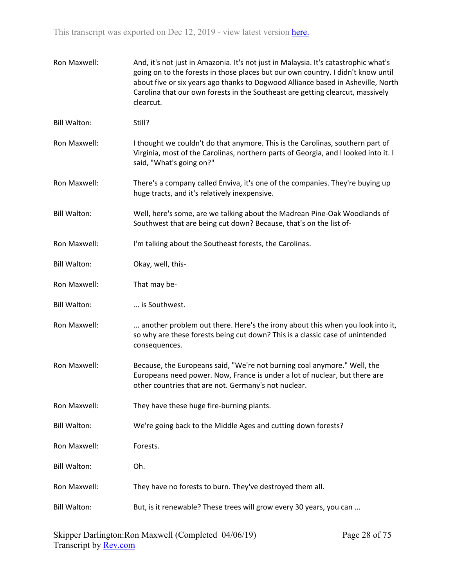| Ron Maxwell:        | And, it's not just in Amazonia. It's not just in Malaysia. It's catastrophic what's<br>going on to the forests in those places but our own country. I didn't know until<br>about five or six years ago thanks to Dogwood Alliance based in Asheville, North<br>Carolina that our own forests in the Southeast are getting clearcut, massively<br>clearcut. |
|---------------------|------------------------------------------------------------------------------------------------------------------------------------------------------------------------------------------------------------------------------------------------------------------------------------------------------------------------------------------------------------|
| <b>Bill Walton:</b> | Still?                                                                                                                                                                                                                                                                                                                                                     |
| Ron Maxwell:        | I thought we couldn't do that anymore. This is the Carolinas, southern part of<br>Virginia, most of the Carolinas, northern parts of Georgia, and I looked into it. I<br>said, "What's going on?"                                                                                                                                                          |
| Ron Maxwell:        | There's a company called Enviva, it's one of the companies. They're buying up<br>huge tracts, and it's relatively inexpensive.                                                                                                                                                                                                                             |
| <b>Bill Walton:</b> | Well, here's some, are we talking about the Madrean Pine-Oak Woodlands of<br>Southwest that are being cut down? Because, that's on the list of-                                                                                                                                                                                                            |
| Ron Maxwell:        | I'm talking about the Southeast forests, the Carolinas.                                                                                                                                                                                                                                                                                                    |
| <b>Bill Walton:</b> | Okay, well, this-                                                                                                                                                                                                                                                                                                                                          |
| Ron Maxwell:        | That may be-                                                                                                                                                                                                                                                                                                                                               |
| <b>Bill Walton:</b> | is Southwest.                                                                                                                                                                                                                                                                                                                                              |
| Ron Maxwell:        | another problem out there. Here's the irony about this when you look into it,<br>so why are these forests being cut down? This is a classic case of unintended<br>consequences.                                                                                                                                                                            |
| Ron Maxwell:        | Because, the Europeans said, "We're not burning coal anymore." Well, the<br>Europeans need power. Now, France is under a lot of nuclear, but there are<br>other countries that are not. Germany's not nuclear.                                                                                                                                             |
| Ron Maxwell:        | They have these huge fire-burning plants.                                                                                                                                                                                                                                                                                                                  |
| <b>Bill Walton:</b> | We're going back to the Middle Ages and cutting down forests?                                                                                                                                                                                                                                                                                              |
| Ron Maxwell:        | Forests.                                                                                                                                                                                                                                                                                                                                                   |
| <b>Bill Walton:</b> | Oh.                                                                                                                                                                                                                                                                                                                                                        |
| Ron Maxwell:        | They have no forests to burn. They've destroyed them all.                                                                                                                                                                                                                                                                                                  |
| <b>Bill Walton:</b> | But, is it renewable? These trees will grow every 30 years, you can                                                                                                                                                                                                                                                                                        |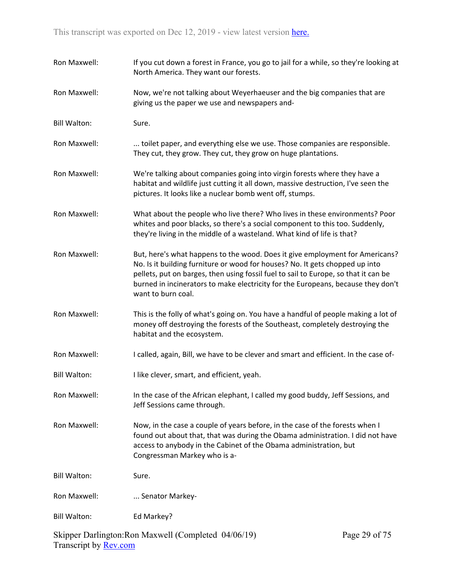| Ron Maxwell:        | If you cut down a forest in France, you go to jail for a while, so they're looking at<br>North America. They want our forests.                                                                                                                                                                                                                                |
|---------------------|---------------------------------------------------------------------------------------------------------------------------------------------------------------------------------------------------------------------------------------------------------------------------------------------------------------------------------------------------------------|
| Ron Maxwell:        | Now, we're not talking about Weyerhaeuser and the big companies that are<br>giving us the paper we use and newspapers and-                                                                                                                                                                                                                                    |
| <b>Bill Walton:</b> | Sure.                                                                                                                                                                                                                                                                                                                                                         |
| Ron Maxwell:        | toilet paper, and everything else we use. Those companies are responsible.<br>They cut, they grow. They cut, they grow on huge plantations.                                                                                                                                                                                                                   |
| Ron Maxwell:        | We're talking about companies going into virgin forests where they have a<br>habitat and wildlife just cutting it all down, massive destruction, I've seen the<br>pictures. It looks like a nuclear bomb went off, stumps.                                                                                                                                    |
| Ron Maxwell:        | What about the people who live there? Who lives in these environments? Poor<br>whites and poor blacks, so there's a social component to this too. Suddenly,<br>they're living in the middle of a wasteland. What kind of life is that?                                                                                                                        |
| Ron Maxwell:        | But, here's what happens to the wood. Does it give employment for Americans?<br>No. Is it building furniture or wood for houses? No. It gets chopped up into<br>pellets, put on barges, then using fossil fuel to sail to Europe, so that it can be<br>burned in incinerators to make electricity for the Europeans, because they don't<br>want to burn coal. |
| Ron Maxwell:        | This is the folly of what's going on. You have a handful of people making a lot of<br>money off destroying the forests of the Southeast, completely destroying the<br>habitat and the ecosystem.                                                                                                                                                              |
| Ron Maxwell:        | I called, again, Bill, we have to be clever and smart and efficient. In the case of-                                                                                                                                                                                                                                                                          |
| <b>Bill Walton:</b> | I like clever, smart, and efficient, yeah.                                                                                                                                                                                                                                                                                                                    |
| Ron Maxwell:        | In the case of the African elephant, I called my good buddy, Jeff Sessions, and<br>Jeff Sessions came through.                                                                                                                                                                                                                                                |
| Ron Maxwell:        | Now, in the case a couple of years before, in the case of the forests when I<br>found out about that, that was during the Obama administration. I did not have<br>access to anybody in the Cabinet of the Obama administration, but<br>Congressman Markey who is a-                                                                                           |
| <b>Bill Walton:</b> | Sure.                                                                                                                                                                                                                                                                                                                                                         |
| Ron Maxwell:        | Senator Markey-                                                                                                                                                                                                                                                                                                                                               |
| <b>Bill Walton:</b> | Ed Markey?                                                                                                                                                                                                                                                                                                                                                    |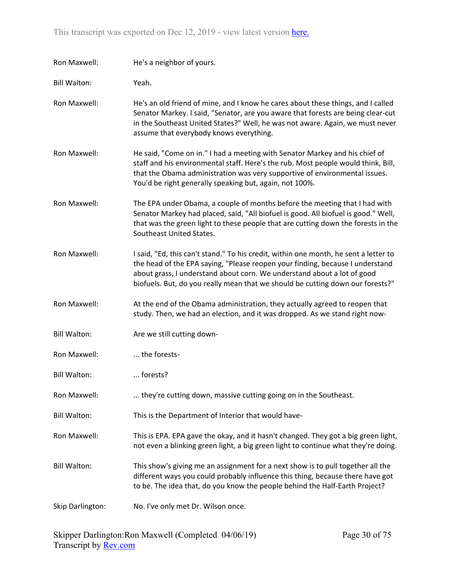| Ron Maxwell:        | He's a neighbor of yours.                                                                                                                                                                                                                                                                                                          |
|---------------------|------------------------------------------------------------------------------------------------------------------------------------------------------------------------------------------------------------------------------------------------------------------------------------------------------------------------------------|
| <b>Bill Walton:</b> | Yeah.                                                                                                                                                                                                                                                                                                                              |
| Ron Maxwell:        | He's an old friend of mine, and I know he cares about these things, and I called<br>Senator Markey. I said, "Senator, are you aware that forests are being clear-cut<br>in the Southeast United States?" Well, he was not aware. Again, we must never<br>assume that everybody knows everything.                                   |
| Ron Maxwell:        | He said, "Come on in." I had a meeting with Senator Markey and his chief of<br>staff and his environmental staff. Here's the rub. Most people would think, Bill,<br>that the Obama administration was very supportive of environmental issues.<br>You'd be right generally speaking but, again, not 100%.                          |
| Ron Maxwell:        | The EPA under Obama, a couple of months before the meeting that I had with<br>Senator Markey had placed, said, "All biofuel is good. All biofuel is good." Well,<br>that was the green light to these people that are cutting down the forests in the<br>Southeast United States.                                                  |
| Ron Maxwell:        | I said, "Ed, this can't stand." To his credit, within one month, he sent a letter to<br>the head of the EPA saying, "Please reopen your finding, because I understand<br>about grass, I understand about corn. We understand about a lot of good<br>biofuels. But, do you really mean that we should be cutting down our forests?" |
| Ron Maxwell:        | At the end of the Obama administration, they actually agreed to reopen that<br>study. Then, we had an election, and it was dropped. As we stand right now-                                                                                                                                                                         |
| <b>Bill Walton:</b> | Are we still cutting down-                                                                                                                                                                                                                                                                                                         |
| Ron Maxwell:        | the forests-                                                                                                                                                                                                                                                                                                                       |
| <b>Bill Walton:</b> | forests?                                                                                                                                                                                                                                                                                                                           |
| Ron Maxwell:        | they're cutting down, massive cutting going on in the Southeast.                                                                                                                                                                                                                                                                   |
| <b>Bill Walton:</b> | This is the Department of Interior that would have-                                                                                                                                                                                                                                                                                |
| Ron Maxwell:        | This is EPA. EPA gave the okay, and it hasn't changed. They got a big green light,<br>not even a blinking green light, a big green light to continue what they're doing.                                                                                                                                                           |
| <b>Bill Walton:</b> | This show's giving me an assignment for a next show is to pull together all the<br>different ways you could probably influence this thing, because there have got<br>to be. The idea that, do you know the people behind the Half-Earth Project?                                                                                   |
| Skip Darlington:    | No. I've only met Dr. Wilson once.                                                                                                                                                                                                                                                                                                 |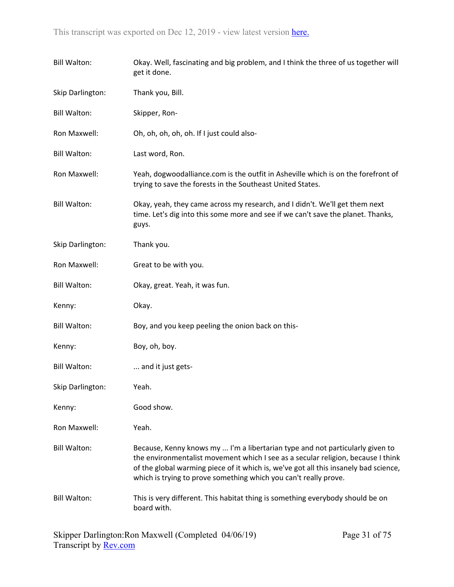| <b>Bill Walton:</b> | Okay. Well, fascinating and big problem, and I think the three of us together will<br>get it done.                                                                                                                                                                                                                            |
|---------------------|-------------------------------------------------------------------------------------------------------------------------------------------------------------------------------------------------------------------------------------------------------------------------------------------------------------------------------|
| Skip Darlington:    | Thank you, Bill.                                                                                                                                                                                                                                                                                                              |
| <b>Bill Walton:</b> | Skipper, Ron-                                                                                                                                                                                                                                                                                                                 |
| Ron Maxwell:        | Oh, oh, oh, oh, oh. If I just could also-                                                                                                                                                                                                                                                                                     |
| <b>Bill Walton:</b> | Last word, Ron.                                                                                                                                                                                                                                                                                                               |
| Ron Maxwell:        | Yeah, dogwoodalliance.com is the outfit in Asheville which is on the forefront of<br>trying to save the forests in the Southeast United States.                                                                                                                                                                               |
| <b>Bill Walton:</b> | Okay, yeah, they came across my research, and I didn't. We'll get them next<br>time. Let's dig into this some more and see if we can't save the planet. Thanks,<br>guys.                                                                                                                                                      |
| Skip Darlington:    | Thank you.                                                                                                                                                                                                                                                                                                                    |
| Ron Maxwell:        | Great to be with you.                                                                                                                                                                                                                                                                                                         |
| <b>Bill Walton:</b> | Okay, great. Yeah, it was fun.                                                                                                                                                                                                                                                                                                |
| Kenny:              | Okay.                                                                                                                                                                                                                                                                                                                         |
| <b>Bill Walton:</b> | Boy, and you keep peeling the onion back on this-                                                                                                                                                                                                                                                                             |
| Kenny:              | Boy, oh, boy.                                                                                                                                                                                                                                                                                                                 |
| <b>Bill Walton:</b> | and it just gets-                                                                                                                                                                                                                                                                                                             |
| Skip Darlington:    | Yeah.                                                                                                                                                                                                                                                                                                                         |
| Kenny:              | Good show.                                                                                                                                                                                                                                                                                                                    |
| Ron Maxwell:        | Yeah.                                                                                                                                                                                                                                                                                                                         |
| <b>Bill Walton:</b> | Because, Kenny knows my  I'm a libertarian type and not particularly given to<br>the environmentalist movement which I see as a secular religion, because I think<br>of the global warming piece of it which is, we've got all this insanely bad science,<br>which is trying to prove something which you can't really prove. |
| <b>Bill Walton:</b> | This is very different. This habitat thing is something everybody should be on<br>board with.                                                                                                                                                                                                                                 |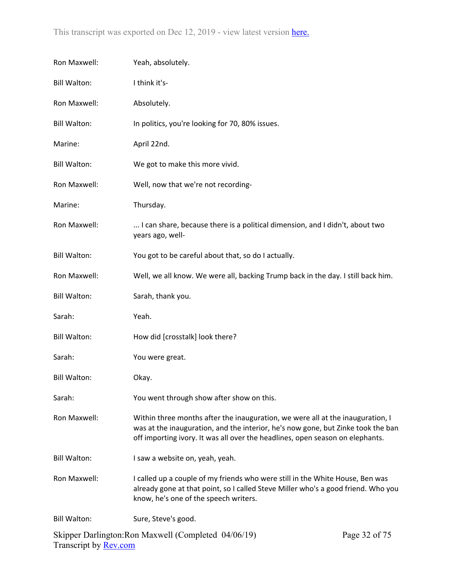| Ron Maxwell:        | Yeah, absolutely.                                                                                                                                                                                                                                   |  |
|---------------------|-----------------------------------------------------------------------------------------------------------------------------------------------------------------------------------------------------------------------------------------------------|--|
| <b>Bill Walton:</b> | I think it's-                                                                                                                                                                                                                                       |  |
| Ron Maxwell:        | Absolutely.                                                                                                                                                                                                                                         |  |
| <b>Bill Walton:</b> | In politics, you're looking for 70, 80% issues.                                                                                                                                                                                                     |  |
| Marine:             | April 22nd.                                                                                                                                                                                                                                         |  |
| <b>Bill Walton:</b> | We got to make this more vivid.                                                                                                                                                                                                                     |  |
| Ron Maxwell:        | Well, now that we're not recording-                                                                                                                                                                                                                 |  |
| Marine:             | Thursday.                                                                                                                                                                                                                                           |  |
| Ron Maxwell:        | I can share, because there is a political dimension, and I didn't, about two<br>years ago, well-                                                                                                                                                    |  |
| <b>Bill Walton:</b> | You got to be careful about that, so do I actually.                                                                                                                                                                                                 |  |
| Ron Maxwell:        | Well, we all know. We were all, backing Trump back in the day. I still back him.                                                                                                                                                                    |  |
| <b>Bill Walton:</b> | Sarah, thank you.                                                                                                                                                                                                                                   |  |
| Sarah:              | Yeah.                                                                                                                                                                                                                                               |  |
| <b>Bill Walton:</b> | How did [crosstalk] look there?                                                                                                                                                                                                                     |  |
| Sarah:              | You were great.                                                                                                                                                                                                                                     |  |
| <b>Bill Walton:</b> | Okay.                                                                                                                                                                                                                                               |  |
| Sarah:              | You went through show after show on this.                                                                                                                                                                                                           |  |
| Ron Maxwell:        | Within three months after the inauguration, we were all at the inauguration, I<br>was at the inauguration, and the interior, he's now gone, but Zinke took the ban<br>off importing ivory. It was all over the headlines, open season on elephants. |  |
| <b>Bill Walton:</b> | I saw a website on, yeah, yeah.                                                                                                                                                                                                                     |  |
| Ron Maxwell:        | I called up a couple of my friends who were still in the White House, Ben was<br>already gone at that point, so I called Steve Miller who's a good friend. Who you<br>know, he's one of the speech writers.                                         |  |
| <b>Bill Walton:</b> | Sure, Steve's good.                                                                                                                                                                                                                                 |  |
|                     | Skipper Darlington: Ron Maxwell (Completed 04/06/19)<br>Page 32 of 75                                                                                                                                                                               |  |

Transcript by <u>Rev.com</u>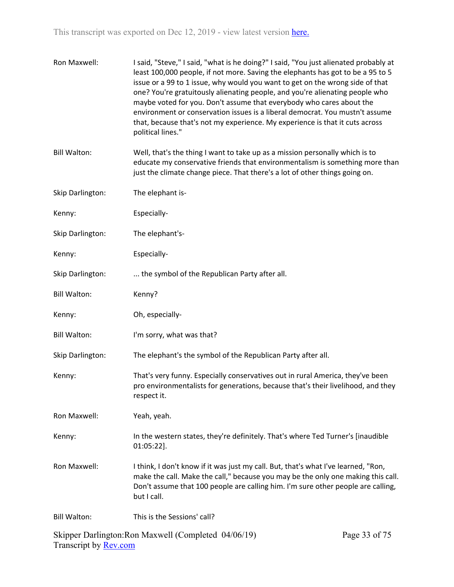| Ron Maxwell:        | I said, "Steve," I said, "what is he doing?" I said, "You just alienated probably at<br>least 100,000 people, if not more. Saving the elephants has got to be a 95 to 5<br>issue or a 99 to 1 issue, why would you want to get on the wrong side of that<br>one? You're gratuitously alienating people, and you're alienating people who<br>maybe voted for you. Don't assume that everybody who cares about the<br>environment or conservation issues is a liberal democrat. You mustn't assume<br>that, because that's not my experience. My experience is that it cuts across<br>political lines." |
|---------------------|-------------------------------------------------------------------------------------------------------------------------------------------------------------------------------------------------------------------------------------------------------------------------------------------------------------------------------------------------------------------------------------------------------------------------------------------------------------------------------------------------------------------------------------------------------------------------------------------------------|
| <b>Bill Walton:</b> | Well, that's the thing I want to take up as a mission personally which is to<br>educate my conservative friends that environmentalism is something more than<br>just the climate change piece. That there's a lot of other things going on.                                                                                                                                                                                                                                                                                                                                                           |
| Skip Darlington:    | The elephant is-                                                                                                                                                                                                                                                                                                                                                                                                                                                                                                                                                                                      |
| Kenny:              | Especially-                                                                                                                                                                                                                                                                                                                                                                                                                                                                                                                                                                                           |
| Skip Darlington:    | The elephant's-                                                                                                                                                                                                                                                                                                                                                                                                                                                                                                                                                                                       |
| Kenny:              | Especially-                                                                                                                                                                                                                                                                                                                                                                                                                                                                                                                                                                                           |
| Skip Darlington:    | the symbol of the Republican Party after all.                                                                                                                                                                                                                                                                                                                                                                                                                                                                                                                                                         |
| <b>Bill Walton:</b> | Kenny?                                                                                                                                                                                                                                                                                                                                                                                                                                                                                                                                                                                                |
| Kenny:              | Oh, especially-                                                                                                                                                                                                                                                                                                                                                                                                                                                                                                                                                                                       |
| <b>Bill Walton:</b> | I'm sorry, what was that?                                                                                                                                                                                                                                                                                                                                                                                                                                                                                                                                                                             |
| Skip Darlington:    | The elephant's the symbol of the Republican Party after all.                                                                                                                                                                                                                                                                                                                                                                                                                                                                                                                                          |
| Kenny:              | That's very funny. Especially conservatives out in rural America, they've been<br>pro environmentalists for generations, because that's their livelihood, and they<br>respect it.                                                                                                                                                                                                                                                                                                                                                                                                                     |
| Ron Maxwell:        | Yeah, yeah.                                                                                                                                                                                                                                                                                                                                                                                                                                                                                                                                                                                           |
| Kenny:              | In the western states, they're definitely. That's where Ted Turner's [inaudible<br>$01:05:22$ ].                                                                                                                                                                                                                                                                                                                                                                                                                                                                                                      |
| Ron Maxwell:        | I think, I don't know if it was just my call. But, that's what I've learned, "Ron,<br>make the call. Make the call," because you may be the only one making this call.<br>Don't assume that 100 people are calling him. I'm sure other people are calling,<br>but I call.                                                                                                                                                                                                                                                                                                                             |
| <b>Bill Walton:</b> | This is the Sessions' call?                                                                                                                                                                                                                                                                                                                                                                                                                                                                                                                                                                           |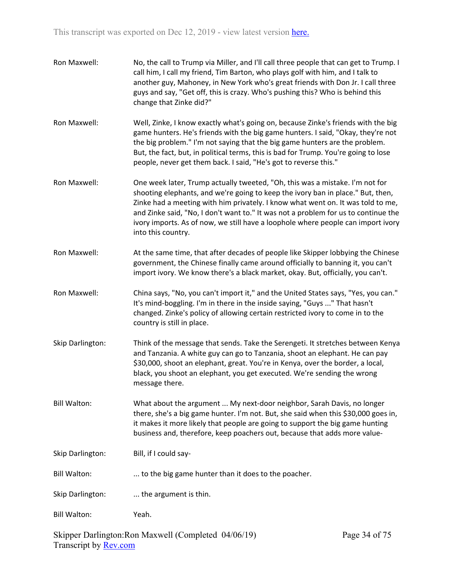| Ron Maxwell:        | No, the call to Trump via Miller, and I'll call three people that can get to Trump. I<br>call him, I call my friend, Tim Barton, who plays golf with him, and I talk to<br>another guy, Mahoney, in New York who's great friends with Don Jr. I call three<br>guys and say, "Get off, this is crazy. Who's pushing this? Who is behind this<br>change that Zinke did?"                                                                             |
|---------------------|----------------------------------------------------------------------------------------------------------------------------------------------------------------------------------------------------------------------------------------------------------------------------------------------------------------------------------------------------------------------------------------------------------------------------------------------------|
| Ron Maxwell:        | Well, Zinke, I know exactly what's going on, because Zinke's friends with the big<br>game hunters. He's friends with the big game hunters. I said, "Okay, they're not<br>the big problem." I'm not saying that the big game hunters are the problem.<br>But, the fact, but, in political terms, this is bad for Trump. You're going to lose<br>people, never get them back. I said, "He's got to reverse this."                                    |
| Ron Maxwell:        | One week later, Trump actually tweeted, "Oh, this was a mistake. I'm not for<br>shooting elephants, and we're going to keep the ivory ban in place." But, then,<br>Zinke had a meeting with him privately. I know what went on. It was told to me,<br>and Zinke said, "No, I don't want to." It was not a problem for us to continue the<br>ivory imports. As of now, we still have a loophole where people can import ivory<br>into this country. |
| Ron Maxwell:        | At the same time, that after decades of people like Skipper lobbying the Chinese<br>government, the Chinese finally came around officially to banning it, you can't<br>import ivory. We know there's a black market, okay. But, officially, you can't.                                                                                                                                                                                             |
| Ron Maxwell:        | China says, "No, you can't import it," and the United States says, "Yes, you can."<br>It's mind-boggling. I'm in there in the inside saying, "Guys " That hasn't<br>changed. Zinke's policy of allowing certain restricted ivory to come in to the<br>country is still in place.                                                                                                                                                                   |
| Skip Darlington:    | Think of the message that sends. Take the Serengeti. It stretches between Kenya<br>and Tanzania. A white guy can go to Tanzania, shoot an elephant. He can pay<br>\$30,000, shoot an elephant, great. You're in Kenya, over the border, a local,<br>black, you shoot an elephant, you get executed. We're sending the wrong<br>message there.                                                                                                      |
| <b>Bill Walton:</b> | What about the argument  My next-door neighbor, Sarah Davis, no longer<br>there, she's a big game hunter. I'm not. But, she said when this \$30,000 goes in,<br>it makes it more likely that people are going to support the big game hunting<br>business and, therefore, keep poachers out, because that adds more value-                                                                                                                         |
| Skip Darlington:    | Bill, if I could say-                                                                                                                                                                                                                                                                                                                                                                                                                              |
| <b>Bill Walton:</b> | to the big game hunter than it does to the poacher.                                                                                                                                                                                                                                                                                                                                                                                                |
| Skip Darlington:    | the argument is thin.                                                                                                                                                                                                                                                                                                                                                                                                                              |
| <b>Bill Walton:</b> | Yeah.                                                                                                                                                                                                                                                                                                                                                                                                                                              |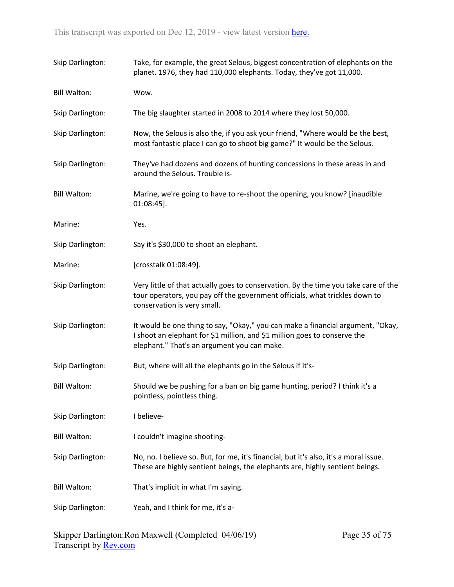| Skip Darlington:    | Take, for example, the great Selous, biggest concentration of elephants on the<br>planet. 1976, they had 110,000 elephants. Today, they've got 11,000.                                                      |
|---------------------|-------------------------------------------------------------------------------------------------------------------------------------------------------------------------------------------------------------|
| <b>Bill Walton:</b> | Wow.                                                                                                                                                                                                        |
| Skip Darlington:    | The big slaughter started in 2008 to 2014 where they lost 50,000.                                                                                                                                           |
| Skip Darlington:    | Now, the Selous is also the, if you ask your friend, "Where would be the best,<br>most fantastic place I can go to shoot big game?" It would be the Selous.                                                 |
| Skip Darlington:    | They've had dozens and dozens of hunting concessions in these areas in and<br>around the Selous. Trouble is-                                                                                                |
| <b>Bill Walton:</b> | Marine, we're going to have to re-shoot the opening, you know? [inaudible<br>$01:08:45$ ].                                                                                                                  |
| Marine:             | Yes.                                                                                                                                                                                                        |
| Skip Darlington:    | Say it's \$30,000 to shoot an elephant.                                                                                                                                                                     |
| Marine:             | [crosstalk 01:08:49].                                                                                                                                                                                       |
| Skip Darlington:    | Very little of that actually goes to conservation. By the time you take care of the<br>tour operators, you pay off the government officials, what trickles down to<br>conservation is very small.           |
| Skip Darlington:    | It would be one thing to say, "Okay," you can make a financial argument, "Okay,<br>I shoot an elephant for \$1 million, and \$1 million goes to conserve the<br>elephant." That's an argument you can make. |
| Skip Darlington:    | But, where will all the elephants go in the Selous if it's-                                                                                                                                                 |
| <b>Bill Walton:</b> | Should we be pushing for a ban on big game hunting, period? I think it's a<br>pointless, pointless thing.                                                                                                   |
| Skip Darlington:    | I believe-                                                                                                                                                                                                  |
| <b>Bill Walton:</b> | I couldn't imagine shooting-                                                                                                                                                                                |
| Skip Darlington:    | No, no. I believe so. But, for me, it's financial, but it's also, it's a moral issue.<br>These are highly sentient beings, the elephants are, highly sentient beings.                                       |
| <b>Bill Walton:</b> | That's implicit in what I'm saying.                                                                                                                                                                         |
| Skip Darlington:    | Yeah, and I think for me, it's a-                                                                                                                                                                           |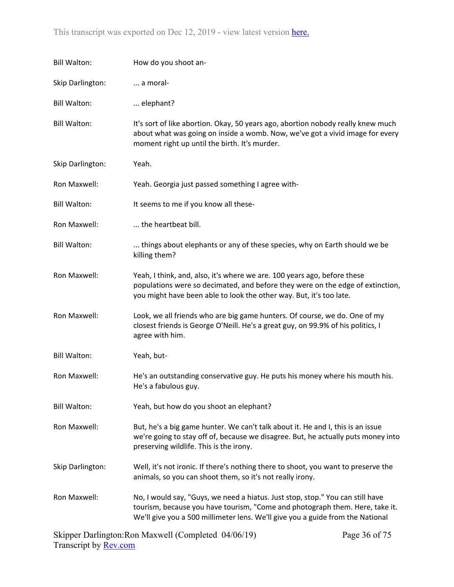| <b>Bill Walton:</b> | How do you shoot an-                                                                                                                                                                                                                             |
|---------------------|--------------------------------------------------------------------------------------------------------------------------------------------------------------------------------------------------------------------------------------------------|
| Skip Darlington:    | a moral-                                                                                                                                                                                                                                         |
| <b>Bill Walton:</b> | elephant?                                                                                                                                                                                                                                        |
| <b>Bill Walton:</b> | It's sort of like abortion. Okay, 50 years ago, abortion nobody really knew much<br>about what was going on inside a womb. Now, we've got a vivid image for every<br>moment right up until the birth. It's murder.                               |
| Skip Darlington:    | Yeah.                                                                                                                                                                                                                                            |
| Ron Maxwell:        | Yeah. Georgia just passed something I agree with-                                                                                                                                                                                                |
| <b>Bill Walton:</b> | It seems to me if you know all these-                                                                                                                                                                                                            |
| Ron Maxwell:        | the heartbeat bill.                                                                                                                                                                                                                              |
| <b>Bill Walton:</b> | things about elephants or any of these species, why on Earth should we be<br>killing them?                                                                                                                                                       |
| Ron Maxwell:        | Yeah, I think, and, also, it's where we are. 100 years ago, before these<br>populations were so decimated, and before they were on the edge of extinction,<br>you might have been able to look the other way. But, it's too late.                |
| Ron Maxwell:        | Look, we all friends who are big game hunters. Of course, we do. One of my<br>closest friends is George O'Neill. He's a great guy, on 99.9% of his politics, I<br>agree with him.                                                                |
| <b>Bill Walton:</b> | Yeah, but-                                                                                                                                                                                                                                       |
| Ron Maxwell:        | He's an outstanding conservative guy. He puts his money where his mouth his.<br>He's a fabulous guy.                                                                                                                                             |
| <b>Bill Walton:</b> | Yeah, but how do you shoot an elephant?                                                                                                                                                                                                          |
| Ron Maxwell:        | But, he's a big game hunter. We can't talk about it. He and I, this is an issue<br>we're going to stay off of, because we disagree. But, he actually puts money into<br>preserving wildlife. This is the irony.                                  |
| Skip Darlington:    | Well, it's not ironic. If there's nothing there to shoot, you want to preserve the<br>animals, so you can shoot them, so it's not really irony.                                                                                                  |
| Ron Maxwell:        | No, I would say, "Guys, we need a hiatus. Just stop, stop." You can still have<br>tourism, because you have tourism, "Come and photograph them. Here, take it.<br>We'll give you a 500 millimeter lens. We'll give you a guide from the National |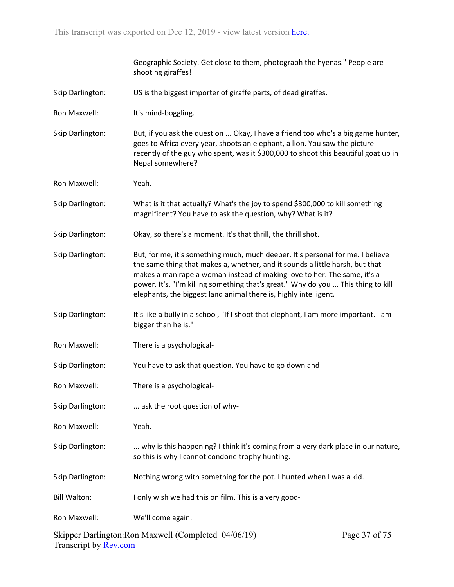Geographic Society. Get close to them, photograph the hyenas." People are shooting giraffes!

- Skip Darlington: US is the biggest importer of giraffe parts, of dead giraffes.
- Ron Maxwell: It's mind-boggling.
- Skip Darlington: But, if you ask the question ... Okay, I have a friend too who's a big game hunter, goes to Africa every year, shoots an elephant, a lion. You saw the picture recently of the guy who spent, was it \$300,000 to shoot this beautiful goat up in Nepal somewhere?
- Ron Maxwell: Yeah.
- Skip Darlington: What is it that actually? What's the joy to spend \$300,000 to kill something magnificent? You have to ask the question, why? What is it?
- Skip Darlington: Okay, so there's a moment. It's that thrill, the thrill shot.
- Skip Darlington: But, for me, it's something much, much deeper. It's personal for me. I believe the same thing that makes a, whether, and it sounds a little harsh, but that makes a man rape a woman instead of making love to her. The same, it's a power. It's, "I'm killing something that's great." Why do you ... This thing to kill elephants, the biggest land animal there is, highly intelligent.
- Skip Darlington: It's like a bully in a school, "If I shoot that elephant, I am more important. I am bigger than he is."
- Ron Maxwell: There is a psychological-
- Skip Darlington: You have to ask that question. You have to go down and-
- Ron Maxwell: There is a psychological-
- Skip Darlington: ... ask the root question of why-
- Ron Maxwell: Yeah.
- Skip Darlington: ... why is this happening? I think it's coming from a very dark place in our nature, so this is why I cannot condone trophy hunting.
- Skip Darlington: Nothing wrong with something for the pot. I hunted when I was a kid.
- Bill Walton: I only wish we had this on film. This is a very good-

Ron Maxwell: We'll come again.

Skipper Darlington:Ron Maxwell (Completed 04/06/19) Transcript by [Rev.com](https://www.rev.com/) Page 37 of 75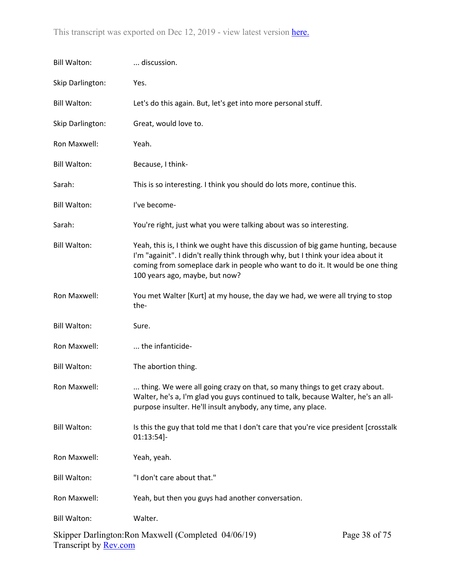| <b>Bill Walton:</b> | discussion.                                                                                                                                                                                                                                                                              |               |
|---------------------|------------------------------------------------------------------------------------------------------------------------------------------------------------------------------------------------------------------------------------------------------------------------------------------|---------------|
| Skip Darlington:    | Yes.                                                                                                                                                                                                                                                                                     |               |
| <b>Bill Walton:</b> | Let's do this again. But, let's get into more personal stuff.                                                                                                                                                                                                                            |               |
| Skip Darlington:    | Great, would love to.                                                                                                                                                                                                                                                                    |               |
| Ron Maxwell:        | Yeah.                                                                                                                                                                                                                                                                                    |               |
| <b>Bill Walton:</b> | Because, I think-                                                                                                                                                                                                                                                                        |               |
| Sarah:              | This is so interesting. I think you should do lots more, continue this.                                                                                                                                                                                                                  |               |
| <b>Bill Walton:</b> | I've become-                                                                                                                                                                                                                                                                             |               |
| Sarah:              | You're right, just what you were talking about was so interesting.                                                                                                                                                                                                                       |               |
| <b>Bill Walton:</b> | Yeah, this is, I think we ought have this discussion of big game hunting, because<br>I'm "againit". I didn't really think through why, but I think your idea about it<br>coming from someplace dark in people who want to do it. It would be one thing<br>100 years ago, maybe, but now? |               |
| Ron Maxwell:        | You met Walter [Kurt] at my house, the day we had, we were all trying to stop<br>the-                                                                                                                                                                                                    |               |
| <b>Bill Walton:</b> | Sure.                                                                                                                                                                                                                                                                                    |               |
| Ron Maxwell:        | the infanticide-                                                                                                                                                                                                                                                                         |               |
| <b>Bill Walton:</b> | The abortion thing.                                                                                                                                                                                                                                                                      |               |
| Ron Maxwell:        | thing. We were all going crazy on that, so many things to get crazy about.<br>Walter, he's a, I'm glad you guys continued to talk, because Walter, he's an all-<br>purpose insulter. He'll insult anybody, any time, any place.                                                          |               |
| <b>Bill Walton:</b> | Is this the guy that told me that I don't care that you're vice president [crosstalk<br>$01:13:54$ ]-                                                                                                                                                                                    |               |
| Ron Maxwell:        | Yeah, yeah.                                                                                                                                                                                                                                                                              |               |
| <b>Bill Walton:</b> | "I don't care about that."                                                                                                                                                                                                                                                               |               |
| Ron Maxwell:        | Yeah, but then you guys had another conversation.                                                                                                                                                                                                                                        |               |
| <b>Bill Walton:</b> | Walter.                                                                                                                                                                                                                                                                                  |               |
|                     | Skipper Darlington: Ron Maxwell (Completed 04/06/19)                                                                                                                                                                                                                                     | Page 38 of 75 |

SKIPPEL Dartington. Kon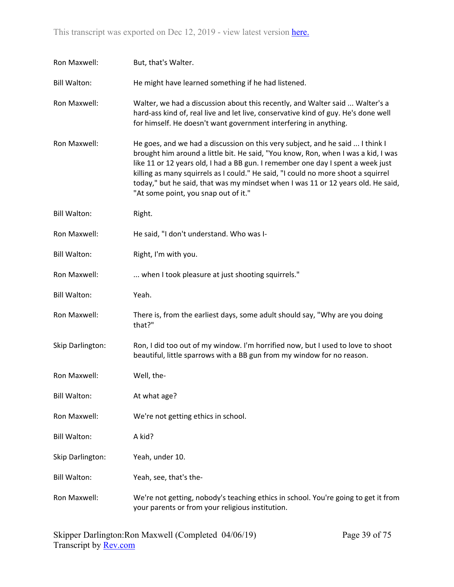| Ron Maxwell:        | But, that's Walter.                                                                                                                                                                                                                                                                                                                                                                                                                                                    |
|---------------------|------------------------------------------------------------------------------------------------------------------------------------------------------------------------------------------------------------------------------------------------------------------------------------------------------------------------------------------------------------------------------------------------------------------------------------------------------------------------|
| <b>Bill Walton:</b> | He might have learned something if he had listened.                                                                                                                                                                                                                                                                                                                                                                                                                    |
| Ron Maxwell:        | Walter, we had a discussion about this recently, and Walter said  Walter's a<br>hard-ass kind of, real live and let live, conservative kind of guy. He's done well<br>for himself. He doesn't want government interfering in anything.                                                                                                                                                                                                                                 |
| Ron Maxwell:        | He goes, and we had a discussion on this very subject, and he said  I think I<br>brought him around a little bit. He said, "You know, Ron, when I was a kid, I was<br>like 11 or 12 years old, I had a BB gun. I remember one day I spent a week just<br>killing as many squirrels as I could." He said, "I could no more shoot a squirrel<br>today," but he said, that was my mindset when I was 11 or 12 years old. He said,<br>"At some point, you snap out of it." |
| <b>Bill Walton:</b> | Right.                                                                                                                                                                                                                                                                                                                                                                                                                                                                 |
| Ron Maxwell:        | He said, "I don't understand. Who was I-                                                                                                                                                                                                                                                                                                                                                                                                                               |
| <b>Bill Walton:</b> | Right, I'm with you.                                                                                                                                                                                                                                                                                                                                                                                                                                                   |
| Ron Maxwell:        | when I took pleasure at just shooting squirrels."                                                                                                                                                                                                                                                                                                                                                                                                                      |
| <b>Bill Walton:</b> | Yeah.                                                                                                                                                                                                                                                                                                                                                                                                                                                                  |
| Ron Maxwell:        | There is, from the earliest days, some adult should say, "Why are you doing<br>that?"                                                                                                                                                                                                                                                                                                                                                                                  |
| Skip Darlington:    | Ron, I did too out of my window. I'm horrified now, but I used to love to shoot<br>beautiful, little sparrows with a BB gun from my window for no reason.                                                                                                                                                                                                                                                                                                              |
| Ron Maxwell:        | Well, the-                                                                                                                                                                                                                                                                                                                                                                                                                                                             |
| <b>Bill Walton:</b> | At what age?                                                                                                                                                                                                                                                                                                                                                                                                                                                           |
| Ron Maxwell:        | We're not getting ethics in school.                                                                                                                                                                                                                                                                                                                                                                                                                                    |
| <b>Bill Walton:</b> | A kid?                                                                                                                                                                                                                                                                                                                                                                                                                                                                 |
| Skip Darlington:    | Yeah, under 10.                                                                                                                                                                                                                                                                                                                                                                                                                                                        |
| <b>Bill Walton:</b> | Yeah, see, that's the-                                                                                                                                                                                                                                                                                                                                                                                                                                                 |
| Ron Maxwell:        | We're not getting, nobody's teaching ethics in school. You're going to get it from<br>your parents or from your religious institution.                                                                                                                                                                                                                                                                                                                                 |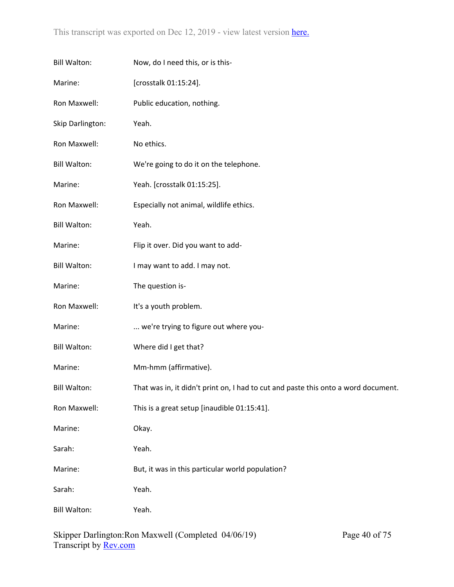| <b>Bill Walton:</b> | Now, do I need this, or is this-                                                   |
|---------------------|------------------------------------------------------------------------------------|
| Marine:             | [crosstalk 01:15:24].                                                              |
| Ron Maxwell:        | Public education, nothing.                                                         |
| Skip Darlington:    | Yeah.                                                                              |
| Ron Maxwell:        | No ethics.                                                                         |
| <b>Bill Walton:</b> | We're going to do it on the telephone.                                             |
| Marine:             | Yeah. [crosstalk 01:15:25].                                                        |
| Ron Maxwell:        | Especially not animal, wildlife ethics.                                            |
| <b>Bill Walton:</b> | Yeah.                                                                              |
| Marine:             | Flip it over. Did you want to add-                                                 |
| <b>Bill Walton:</b> | I may want to add. I may not.                                                      |
| Marine:             | The question is-                                                                   |
| Ron Maxwell:        | It's a youth problem.                                                              |
| Marine:             | we're trying to figure out where you-                                              |
| <b>Bill Walton:</b> | Where did I get that?                                                              |
| Marine:             | Mm-hmm (affirmative).                                                              |
| <b>Bill Walton:</b> | That was in, it didn't print on, I had to cut and paste this onto a word document. |
| Ron Maxwell:        | This is a great setup [inaudible 01:15:41].                                        |
| Marine:             | Okay.                                                                              |
| Sarah:              | Yeah.                                                                              |
| Marine:             | But, it was in this particular world population?                                   |
| Sarah:              | Yeah.                                                                              |
| <b>Bill Walton:</b> | Yeah.                                                                              |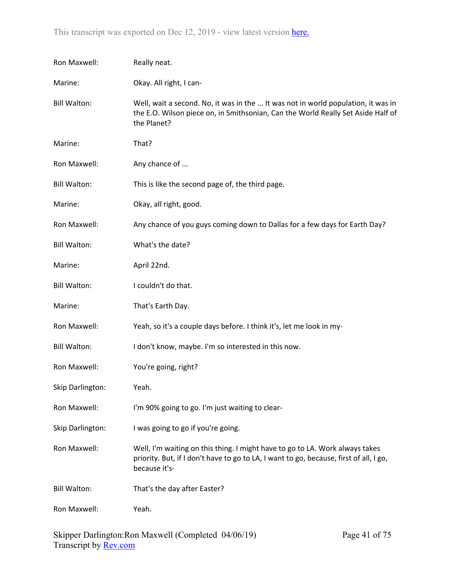| Ron Maxwell:        | Really neat.                                                                                                                                                                            |
|---------------------|-----------------------------------------------------------------------------------------------------------------------------------------------------------------------------------------|
| Marine:             | Okay. All right, I can-                                                                                                                                                                 |
| <b>Bill Walton:</b> | Well, wait a second. No, it was in the  It was not in world population, it was in<br>the E.O. Wilson piece on, in Smithsonian, Can the World Really Set Aside Half of<br>the Planet?    |
| Marine:             | That?                                                                                                                                                                                   |
| Ron Maxwell:        | Any chance of                                                                                                                                                                           |
| <b>Bill Walton:</b> | This is like the second page of, the third page.                                                                                                                                        |
| Marine:             | Okay, all right, good.                                                                                                                                                                  |
| Ron Maxwell:        | Any chance of you guys coming down to Dallas for a few days for Earth Day?                                                                                                              |
| <b>Bill Walton:</b> | What's the date?                                                                                                                                                                        |
| Marine:             | April 22nd.                                                                                                                                                                             |
| <b>Bill Walton:</b> | I couldn't do that.                                                                                                                                                                     |
| Marine:             | That's Earth Day.                                                                                                                                                                       |
| Ron Maxwell:        | Yeah, so it's a couple days before. I think it's, let me look in my-                                                                                                                    |
| <b>Bill Walton:</b> | I don't know, maybe. I'm so interested in this now.                                                                                                                                     |
| Ron Maxwell:        | You're going, right?                                                                                                                                                                    |
| Skip Darlington:    | Yeah.                                                                                                                                                                                   |
| Ron Maxwell:        | I'm 90% going to go. I'm just waiting to clear-                                                                                                                                         |
| Skip Darlington:    | I was going to go if you're going.                                                                                                                                                      |
| Ron Maxwell:        | Well, I'm waiting on this thing. I might have to go to LA. Work always takes<br>priority. But, if I don't have to go to LA, I want to go, because, first of all, I go,<br>because it's- |
| <b>Bill Walton:</b> | That's the day after Easter?                                                                                                                                                            |
| Ron Maxwell:        | Yeah.                                                                                                                                                                                   |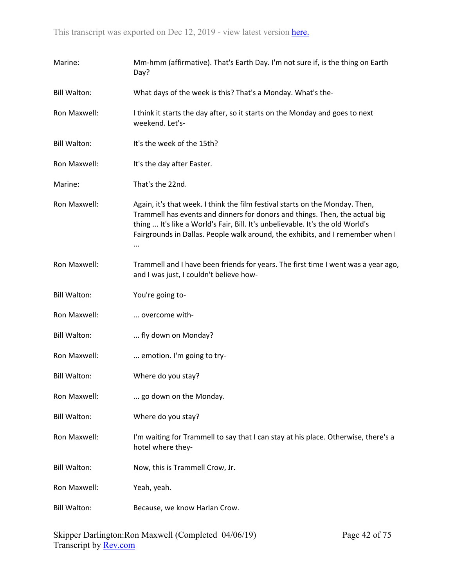| Marine:             | Mm-hmm (affirmative). That's Earth Day. I'm not sure if, is the thing on Earth<br>Day?                                                                                                                                                                                                                                          |
|---------------------|---------------------------------------------------------------------------------------------------------------------------------------------------------------------------------------------------------------------------------------------------------------------------------------------------------------------------------|
| <b>Bill Walton:</b> | What days of the week is this? That's a Monday. What's the-                                                                                                                                                                                                                                                                     |
| Ron Maxwell:        | I think it starts the day after, so it starts on the Monday and goes to next<br>weekend. Let's-                                                                                                                                                                                                                                 |
| <b>Bill Walton:</b> | It's the week of the 15th?                                                                                                                                                                                                                                                                                                      |
| Ron Maxwell:        | It's the day after Easter.                                                                                                                                                                                                                                                                                                      |
| Marine:             | That's the 22nd.                                                                                                                                                                                                                                                                                                                |
| Ron Maxwell:        | Again, it's that week. I think the film festival starts on the Monday. Then,<br>Trammell has events and dinners for donors and things. Then, the actual big<br>thing  It's like a World's Fair, Bill. It's unbelievable. It's the old World's<br>Fairgrounds in Dallas. People walk around, the exhibits, and I remember when I |
| Ron Maxwell:        | Trammell and I have been friends for years. The first time I went was a year ago,<br>and I was just, I couldn't believe how-                                                                                                                                                                                                    |
| <b>Bill Walton:</b> | You're going to-                                                                                                                                                                                                                                                                                                                |
| Ron Maxwell:        | overcome with-                                                                                                                                                                                                                                                                                                                  |
| <b>Bill Walton:</b> | fly down on Monday?                                                                                                                                                                                                                                                                                                             |
| Ron Maxwell:        | emotion. I'm going to try-                                                                                                                                                                                                                                                                                                      |
| <b>Bill Walton:</b> | Where do you stay?                                                                                                                                                                                                                                                                                                              |
| Ron Maxwell:        | go down on the Monday.                                                                                                                                                                                                                                                                                                          |
| <b>Bill Walton:</b> | Where do you stay?                                                                                                                                                                                                                                                                                                              |
| Ron Maxwell:        | I'm waiting for Trammell to say that I can stay at his place. Otherwise, there's a<br>hotel where they-                                                                                                                                                                                                                         |
| <b>Bill Walton:</b> | Now, this is Trammell Crow, Jr.                                                                                                                                                                                                                                                                                                 |
| Ron Maxwell:        | Yeah, yeah.                                                                                                                                                                                                                                                                                                                     |
| <b>Bill Walton:</b> | Because, we know Harlan Crow.                                                                                                                                                                                                                                                                                                   |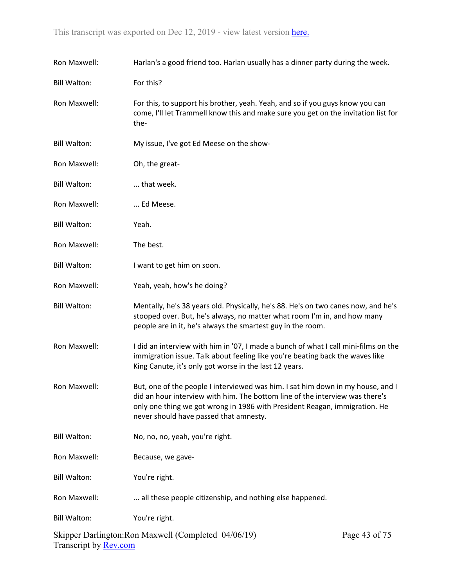| Ron Maxwell:        | Harlan's a good friend too. Harlan usually has a dinner party during the week.                                                                                                                                                                                                          |                              |
|---------------------|-----------------------------------------------------------------------------------------------------------------------------------------------------------------------------------------------------------------------------------------------------------------------------------------|------------------------------|
| <b>Bill Walton:</b> | For this?                                                                                                                                                                                                                                                                               |                              |
| Ron Maxwell:        | For this, to support his brother, yeah. Yeah, and so if you guys know you can<br>come, I'll let Trammell know this and make sure you get on the invitation list for<br>the-                                                                                                             |                              |
| <b>Bill Walton:</b> | My issue, I've got Ed Meese on the show-                                                                                                                                                                                                                                                |                              |
| Ron Maxwell:        | Oh, the great-                                                                                                                                                                                                                                                                          |                              |
| <b>Bill Walton:</b> | that week.                                                                                                                                                                                                                                                                              |                              |
| Ron Maxwell:        | Ed Meese.                                                                                                                                                                                                                                                                               |                              |
| <b>Bill Walton:</b> | Yeah.                                                                                                                                                                                                                                                                                   |                              |
| Ron Maxwell:        | The best.                                                                                                                                                                                                                                                                               |                              |
| <b>Bill Walton:</b> | I want to get him on soon.                                                                                                                                                                                                                                                              |                              |
| Ron Maxwell:        | Yeah, yeah, how's he doing?                                                                                                                                                                                                                                                             |                              |
| <b>Bill Walton:</b> | Mentally, he's 38 years old. Physically, he's 88. He's on two canes now, and he's<br>stooped over. But, he's always, no matter what room I'm in, and how many<br>people are in it, he's always the smartest guy in the room.                                                            |                              |
| Ron Maxwell:        | I did an interview with him in '07, I made a bunch of what I call mini-films on the<br>immigration issue. Talk about feeling like you're beating back the waves like<br>King Canute, it's only got worse in the last 12 years.                                                          |                              |
| Ron Maxwell:        | But, one of the people I interviewed was him. I sat him down in my house, and I<br>did an hour interview with him. The bottom line of the interview was there's<br>only one thing we got wrong in 1986 with President Reagan, immigration. He<br>never should have passed that amnesty. |                              |
| <b>Bill Walton:</b> | No, no, no, yeah, you're right.                                                                                                                                                                                                                                                         |                              |
| Ron Maxwell:        | Because, we gave-                                                                                                                                                                                                                                                                       |                              |
| <b>Bill Walton:</b> | You're right.                                                                                                                                                                                                                                                                           |                              |
| Ron Maxwell:        | all these people citizenship, and nothing else happened.                                                                                                                                                                                                                                |                              |
| <b>Bill Walton:</b> | You're right.                                                                                                                                                                                                                                                                           |                              |
|                     | $\chi$                                                                                                                                                                                                                                                                                  | $P200$ $(13 \text{ of } 75)$ |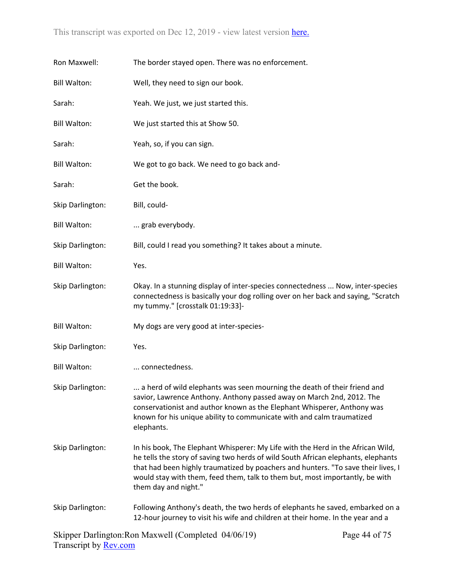| Ron Maxwell:        | The border stayed open. There was no enforcement.                                                                                                                                                                                                                                                                                                                 |
|---------------------|-------------------------------------------------------------------------------------------------------------------------------------------------------------------------------------------------------------------------------------------------------------------------------------------------------------------------------------------------------------------|
| <b>Bill Walton:</b> | Well, they need to sign our book.                                                                                                                                                                                                                                                                                                                                 |
| Sarah:              | Yeah. We just, we just started this.                                                                                                                                                                                                                                                                                                                              |
| <b>Bill Walton:</b> | We just started this at Show 50.                                                                                                                                                                                                                                                                                                                                  |
| Sarah:              | Yeah, so, if you can sign.                                                                                                                                                                                                                                                                                                                                        |
| <b>Bill Walton:</b> | We got to go back. We need to go back and-                                                                                                                                                                                                                                                                                                                        |
| Sarah:              | Get the book.                                                                                                                                                                                                                                                                                                                                                     |
| Skip Darlington:    | Bill, could-                                                                                                                                                                                                                                                                                                                                                      |
| <b>Bill Walton:</b> | grab everybody.                                                                                                                                                                                                                                                                                                                                                   |
| Skip Darlington:    | Bill, could I read you something? It takes about a minute.                                                                                                                                                                                                                                                                                                        |
| <b>Bill Walton:</b> | Yes.                                                                                                                                                                                                                                                                                                                                                              |
| Skip Darlington:    | Okay. In a stunning display of inter-species connectedness  Now, inter-species<br>connectedness is basically your dog rolling over on her back and saying, "Scratch<br>my tummy." [crosstalk 01:19:33]-                                                                                                                                                           |
| <b>Bill Walton:</b> | My dogs are very good at inter-species-                                                                                                                                                                                                                                                                                                                           |
| Skip Darlington:    | Yes.                                                                                                                                                                                                                                                                                                                                                              |
| <b>Bill Walton:</b> | connectedness.                                                                                                                                                                                                                                                                                                                                                    |
| Skip Darlington:    | a herd of wild elephants was seen mourning the death of their friend and<br>savior, Lawrence Anthony. Anthony passed away on March 2nd, 2012. The<br>conservationist and author known as the Elephant Whisperer, Anthony was<br>known for his unique ability to communicate with and calm traumatized<br>elephants.                                               |
| Skip Darlington:    | In his book, The Elephant Whisperer: My Life with the Herd in the African Wild,<br>he tells the story of saving two herds of wild South African elephants, elephants<br>that had been highly traumatized by poachers and hunters. "To save their lives, I<br>would stay with them, feed them, talk to them but, most importantly, be with<br>them day and night." |
| Skip Darlington:    | Following Anthony's death, the two herds of elephants he saved, embarked on a<br>12-hour journey to visit his wife and children at their home. In the year and a                                                                                                                                                                                                  |
|                     |                                                                                                                                                                                                                                                                                                                                                                   |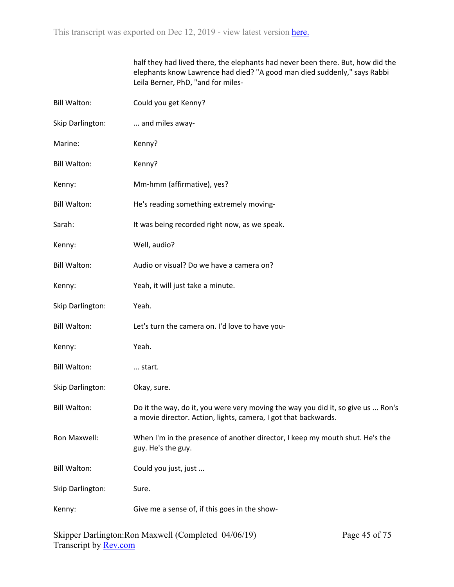|                     | half they had lived there, the elephants had never been there. But, how did the<br>elephants know Lawrence had died? "A good man died suddenly," says Rabbi<br>Leila Berner, PhD, "and for miles- |
|---------------------|---------------------------------------------------------------------------------------------------------------------------------------------------------------------------------------------------|
| <b>Bill Walton:</b> | Could you get Kenny?                                                                                                                                                                              |
| Skip Darlington:    | and miles away-                                                                                                                                                                                   |
| Marine:             | Kenny?                                                                                                                                                                                            |
| <b>Bill Walton:</b> | Kenny?                                                                                                                                                                                            |
| Kenny:              | Mm-hmm (affirmative), yes?                                                                                                                                                                        |
| <b>Bill Walton:</b> | He's reading something extremely moving-                                                                                                                                                          |
| Sarah:              | It was being recorded right now, as we speak.                                                                                                                                                     |
| Kenny:              | Well, audio?                                                                                                                                                                                      |
| <b>Bill Walton:</b> | Audio or visual? Do we have a camera on?                                                                                                                                                          |
| Kenny:              | Yeah, it will just take a minute.                                                                                                                                                                 |
| Skip Darlington:    | Yeah.                                                                                                                                                                                             |
| <b>Bill Walton:</b> | Let's turn the camera on. I'd love to have you-                                                                                                                                                   |
| Kenny:              | Yeah.                                                                                                                                                                                             |
| <b>Bill Walton:</b> | start.                                                                                                                                                                                            |
| Skip Darlington:    | Okay, sure.                                                                                                                                                                                       |
| <b>Bill Walton:</b> | Do it the way, do it, you were very moving the way you did it, so give us  Ron's<br>a movie director. Action, lights, camera, I got that backwards.                                               |
| Ron Maxwell:        | When I'm in the presence of another director, I keep my mouth shut. He's the<br>guy. He's the guy.                                                                                                |
| <b>Bill Walton:</b> | Could you just, just                                                                                                                                                                              |
| Skip Darlington:    | Sure.                                                                                                                                                                                             |
| Kenny:              | Give me a sense of, if this goes in the show-                                                                                                                                                     |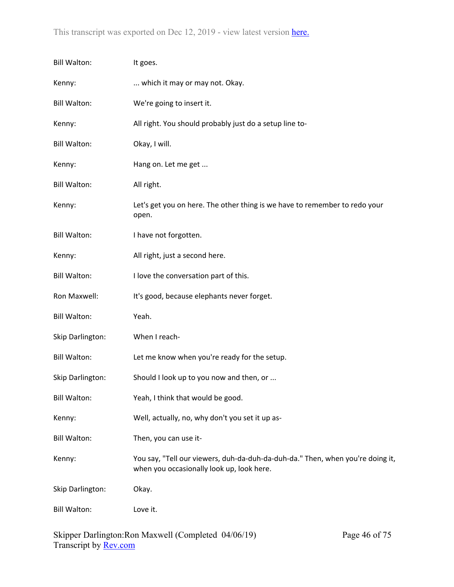| <b>Bill Walton:</b> | It goes.                                                                                                                    |
|---------------------|-----------------------------------------------------------------------------------------------------------------------------|
| Kenny:              | which it may or may not. Okay.                                                                                              |
| <b>Bill Walton:</b> | We're going to insert it.                                                                                                   |
| Kenny:              | All right. You should probably just do a setup line to-                                                                     |
| <b>Bill Walton:</b> | Okay, I will.                                                                                                               |
| Kenny:              | Hang on. Let me get                                                                                                         |
| <b>Bill Walton:</b> | All right.                                                                                                                  |
| Kenny:              | Let's get you on here. The other thing is we have to remember to redo your<br>open.                                         |
| <b>Bill Walton:</b> | I have not forgotten.                                                                                                       |
| Kenny:              | All right, just a second here.                                                                                              |
| <b>Bill Walton:</b> | I love the conversation part of this.                                                                                       |
| Ron Maxwell:        | It's good, because elephants never forget.                                                                                  |
| <b>Bill Walton:</b> | Yeah.                                                                                                                       |
| Skip Darlington:    | When I reach-                                                                                                               |
| <b>Bill Walton:</b> | Let me know when you're ready for the setup.                                                                                |
| Skip Darlington:    | Should I look up to you now and then, or                                                                                    |
| <b>Bill Walton:</b> | Yeah, I think that would be good.                                                                                           |
| Kenny:              | Well, actually, no, why don't you set it up as-                                                                             |
| <b>Bill Walton:</b> | Then, you can use it-                                                                                                       |
| Kenny:              | You say, "Tell our viewers, duh-da-duh-da-duh-da." Then, when you're doing it,<br>when you occasionally look up, look here. |
| Skip Darlington:    | Okay.                                                                                                                       |
| <b>Bill Walton:</b> | Love it.                                                                                                                    |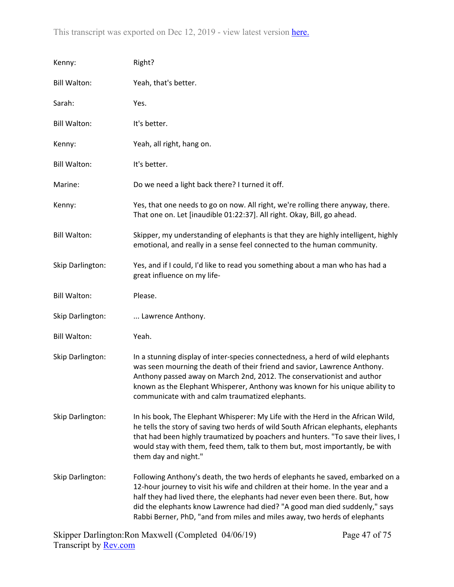| Kenny:              | Right?                                                                                                                                                                                                                                                                                                                                                                                                      |
|---------------------|-------------------------------------------------------------------------------------------------------------------------------------------------------------------------------------------------------------------------------------------------------------------------------------------------------------------------------------------------------------------------------------------------------------|
| <b>Bill Walton:</b> | Yeah, that's better.                                                                                                                                                                                                                                                                                                                                                                                        |
| Sarah:              | Yes.                                                                                                                                                                                                                                                                                                                                                                                                        |
| <b>Bill Walton:</b> | It's better.                                                                                                                                                                                                                                                                                                                                                                                                |
| Kenny:              | Yeah, all right, hang on.                                                                                                                                                                                                                                                                                                                                                                                   |
| <b>Bill Walton:</b> | It's better.                                                                                                                                                                                                                                                                                                                                                                                                |
| Marine:             | Do we need a light back there? I turned it off.                                                                                                                                                                                                                                                                                                                                                             |
| Kenny:              | Yes, that one needs to go on now. All right, we're rolling there anyway, there.<br>That one on. Let [inaudible 01:22:37]. All right. Okay, Bill, go ahead.                                                                                                                                                                                                                                                  |
| <b>Bill Walton:</b> | Skipper, my understanding of elephants is that they are highly intelligent, highly<br>emotional, and really in a sense feel connected to the human community.                                                                                                                                                                                                                                               |
| Skip Darlington:    | Yes, and if I could, I'd like to read you something about a man who has had a<br>great influence on my life-                                                                                                                                                                                                                                                                                                |
| <b>Bill Walton:</b> | Please.                                                                                                                                                                                                                                                                                                                                                                                                     |
| Skip Darlington:    | Lawrence Anthony.                                                                                                                                                                                                                                                                                                                                                                                           |
| <b>Bill Walton:</b> | Yeah.                                                                                                                                                                                                                                                                                                                                                                                                       |
| Skip Darlington:    | In a stunning display of inter-species connectedness, a herd of wild elephants<br>was seen mourning the death of their friend and savior, Lawrence Anthony.<br>Anthony passed away on March 2nd, 2012. The conservationist and author<br>known as the Elephant Whisperer, Anthony was known for his unique ability to<br>communicate with and calm traumatized elephants.                                   |
| Skip Darlington:    | In his book, The Elephant Whisperer: My Life with the Herd in the African Wild,<br>he tells the story of saving two herds of wild South African elephants, elephants<br>that had been highly traumatized by poachers and hunters. "To save their lives, I<br>would stay with them, feed them, talk to them but, most importantly, be with<br>them day and night."                                           |
| Skip Darlington:    | Following Anthony's death, the two herds of elephants he saved, embarked on a<br>12-hour journey to visit his wife and children at their home. In the year and a<br>half they had lived there, the elephants had never even been there. But, how<br>did the elephants know Lawrence had died? "A good man died suddenly," says<br>Rabbi Berner, PhD, "and from miles and miles away, two herds of elephants |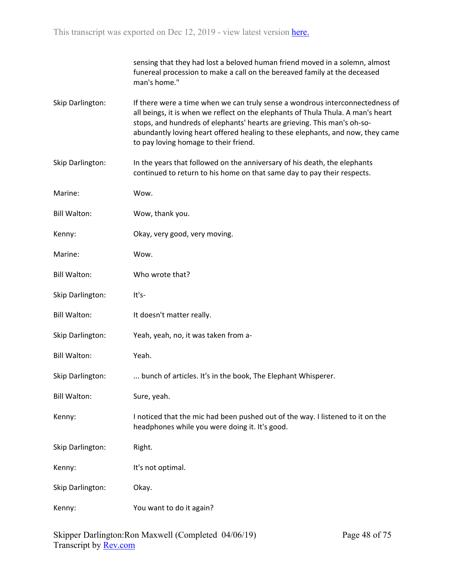|                     | sensing that they had lost a beloved human friend moved in a solemn, almost<br>funereal procession to make a call on the bereaved family at the deceased<br>man's home."                                                                                                                                                                                                 |
|---------------------|--------------------------------------------------------------------------------------------------------------------------------------------------------------------------------------------------------------------------------------------------------------------------------------------------------------------------------------------------------------------------|
| Skip Darlington:    | If there were a time when we can truly sense a wondrous interconnectedness of<br>all beings, it is when we reflect on the elephants of Thula Thula. A man's heart<br>stops, and hundreds of elephants' hearts are grieving. This man's oh-so-<br>abundantly loving heart offered healing to these elephants, and now, they came<br>to pay loving homage to their friend. |
| Skip Darlington:    | In the years that followed on the anniversary of his death, the elephants<br>continued to return to his home on that same day to pay their respects.                                                                                                                                                                                                                     |
| Marine:             | Wow.                                                                                                                                                                                                                                                                                                                                                                     |
| <b>Bill Walton:</b> | Wow, thank you.                                                                                                                                                                                                                                                                                                                                                          |
| Kenny:              | Okay, very good, very moving.                                                                                                                                                                                                                                                                                                                                            |
| Marine:             | Wow.                                                                                                                                                                                                                                                                                                                                                                     |
| <b>Bill Walton:</b> | Who wrote that?                                                                                                                                                                                                                                                                                                                                                          |
| Skip Darlington:    | It's-                                                                                                                                                                                                                                                                                                                                                                    |
| <b>Bill Walton:</b> | It doesn't matter really.                                                                                                                                                                                                                                                                                                                                                |
| Skip Darlington:    | Yeah, yeah, no, it was taken from a-                                                                                                                                                                                                                                                                                                                                     |
| <b>Bill Walton:</b> | Yeah.                                                                                                                                                                                                                                                                                                                                                                    |
| Skip Darlington:    | bunch of articles. It's in the book, The Elephant Whisperer.                                                                                                                                                                                                                                                                                                             |
| <b>Bill Walton:</b> | Sure, yeah.                                                                                                                                                                                                                                                                                                                                                              |
| Kenny:              | I noticed that the mic had been pushed out of the way. I listened to it on the<br>headphones while you were doing it. It's good.                                                                                                                                                                                                                                         |
| Skip Darlington:    | Right.                                                                                                                                                                                                                                                                                                                                                                   |
| Kenny:              | It's not optimal.                                                                                                                                                                                                                                                                                                                                                        |
| Skip Darlington:    | Okay.                                                                                                                                                                                                                                                                                                                                                                    |
| Kenny:              | You want to do it again?                                                                                                                                                                                                                                                                                                                                                 |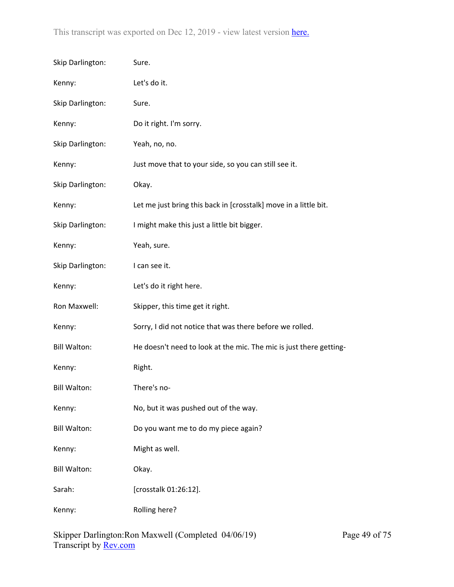| Skip Darlington:    | Sure.                                                              |
|---------------------|--------------------------------------------------------------------|
| Kenny:              | Let's do it.                                                       |
| Skip Darlington:    | Sure.                                                              |
| Kenny:              | Do it right. I'm sorry.                                            |
| Skip Darlington:    | Yeah, no, no.                                                      |
| Kenny:              | Just move that to your side, so you can still see it.              |
| Skip Darlington:    | Okay.                                                              |
| Kenny:              | Let me just bring this back in [crosstalk] move in a little bit.   |
| Skip Darlington:    | I might make this just a little bit bigger.                        |
| Kenny:              | Yeah, sure.                                                        |
| Skip Darlington:    | I can see it.                                                      |
| Kenny:              | Let's do it right here.                                            |
| Ron Maxwell:        | Skipper, this time get it right.                                   |
| Kenny:              | Sorry, I did not notice that was there before we rolled.           |
| <b>Bill Walton:</b> | He doesn't need to look at the mic. The mic is just there getting- |
| Kenny:              | Right.                                                             |
| <b>Bill Walton:</b> | There's no-                                                        |
| Kenny:              | No, but it was pushed out of the way.                              |
| <b>Bill Walton:</b> | Do you want me to do my piece again?                               |
| Kenny:              | Might as well.                                                     |
| <b>Bill Walton:</b> | Okay.                                                              |
| Sarah:              | [crosstalk 01:26:12].                                              |
| Kenny:              | Rolling here?                                                      |
|                     |                                                                    |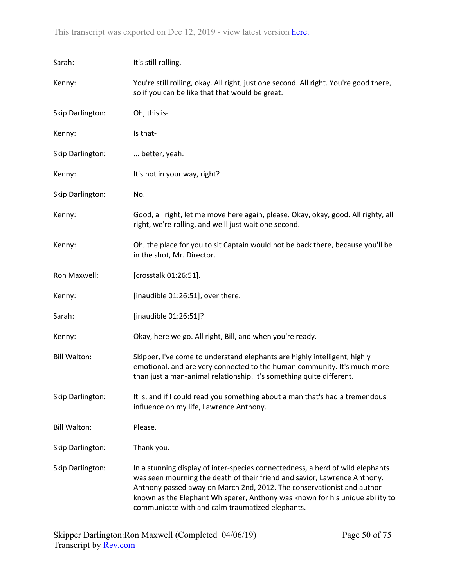| Sarah:              | It's still rolling.                                                                                                                                                                                                                                                                                                                                                       |  |
|---------------------|---------------------------------------------------------------------------------------------------------------------------------------------------------------------------------------------------------------------------------------------------------------------------------------------------------------------------------------------------------------------------|--|
| Kenny:              | You're still rolling, okay. All right, just one second. All right. You're good there,<br>so if you can be like that that would be great.                                                                                                                                                                                                                                  |  |
| Skip Darlington:    | Oh, this is-                                                                                                                                                                                                                                                                                                                                                              |  |
| Kenny:              | Is that-                                                                                                                                                                                                                                                                                                                                                                  |  |
| Skip Darlington:    | better, yeah.                                                                                                                                                                                                                                                                                                                                                             |  |
| Kenny:              | It's not in your way, right?                                                                                                                                                                                                                                                                                                                                              |  |
| Skip Darlington:    | No.                                                                                                                                                                                                                                                                                                                                                                       |  |
| Kenny:              | Good, all right, let me move here again, please. Okay, okay, good. All righty, all<br>right, we're rolling, and we'll just wait one second.                                                                                                                                                                                                                               |  |
| Kenny:              | Oh, the place for you to sit Captain would not be back there, because you'll be<br>in the shot, Mr. Director.                                                                                                                                                                                                                                                             |  |
| Ron Maxwell:        | [crosstalk 01:26:51].                                                                                                                                                                                                                                                                                                                                                     |  |
| Kenny:              | [inaudible 01:26:51], over there.                                                                                                                                                                                                                                                                                                                                         |  |
| Sarah:              | [inaudible 01:26:51]?                                                                                                                                                                                                                                                                                                                                                     |  |
| Kenny:              | Okay, here we go. All right, Bill, and when you're ready.                                                                                                                                                                                                                                                                                                                 |  |
| <b>Bill Walton:</b> | Skipper, I've come to understand elephants are highly intelligent, highly<br>emotional, and are very connected to the human community. It's much more<br>than just a man-animal relationship. It's something quite different.                                                                                                                                             |  |
| Skip Darlington:    | It is, and if I could read you something about a man that's had a tremendous<br>influence on my life, Lawrence Anthony.                                                                                                                                                                                                                                                   |  |
| <b>Bill Walton:</b> | Please.                                                                                                                                                                                                                                                                                                                                                                   |  |
| Skip Darlington:    | Thank you.                                                                                                                                                                                                                                                                                                                                                                |  |
| Skip Darlington:    | In a stunning display of inter-species connectedness, a herd of wild elephants<br>was seen mourning the death of their friend and savior, Lawrence Anthony.<br>Anthony passed away on March 2nd, 2012. The conservationist and author<br>known as the Elephant Whisperer, Anthony was known for his unique ability to<br>communicate with and calm traumatized elephants. |  |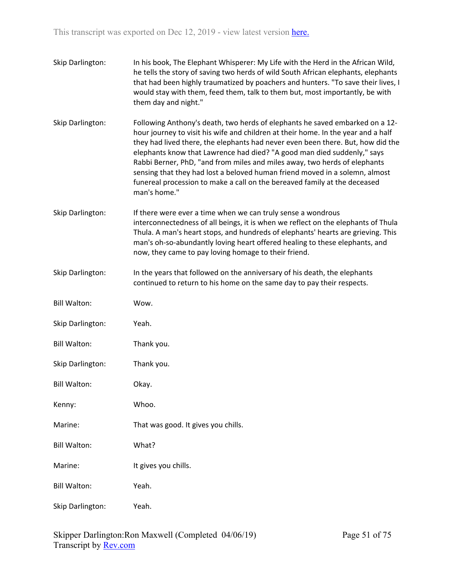| Skip Darlington:    | In his book, The Elephant Whisperer: My Life with the Herd in the African Wild,<br>he tells the story of saving two herds of wild South African elephants, elephants<br>that had been highly traumatized by poachers and hunters. "To save their lives, I<br>would stay with them, feed them, talk to them but, most importantly, be with<br>them day and night."                                                                                                                                                                                                                        |
|---------------------|------------------------------------------------------------------------------------------------------------------------------------------------------------------------------------------------------------------------------------------------------------------------------------------------------------------------------------------------------------------------------------------------------------------------------------------------------------------------------------------------------------------------------------------------------------------------------------------|
| Skip Darlington:    | Following Anthony's death, two herds of elephants he saved embarked on a 12-<br>hour journey to visit his wife and children at their home. In the year and a half<br>they had lived there, the elephants had never even been there. But, how did the<br>elephants know that Lawrence had died? "A good man died suddenly," says<br>Rabbi Berner, PhD, "and from miles and miles away, two herds of elephants<br>sensing that they had lost a beloved human friend moved in a solemn, almost<br>funereal procession to make a call on the bereaved family at the deceased<br>man's home." |
| Skip Darlington:    | If there were ever a time when we can truly sense a wondrous<br>interconnectedness of all beings, it is when we reflect on the elephants of Thula<br>Thula. A man's heart stops, and hundreds of elephants' hearts are grieving. This<br>man's oh-so-abundantly loving heart offered healing to these elephants, and<br>now, they came to pay loving homage to their friend.                                                                                                                                                                                                             |
| Skip Darlington:    | In the years that followed on the anniversary of his death, the elephants<br>continued to return to his home on the same day to pay their respects.                                                                                                                                                                                                                                                                                                                                                                                                                                      |
| <b>Bill Walton:</b> | Wow.                                                                                                                                                                                                                                                                                                                                                                                                                                                                                                                                                                                     |
| Skip Darlington:    | Yeah.                                                                                                                                                                                                                                                                                                                                                                                                                                                                                                                                                                                    |
| <b>Bill Walton:</b> | Thank you.                                                                                                                                                                                                                                                                                                                                                                                                                                                                                                                                                                               |
| Skip Darlington:    | Thank you.                                                                                                                                                                                                                                                                                                                                                                                                                                                                                                                                                                               |
| <b>Bill Walton:</b> | Okay.                                                                                                                                                                                                                                                                                                                                                                                                                                                                                                                                                                                    |
| Kenny:              | Whoo.                                                                                                                                                                                                                                                                                                                                                                                                                                                                                                                                                                                    |
| Marine:             | That was good. It gives you chills.                                                                                                                                                                                                                                                                                                                                                                                                                                                                                                                                                      |
| <b>Bill Walton:</b> | What?                                                                                                                                                                                                                                                                                                                                                                                                                                                                                                                                                                                    |
| Marine:             | It gives you chills.                                                                                                                                                                                                                                                                                                                                                                                                                                                                                                                                                                     |
| <b>Bill Walton:</b> | Yeah.                                                                                                                                                                                                                                                                                                                                                                                                                                                                                                                                                                                    |
| Skip Darlington:    | Yeah.                                                                                                                                                                                                                                                                                                                                                                                                                                                                                                                                                                                    |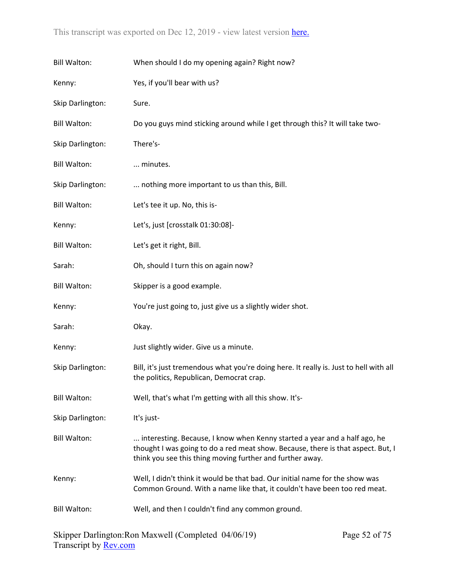| <b>Bill Walton:</b> | When should I do my opening again? Right now?                                                                                                                                                                              |
|---------------------|----------------------------------------------------------------------------------------------------------------------------------------------------------------------------------------------------------------------------|
| Kenny:              | Yes, if you'll bear with us?                                                                                                                                                                                               |
| Skip Darlington:    | Sure.                                                                                                                                                                                                                      |
| <b>Bill Walton:</b> | Do you guys mind sticking around while I get through this? It will take two-                                                                                                                                               |
| Skip Darlington:    | There's-                                                                                                                                                                                                                   |
| <b>Bill Walton:</b> | minutes.                                                                                                                                                                                                                   |
| Skip Darlington:    | nothing more important to us than this, Bill.                                                                                                                                                                              |
| <b>Bill Walton:</b> | Let's tee it up. No, this is-                                                                                                                                                                                              |
| Kenny:              | Let's, just [crosstalk 01:30:08]-                                                                                                                                                                                          |
| <b>Bill Walton:</b> | Let's get it right, Bill.                                                                                                                                                                                                  |
| Sarah:              | Oh, should I turn this on again now?                                                                                                                                                                                       |
| <b>Bill Walton:</b> | Skipper is a good example.                                                                                                                                                                                                 |
| Kenny:              | You're just going to, just give us a slightly wider shot.                                                                                                                                                                  |
| Sarah:              | Okay.                                                                                                                                                                                                                      |
| Kenny:              | Just slightly wider. Give us a minute.                                                                                                                                                                                     |
| Skip Darlington:    | Bill, it's just tremendous what you're doing here. It really is. Just to hell with all<br>the politics, Republican, Democrat crap.                                                                                         |
| <b>Bill Walton:</b> | Well, that's what I'm getting with all this show. It's-                                                                                                                                                                    |
| Skip Darlington:    | It's just-                                                                                                                                                                                                                 |
| <b>Bill Walton:</b> | interesting. Because, I know when Kenny started a year and a half ago, he<br>thought I was going to do a red meat show. Because, there is that aspect. But, I<br>think you see this thing moving further and further away. |
| Kenny:              | Well, I didn't think it would be that bad. Our initial name for the show was<br>Common Ground. With a name like that, it couldn't have been too red meat.                                                                  |
| <b>Bill Walton:</b> | Well, and then I couldn't find any common ground.                                                                                                                                                                          |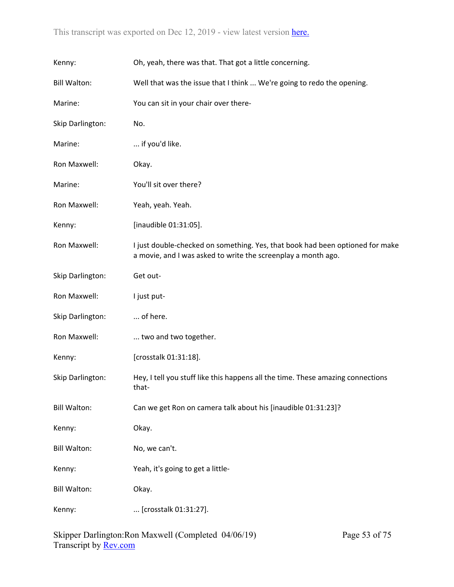| Kenny:              | Oh, yeah, there was that. That got a little concerning.                                                                                        |
|---------------------|------------------------------------------------------------------------------------------------------------------------------------------------|
| <b>Bill Walton:</b> | Well that was the issue that I think  We're going to redo the opening.                                                                         |
| Marine:             | You can sit in your chair over there-                                                                                                          |
| Skip Darlington:    | No.                                                                                                                                            |
| Marine:             | if you'd like.                                                                                                                                 |
| Ron Maxwell:        | Okay.                                                                                                                                          |
| Marine:             | You'll sit over there?                                                                                                                         |
| Ron Maxwell:        | Yeah, yeah. Yeah.                                                                                                                              |
| Kenny:              | [inaudible 01:31:05].                                                                                                                          |
| Ron Maxwell:        | I just double-checked on something. Yes, that book had been optioned for make<br>a movie, and I was asked to write the screenplay a month ago. |
| Skip Darlington:    | Get out-                                                                                                                                       |
| Ron Maxwell:        | I just put-                                                                                                                                    |
| Skip Darlington:    | of here.                                                                                                                                       |
| Ron Maxwell:        | two and two together.                                                                                                                          |
| Kenny:              | [crosstalk 01:31:18].                                                                                                                          |
| Skip Darlington:    | Hey, I tell you stuff like this happens all the time. These amazing connections<br>that-                                                       |
| <b>Bill Walton:</b> | Can we get Ron on camera talk about his [inaudible 01:31:23]?                                                                                  |
| Kenny:              | Okay.                                                                                                                                          |
| <b>Bill Walton:</b> | No, we can't.                                                                                                                                  |
| Kenny:              | Yeah, it's going to get a little-                                                                                                              |
| <b>Bill Walton:</b> | Okay.                                                                                                                                          |
| Kenny:              | [crosstalk 01:31:27].                                                                                                                          |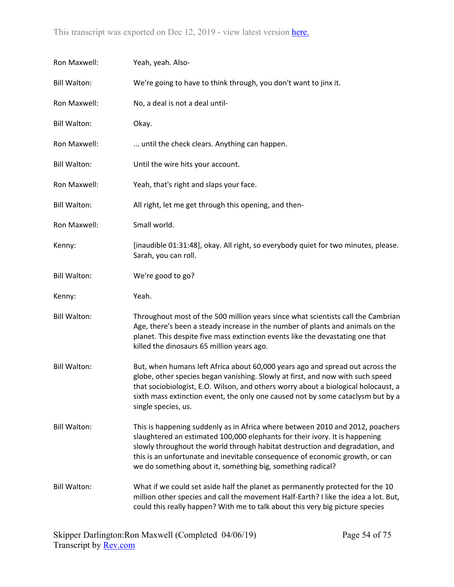| Ron Maxwell:        | Yeah, yeah. Also-                                                                                                                                                                                                                                                                                                                                                                           |
|---------------------|---------------------------------------------------------------------------------------------------------------------------------------------------------------------------------------------------------------------------------------------------------------------------------------------------------------------------------------------------------------------------------------------|
| <b>Bill Walton:</b> | We're going to have to think through, you don't want to jinx it.                                                                                                                                                                                                                                                                                                                            |
| Ron Maxwell:        | No, a deal is not a deal until-                                                                                                                                                                                                                                                                                                                                                             |
| <b>Bill Walton:</b> | Okay.                                                                                                                                                                                                                                                                                                                                                                                       |
| Ron Maxwell:        | until the check clears. Anything can happen.                                                                                                                                                                                                                                                                                                                                                |
| <b>Bill Walton:</b> | Until the wire hits your account.                                                                                                                                                                                                                                                                                                                                                           |
| Ron Maxwell:        | Yeah, that's right and slaps your face.                                                                                                                                                                                                                                                                                                                                                     |
| <b>Bill Walton:</b> | All right, let me get through this opening, and then-                                                                                                                                                                                                                                                                                                                                       |
| Ron Maxwell:        | Small world.                                                                                                                                                                                                                                                                                                                                                                                |
| Kenny:              | [inaudible 01:31:48], okay. All right, so everybody quiet for two minutes, please.<br>Sarah, you can roll.                                                                                                                                                                                                                                                                                  |
| <b>Bill Walton:</b> | We're good to go?                                                                                                                                                                                                                                                                                                                                                                           |
| Kenny:              | Yeah.                                                                                                                                                                                                                                                                                                                                                                                       |
| <b>Bill Walton:</b> | Throughout most of the 500 million years since what scientists call the Cambrian<br>Age, there's been a steady increase in the number of plants and animals on the<br>planet. This despite five mass extinction events like the devastating one that                                                                                                                                        |
|                     | killed the dinosaurs 65 million years ago.                                                                                                                                                                                                                                                                                                                                                  |
| <b>Bill Walton:</b> | But, when humans left Africa about 60,000 years ago and spread out across the<br>globe, other species began vanishing. Slowly at first, and now with such speed<br>that sociobiologist, E.O. Wilson, and others worry about a biological holocaust, a<br>sixth mass extinction event, the only one caused not by some cataclysm but by a<br>single species, us.                             |
| <b>Bill Walton:</b> | This is happening suddenly as in Africa where between 2010 and 2012, poachers<br>slaughtered an estimated 100,000 elephants for their ivory. It is happening<br>slowly throughout the world through habitat destruction and degradation, and<br>this is an unfortunate and inevitable consequence of economic growth, or can<br>we do something about it, something big, something radical? |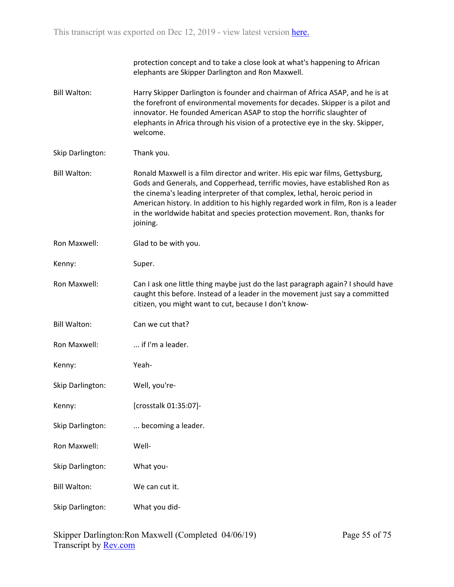protection concept and to take a close look at what's happening to African elephants are Skipper Darlington and Ron Maxwell.

- Bill Walton: Harry Skipper Darlington is founder and chairman of Africa ASAP, and he is at the forefront of environmental movements for decades. Skipper is a pilot and innovator. He founded American ASAP to stop the horrific slaughter of elephants in Africa through his vision of a protective eye in the sky. Skipper, welcome.
- Skip Darlington: Thank you.
- Bill Walton: Ronald Maxwell is a film director and writer. His epic war films, Gettysburg, Gods and Generals, and Copperhead, terrific movies, have established Ron as the cinema's leading interpreter of that complex, lethal, heroic period in American history. In addition to his highly regarded work in film, Ron is a leader in the worldwide habitat and species protection movement. Ron, thanks for joining.
- Ron Maxwell: Glad to be with you.
- Kenny: Super.
- Ron Maxwell: Can I ask one little thing maybe just do the last paragraph again? I should have caught this before. Instead of a leader in the movement just say a committed citizen, you might want to cut, because I don't know-
- Bill Walton: Can we cut that?
- Ron Maxwell: ... if I'm a leader.
- Kenny: Yeah-
- Skip Darlington: Well, you're-
- Kenny: [crosstalk 01:35:07]-
- Skip Darlington: ... becoming a leader.
- Ron Maxwell: Well-
- Skip Darlington: What you-
- Bill Walton: We can cut it.
- Skip Darlington: What you did-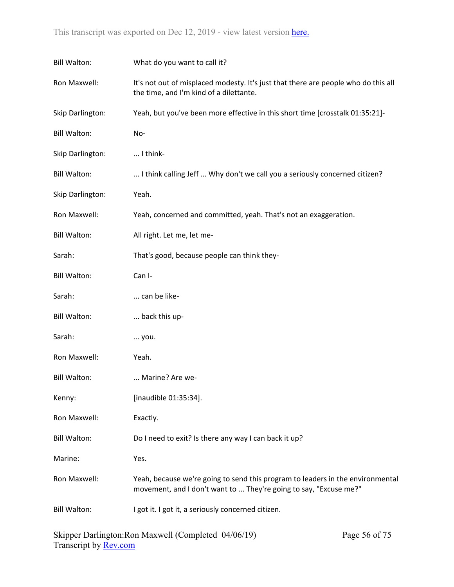| <b>Bill Walton:</b> | What do you want to call it?                                                                                                                        |  |
|---------------------|-----------------------------------------------------------------------------------------------------------------------------------------------------|--|
| Ron Maxwell:        | It's not out of misplaced modesty. It's just that there are people who do this all<br>the time, and I'm kind of a dilettante.                       |  |
| Skip Darlington:    | Yeah, but you've been more effective in this short time [crosstalk 01:35:21]-                                                                       |  |
| <b>Bill Walton:</b> | No-                                                                                                                                                 |  |
| Skip Darlington:    | I think-                                                                                                                                            |  |
| <b>Bill Walton:</b> | I think calling Jeff  Why don't we call you a seriously concerned citizen?                                                                          |  |
| Skip Darlington:    | Yeah.                                                                                                                                               |  |
| Ron Maxwell:        | Yeah, concerned and committed, yeah. That's not an exaggeration.                                                                                    |  |
| <b>Bill Walton:</b> | All right. Let me, let me-                                                                                                                          |  |
| Sarah:              | That's good, because people can think they-                                                                                                         |  |
| <b>Bill Walton:</b> | Can I-                                                                                                                                              |  |
| Sarah:              | can be like-                                                                                                                                        |  |
| <b>Bill Walton:</b> | back this up-                                                                                                                                       |  |
| Sarah:              | you.                                                                                                                                                |  |
| Ron Maxwell:        | Yeah.                                                                                                                                               |  |
| <b>Bill Walton:</b> | Marine? Are we-                                                                                                                                     |  |
| Kenny:              | [inaudible 01:35:34].                                                                                                                               |  |
| Ron Maxwell:        | Exactly.                                                                                                                                            |  |
| <b>Bill Walton:</b> | Do I need to exit? Is there any way I can back it up?                                                                                               |  |
| Marine:             | Yes.                                                                                                                                                |  |
| Ron Maxwell:        | Yeah, because we're going to send this program to leaders in the environmental<br>movement, and I don't want to  They're going to say, "Excuse me?" |  |
| <b>Bill Walton:</b> | I got it. I got it, a seriously concerned citizen.                                                                                                  |  |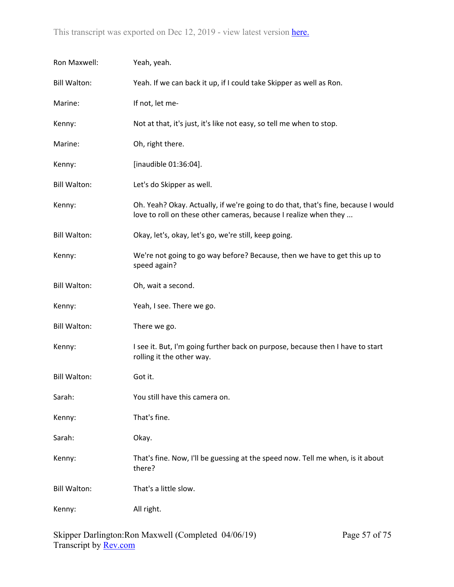| Ron Maxwell:        | Yeah, yeah.                                                                                                                                           |
|---------------------|-------------------------------------------------------------------------------------------------------------------------------------------------------|
| <b>Bill Walton:</b> | Yeah. If we can back it up, if I could take Skipper as well as Ron.                                                                                   |
| Marine:             | If not, let me-                                                                                                                                       |
| Kenny:              | Not at that, it's just, it's like not easy, so tell me when to stop.                                                                                  |
| Marine:             | Oh, right there.                                                                                                                                      |
| Kenny:              | [inaudible 01:36:04].                                                                                                                                 |
| <b>Bill Walton:</b> | Let's do Skipper as well.                                                                                                                             |
| Kenny:              | Oh. Yeah? Okay. Actually, if we're going to do that, that's fine, because I would<br>love to roll on these other cameras, because I realize when they |
| <b>Bill Walton:</b> | Okay, let's, okay, let's go, we're still, keep going.                                                                                                 |
| Kenny:              | We're not going to go way before? Because, then we have to get this up to<br>speed again?                                                             |
| <b>Bill Walton:</b> | Oh, wait a second.                                                                                                                                    |
| Kenny:              | Yeah, I see. There we go.                                                                                                                             |
| <b>Bill Walton:</b> | There we go.                                                                                                                                          |
| Kenny:              | I see it. But, I'm going further back on purpose, because then I have to start<br>rolling it the other way.                                           |
| <b>Bill Walton:</b> | Got it.                                                                                                                                               |
| Sarah:              | You still have this camera on.                                                                                                                        |
| Kenny:              | That's fine.                                                                                                                                          |
| Sarah:              | Okay.                                                                                                                                                 |
| Kenny:              | That's fine. Now, I'll be guessing at the speed now. Tell me when, is it about<br>there?                                                              |
| <b>Bill Walton:</b> | That's a little slow.                                                                                                                                 |
| Kenny:              | All right.                                                                                                                                            |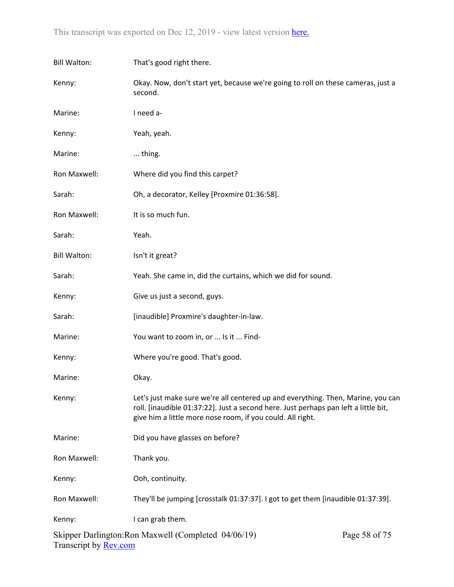| <b>Bill Walton:</b> | That's good right there.                                                                                                                                                                                                              |               |  |
|---------------------|---------------------------------------------------------------------------------------------------------------------------------------------------------------------------------------------------------------------------------------|---------------|--|
| Kenny:              | Okay. Now, don't start yet, because we're going to roll on these cameras, just a<br>second.                                                                                                                                           |               |  |
| Marine:             | I need a-                                                                                                                                                                                                                             |               |  |
| Kenny:              | Yeah, yeah.                                                                                                                                                                                                                           |               |  |
| Marine:             | thing.                                                                                                                                                                                                                                |               |  |
| Ron Maxwell:        | Where did you find this carpet?                                                                                                                                                                                                       |               |  |
| Sarah:              | Oh, a decorator, Kelley [Proxmire 01:36:58].                                                                                                                                                                                          |               |  |
| Ron Maxwell:        | It is so much fun.                                                                                                                                                                                                                    |               |  |
| Sarah:              | Yeah.                                                                                                                                                                                                                                 |               |  |
| <b>Bill Walton:</b> | Isn't it great?                                                                                                                                                                                                                       |               |  |
| Sarah:              | Yeah. She came in, did the curtains, which we did for sound.                                                                                                                                                                          |               |  |
| Kenny:              | Give us just a second, guys.                                                                                                                                                                                                          |               |  |
| Sarah:              | [inaudible] Proxmire's daughter-in-law.                                                                                                                                                                                               |               |  |
| Marine:             | You want to zoom in, or  Is it  Find-                                                                                                                                                                                                 |               |  |
| Kenny:              | Where you're good. That's good.                                                                                                                                                                                                       |               |  |
| Marine:             | Okay.                                                                                                                                                                                                                                 |               |  |
| Kenny:              | Let's just make sure we're all centered up and everything. Then, Marine, you can<br>roll. [inaudible 01:37:22]. Just a second here. Just perhaps pan left a little bit,<br>give him a little more nose room, if you could. All right. |               |  |
| Marine:             | Did you have glasses on before?                                                                                                                                                                                                       |               |  |
| Ron Maxwell:        | Thank you.                                                                                                                                                                                                                            |               |  |
| Kenny:              | Ooh, continuity.                                                                                                                                                                                                                      |               |  |
| Ron Maxwell:        | They'll be jumping [crosstalk 01:37:37]. I got to get them [inaudible 01:37:39].                                                                                                                                                      |               |  |
| Kenny:              | I can grab them.                                                                                                                                                                                                                      |               |  |
|                     | Skipper Darlington: Ron Maxwell (Completed 04/06/19)                                                                                                                                                                                  | Page 58 of 75 |  |

Transcript by <u>Rev.com</u>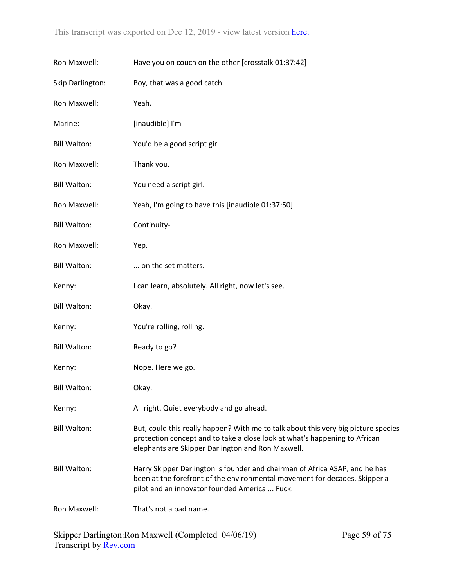| Ron Maxwell:        | Have you on couch on the other [crosstalk 01:37:42]-                                                                                                                                                                  |
|---------------------|-----------------------------------------------------------------------------------------------------------------------------------------------------------------------------------------------------------------------|
| Skip Darlington:    | Boy, that was a good catch.                                                                                                                                                                                           |
| Ron Maxwell:        | Yeah.                                                                                                                                                                                                                 |
| Marine:             | [inaudible] I'm-                                                                                                                                                                                                      |
| <b>Bill Walton:</b> | You'd be a good script girl.                                                                                                                                                                                          |
| Ron Maxwell:        | Thank you.                                                                                                                                                                                                            |
| <b>Bill Walton:</b> | You need a script girl.                                                                                                                                                                                               |
| Ron Maxwell:        | Yeah, I'm going to have this [inaudible 01:37:50].                                                                                                                                                                    |
| <b>Bill Walton:</b> | Continuity-                                                                                                                                                                                                           |
| Ron Maxwell:        | Yep.                                                                                                                                                                                                                  |
| <b>Bill Walton:</b> | on the set matters.                                                                                                                                                                                                   |
| Kenny:              | I can learn, absolutely. All right, now let's see.                                                                                                                                                                    |
| <b>Bill Walton:</b> | Okay.                                                                                                                                                                                                                 |
| Kenny:              | You're rolling, rolling.                                                                                                                                                                                              |
| <b>Bill Walton:</b> | Ready to go?                                                                                                                                                                                                          |
| Kenny:              | Nope. Here we go.                                                                                                                                                                                                     |
| <b>Bill Walton:</b> | Okay.                                                                                                                                                                                                                 |
| Kenny:              | All right. Quiet everybody and go ahead.                                                                                                                                                                              |
| <b>Bill Walton:</b> | But, could this really happen? With me to talk about this very big picture species<br>protection concept and to take a close look at what's happening to African<br>elephants are Skipper Darlington and Ron Maxwell. |
| <b>Bill Walton:</b> | Harry Skipper Darlington is founder and chairman of Africa ASAP, and he has<br>been at the forefront of the environmental movement for decades. Skipper a<br>pilot and an innovator founded America  Fuck.            |
| Ron Maxwell:        | That's not a bad name.                                                                                                                                                                                                |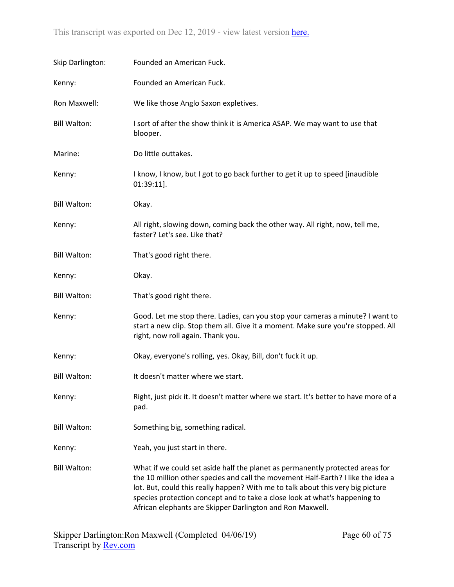| Skip Darlington:    | Founded an American Fuck.                                                                                                                                                                                                                                                                                                                                                                       |
|---------------------|-------------------------------------------------------------------------------------------------------------------------------------------------------------------------------------------------------------------------------------------------------------------------------------------------------------------------------------------------------------------------------------------------|
| Kenny:              | Founded an American Fuck.                                                                                                                                                                                                                                                                                                                                                                       |
| Ron Maxwell:        | We like those Anglo Saxon expletives.                                                                                                                                                                                                                                                                                                                                                           |
| <b>Bill Walton:</b> | I sort of after the show think it is America ASAP. We may want to use that<br>blooper.                                                                                                                                                                                                                                                                                                          |
| Marine:             | Do little outtakes.                                                                                                                                                                                                                                                                                                                                                                             |
| Kenny:              | I know, I know, but I got to go back further to get it up to speed [inaudible<br>$01:39:11$ ].                                                                                                                                                                                                                                                                                                  |
| <b>Bill Walton:</b> | Okay.                                                                                                                                                                                                                                                                                                                                                                                           |
| Kenny:              | All right, slowing down, coming back the other way. All right, now, tell me,<br>faster? Let's see. Like that?                                                                                                                                                                                                                                                                                   |
| <b>Bill Walton:</b> | That's good right there.                                                                                                                                                                                                                                                                                                                                                                        |
| Kenny:              | Okay.                                                                                                                                                                                                                                                                                                                                                                                           |
| <b>Bill Walton:</b> | That's good right there.                                                                                                                                                                                                                                                                                                                                                                        |
| Kenny:              | Good. Let me stop there. Ladies, can you stop your cameras a minute? I want to<br>start a new clip. Stop them all. Give it a moment. Make sure you're stopped. All<br>right, now roll again. Thank you.                                                                                                                                                                                         |
| Kenny:              | Okay, everyone's rolling, yes. Okay, Bill, don't fuck it up.                                                                                                                                                                                                                                                                                                                                    |
| <b>Bill Walton:</b> | It doesn't matter where we start.                                                                                                                                                                                                                                                                                                                                                               |
| Kenny:              | Right, just pick it. It doesn't matter where we start. It's better to have more of a<br>pad.                                                                                                                                                                                                                                                                                                    |
| <b>Bill Walton:</b> | Something big, something radical.                                                                                                                                                                                                                                                                                                                                                               |
| Kenny:              | Yeah, you just start in there.                                                                                                                                                                                                                                                                                                                                                                  |
| <b>Bill Walton:</b> | What if we could set aside half the planet as permanently protected areas for<br>the 10 million other species and call the movement Half-Earth? I like the idea a<br>lot. But, could this really happen? With me to talk about this very big picture<br>species protection concept and to take a close look at what's happening to<br>African elephants are Skipper Darlington and Ron Maxwell. |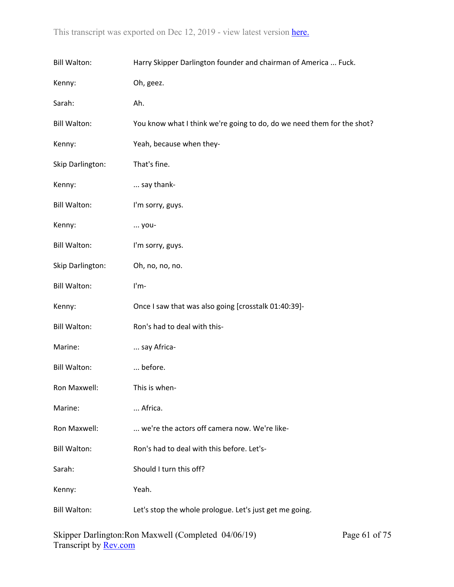| <b>Bill Walton:</b> | Harry Skipper Darlington founder and chairman of America  Fuck.        |  |  |
|---------------------|------------------------------------------------------------------------|--|--|
| Kenny:              | Oh, geez.                                                              |  |  |
| Sarah:              | Ah.                                                                    |  |  |
| <b>Bill Walton:</b> | You know what I think we're going to do, do we need them for the shot? |  |  |
| Kenny:              | Yeah, because when they-                                               |  |  |
| Skip Darlington:    | That's fine.                                                           |  |  |
| Kenny:              | say thank-                                                             |  |  |
| <b>Bill Walton:</b> | I'm sorry, guys.                                                       |  |  |
| Kenny:              | you-                                                                   |  |  |
| <b>Bill Walton:</b> | I'm sorry, guys.                                                       |  |  |
| Skip Darlington:    | Oh, no, no, no.                                                        |  |  |
| <b>Bill Walton:</b> | I'm-                                                                   |  |  |
| Kenny:              | Once I saw that was also going [crosstalk 01:40:39]-                   |  |  |
| <b>Bill Walton:</b> | Ron's had to deal with this-                                           |  |  |
| Marine:             | say Africa-                                                            |  |  |
| <b>Bill Walton:</b> | before.                                                                |  |  |
| Ron Maxwell:        | This is when-                                                          |  |  |
| Marine:             | Africa.                                                                |  |  |
| Ron Maxwell:        | we're the actors off camera now. We're like-                           |  |  |
| <b>Bill Walton:</b> | Ron's had to deal with this before. Let's-                             |  |  |
| Sarah:              | Should I turn this off?                                                |  |  |
| Kenny:              | Yeah.                                                                  |  |  |
| <b>Bill Walton:</b> | Let's stop the whole prologue. Let's just get me going.                |  |  |
|                     |                                                                        |  |  |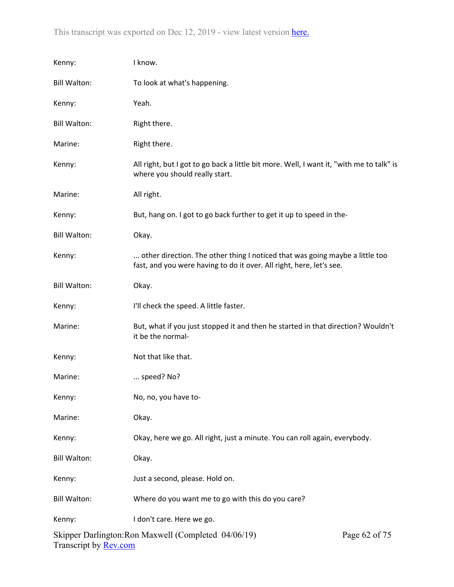| Kenny:                       | I know.                                                                                                                                              |               |
|------------------------------|------------------------------------------------------------------------------------------------------------------------------------------------------|---------------|
| <b>Bill Walton:</b>          | To look at what's happening.                                                                                                                         |               |
| Kenny:                       | Yeah.                                                                                                                                                |               |
| <b>Bill Walton:</b>          | Right there.                                                                                                                                         |               |
| Marine:                      | Right there.                                                                                                                                         |               |
| Kenny:                       | All right, but I got to go back a little bit more. Well, I want it, "with me to talk" is<br>where you should really start.                           |               |
| Marine:                      | All right.                                                                                                                                           |               |
| Kenny:                       | But, hang on. I got to go back further to get it up to speed in the-                                                                                 |               |
| <b>Bill Walton:</b>          | Okay.                                                                                                                                                |               |
| Kenny:                       | other direction. The other thing I noticed that was going maybe a little too<br>fast, and you were having to do it over. All right, here, let's see. |               |
| <b>Bill Walton:</b>          | Okay.                                                                                                                                                |               |
| Kenny:                       | I'll check the speed. A little faster.                                                                                                               |               |
| Marine:                      | But, what if you just stopped it and then he started in that direction? Wouldn't<br>it be the normal-                                                |               |
| Kenny:                       | Not that like that.                                                                                                                                  |               |
| Marine:                      | speed? No?                                                                                                                                           |               |
| Kenny:                       | No, no, you have to-                                                                                                                                 |               |
| Marine:                      | Okay.                                                                                                                                                |               |
| Kenny:                       | Okay, here we go. All right, just a minute. You can roll again, everybody.                                                                           |               |
| <b>Bill Walton:</b>          | Okay.                                                                                                                                                |               |
| Kenny:                       | Just a second, please. Hold on.                                                                                                                      |               |
| <b>Bill Walton:</b>          | Where do you want me to go with this do you care?                                                                                                    |               |
| Kenny:                       | I don't care. Here we go.                                                                                                                            |               |
| Transcript by <b>Rev.com</b> | Skipper Darlington: Ron Maxwell (Completed 04/06/19)                                                                                                 | Page 62 of 75 |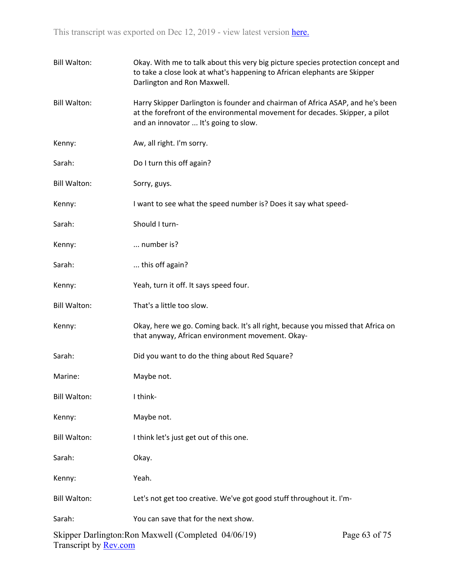| <b>Bill Walton:</b>   | Okay. With me to talk about this very big picture species protection concept and<br>to take a close look at what's happening to African elephants are Skipper<br>Darlington and Ron Maxwell.            |               |
|-----------------------|---------------------------------------------------------------------------------------------------------------------------------------------------------------------------------------------------------|---------------|
| <b>Bill Walton:</b>   | Harry Skipper Darlington is founder and chairman of Africa ASAP, and he's been<br>at the forefront of the environmental movement for decades. Skipper, a pilot<br>and an innovator  It's going to slow. |               |
| Kenny:                | Aw, all right. I'm sorry.                                                                                                                                                                               |               |
| Sarah:                | Do I turn this off again?                                                                                                                                                                               |               |
| <b>Bill Walton:</b>   | Sorry, guys.                                                                                                                                                                                            |               |
| Kenny:                | I want to see what the speed number is? Does it say what speed-                                                                                                                                         |               |
| Sarah:                | Should I turn-                                                                                                                                                                                          |               |
| Kenny:                | number is?                                                                                                                                                                                              |               |
| Sarah:                | this off again?                                                                                                                                                                                         |               |
| Kenny:                | Yeah, turn it off. It says speed four.                                                                                                                                                                  |               |
| <b>Bill Walton:</b>   | That's a little too slow.                                                                                                                                                                               |               |
| Kenny:                | Okay, here we go. Coming back. It's all right, because you missed that Africa on<br>that anyway, African environment movement. Okay-                                                                    |               |
| Sarah:                | Did you want to do the thing about Red Square?                                                                                                                                                          |               |
| Marine:               | Maybe not.                                                                                                                                                                                              |               |
| <b>Bill Walton:</b>   | I think-                                                                                                                                                                                                |               |
| Kenny:                | Maybe not.                                                                                                                                                                                              |               |
| <b>Bill Walton:</b>   | I think let's just get out of this one.                                                                                                                                                                 |               |
| Sarah:                | Okay.                                                                                                                                                                                                   |               |
| Kenny:                | Yeah.                                                                                                                                                                                                   |               |
| <b>Bill Walton:</b>   | Let's not get too creative. We've got good stuff throughout it. I'm-                                                                                                                                    |               |
| Sarah:                | You can save that for the next show.                                                                                                                                                                    |               |
| Transcript by Rev.com | Skipper Darlington: Ron Maxwell (Completed 04/06/19)                                                                                                                                                    | Page 63 of 75 |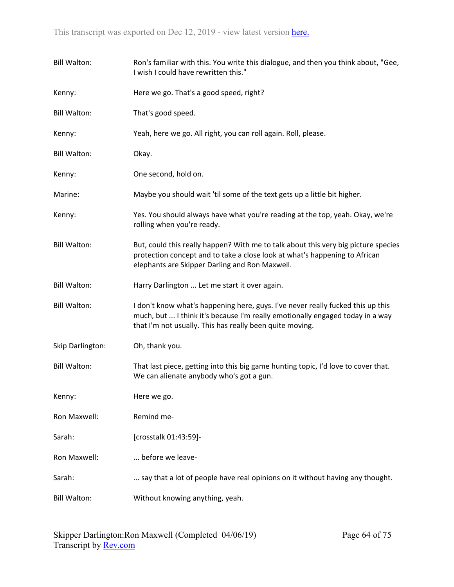| <b>Bill Walton:</b> | Ron's familiar with this. You write this dialogue, and then you think about, "Gee,<br>I wish I could have rewritten this."                                                                                                   |
|---------------------|------------------------------------------------------------------------------------------------------------------------------------------------------------------------------------------------------------------------------|
| Kenny:              | Here we go. That's a good speed, right?                                                                                                                                                                                      |
| <b>Bill Walton:</b> | That's good speed.                                                                                                                                                                                                           |
| Kenny:              | Yeah, here we go. All right, you can roll again. Roll, please.                                                                                                                                                               |
| <b>Bill Walton:</b> | Okay.                                                                                                                                                                                                                        |
| Kenny:              | One second, hold on.                                                                                                                                                                                                         |
| Marine:             | Maybe you should wait 'til some of the text gets up a little bit higher.                                                                                                                                                     |
| Kenny:              | Yes. You should always have what you're reading at the top, yeah. Okay, we're<br>rolling when you're ready.                                                                                                                  |
| <b>Bill Walton:</b> | But, could this really happen? With me to talk about this very big picture species<br>protection concept and to take a close look at what's happening to African<br>elephants are Skipper Darling and Ron Maxwell.           |
| <b>Bill Walton:</b> | Harry Darlington  Let me start it over again.                                                                                                                                                                                |
| <b>Bill Walton:</b> | I don't know what's happening here, guys. I've never really fucked this up this<br>much, but  I think it's because I'm really emotionally engaged today in a way<br>that I'm not usually. This has really been quite moving. |
| Skip Darlington:    | Oh, thank you.                                                                                                                                                                                                               |
| <b>Bill Walton:</b> | That last piece, getting into this big game hunting topic, I'd love to cover that.<br>We can alienate anybody who's got a gun.                                                                                               |
| Kenny:              | Here we go.                                                                                                                                                                                                                  |
| Ron Maxwell:        | Remind me-                                                                                                                                                                                                                   |
| Sarah:              | [crosstalk 01:43:59]-                                                                                                                                                                                                        |
| Ron Maxwell:        | before we leave-                                                                                                                                                                                                             |
| Sarah:              | say that a lot of people have real opinions on it without having any thought.                                                                                                                                                |
| <b>Bill Walton:</b> | Without knowing anything, yeah.                                                                                                                                                                                              |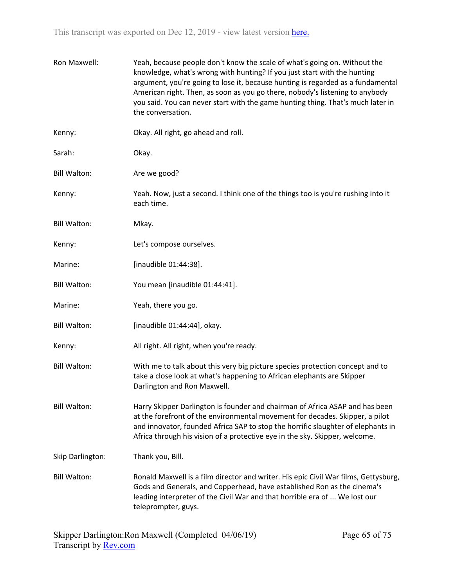| Ron Maxwell:        | Yeah, because people don't know the scale of what's going on. Without the<br>knowledge, what's wrong with hunting? If you just start with the hunting<br>argument, you're going to lose it, because hunting is regarded as a fundamental<br>American right. Then, as soon as you go there, nobody's listening to anybody<br>you said. You can never start with the game hunting thing. That's much later in<br>the conversation. |
|---------------------|----------------------------------------------------------------------------------------------------------------------------------------------------------------------------------------------------------------------------------------------------------------------------------------------------------------------------------------------------------------------------------------------------------------------------------|
| Kenny:              | Okay. All right, go ahead and roll.                                                                                                                                                                                                                                                                                                                                                                                              |
| Sarah:              | Okay.                                                                                                                                                                                                                                                                                                                                                                                                                            |
| <b>Bill Walton:</b> | Are we good?                                                                                                                                                                                                                                                                                                                                                                                                                     |
| Kenny:              | Yeah. Now, just a second. I think one of the things too is you're rushing into it<br>each time.                                                                                                                                                                                                                                                                                                                                  |
| <b>Bill Walton:</b> | Mkay.                                                                                                                                                                                                                                                                                                                                                                                                                            |
| Kenny:              | Let's compose ourselves.                                                                                                                                                                                                                                                                                                                                                                                                         |
| Marine:             | [inaudible 01:44:38].                                                                                                                                                                                                                                                                                                                                                                                                            |
| <b>Bill Walton:</b> | You mean [inaudible 01:44:41].                                                                                                                                                                                                                                                                                                                                                                                                   |
| Marine:             | Yeah, there you go.                                                                                                                                                                                                                                                                                                                                                                                                              |
| <b>Bill Walton:</b> | [inaudible 01:44:44], okay.                                                                                                                                                                                                                                                                                                                                                                                                      |
| Kenny:              | All right. All right, when you're ready.                                                                                                                                                                                                                                                                                                                                                                                         |
| <b>Bill Walton:</b> | With me to talk about this very big picture species protection concept and to<br>take a close look at what's happening to African elephants are Skipper<br>Darlington and Ron Maxwell.                                                                                                                                                                                                                                           |
| <b>Bill Walton:</b> | Harry Skipper Darlington is founder and chairman of Africa ASAP and has been<br>at the forefront of the environmental movement for decades. Skipper, a pilot<br>and innovator, founded Africa SAP to stop the horrific slaughter of elephants in<br>Africa through his vision of a protective eye in the sky. Skipper, welcome.                                                                                                  |
| Skip Darlington:    | Thank you, Bill.                                                                                                                                                                                                                                                                                                                                                                                                                 |
| <b>Bill Walton:</b> | Ronald Maxwell is a film director and writer. His epic Civil War films, Gettysburg,<br>Gods and Generals, and Copperhead, have established Ron as the cinema's<br>leading interpreter of the Civil War and that horrible era of  We lost our<br>teleprompter, guys.                                                                                                                                                              |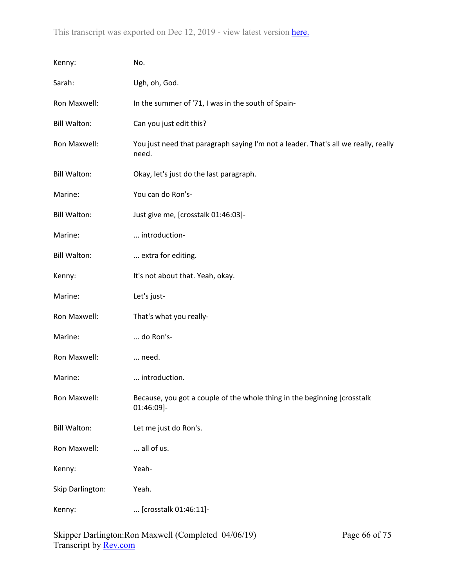| Kenny:              | No.                                                                                         |
|---------------------|---------------------------------------------------------------------------------------------|
| Sarah:              | Ugh, oh, God.                                                                               |
| Ron Maxwell:        | In the summer of '71, I was in the south of Spain-                                          |
| <b>Bill Walton:</b> | Can you just edit this?                                                                     |
| Ron Maxwell:        | You just need that paragraph saying I'm not a leader. That's all we really, really<br>need. |
| <b>Bill Walton:</b> | Okay, let's just do the last paragraph.                                                     |
| Marine:             | You can do Ron's-                                                                           |
| <b>Bill Walton:</b> | Just give me, [crosstalk 01:46:03]-                                                         |
| Marine:             | introduction-                                                                               |
| <b>Bill Walton:</b> | extra for editing.                                                                          |
| Kenny:              | It's not about that. Yeah, okay.                                                            |
| Marine:             | Let's just-                                                                                 |
| Ron Maxwell:        | That's what you really-                                                                     |
| Marine:             | do Ron's-                                                                                   |
| Ron Maxwell:        | need.                                                                                       |
| Marine:             | introduction.                                                                               |
| Ron Maxwell:        | Because, you got a couple of the whole thing in the beginning [crosstalk<br>01:46:09]-      |
| <b>Bill Walton:</b> | Let me just do Ron's.                                                                       |
| Ron Maxwell:        | all of us.                                                                                  |
| Kenny:              | Yeah-                                                                                       |
| Skip Darlington:    | Yeah.                                                                                       |
| Kenny:              | [crosstalk 01:46:11]-                                                                       |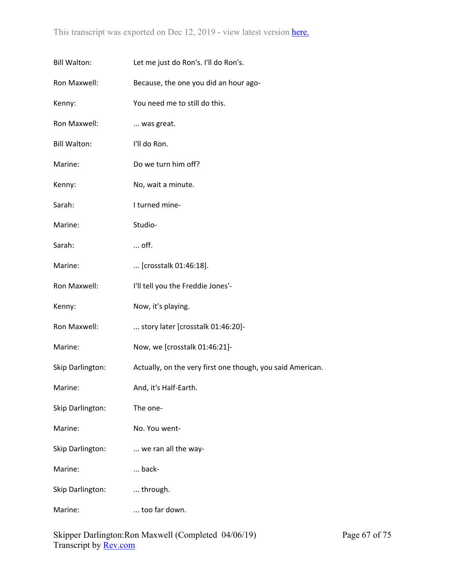| <b>Bill Walton:</b> | Let me just do Ron's. I'll do Ron's.                       |
|---------------------|------------------------------------------------------------|
| Ron Maxwell:        | Because, the one you did an hour ago-                      |
| Kenny:              | You need me to still do this.                              |
| Ron Maxwell:        | was great.                                                 |
| <b>Bill Walton:</b> | I'll do Ron.                                               |
| Marine:             | Do we turn him off?                                        |
| Kenny:              | No, wait a minute.                                         |
| Sarah:              | I turned mine-                                             |
| Marine:             | Studio-                                                    |
| Sarah:              | off.                                                       |
| Marine:             | [crosstalk 01:46:18].                                      |
| Ron Maxwell:        | I'll tell you the Freddie Jones'-                          |
| Kenny:              | Now, it's playing.                                         |
| Ron Maxwell:        | story later [crosstalk 01:46:20]-                          |
| Marine:             | Now, we [crosstalk 01:46:21]-                              |
| Skip Darlington:    | Actually, on the very first one though, you said American. |
| Marine:             | And, it's Half-Earth.                                      |
| Skip Darlington:    | The one-                                                   |
| Marine:             | No. You went-                                              |
| Skip Darlington:    | we ran all the way-                                        |
| Marine:             | back-                                                      |
| Skip Darlington:    | through.                                                   |
| Marine:             | too far down.                                              |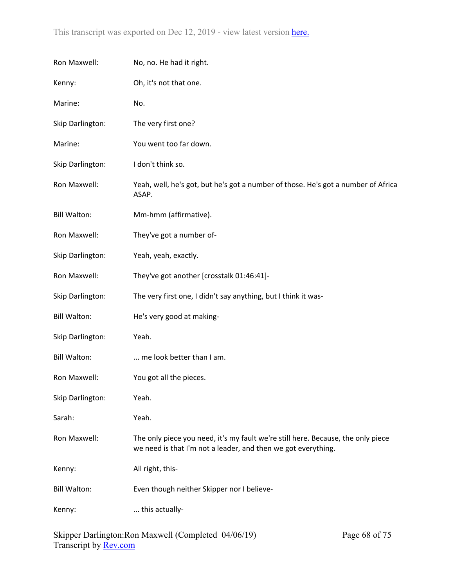| Ron Maxwell:        | No, no. He had it right.                                                                                                                          |
|---------------------|---------------------------------------------------------------------------------------------------------------------------------------------------|
| Kenny:              | Oh, it's not that one.                                                                                                                            |
| Marine:             | No.                                                                                                                                               |
| Skip Darlington:    | The very first one?                                                                                                                               |
| Marine:             | You went too far down.                                                                                                                            |
| Skip Darlington:    | I don't think so.                                                                                                                                 |
| Ron Maxwell:        | Yeah, well, he's got, but he's got a number of those. He's got a number of Africa<br>ASAP.                                                        |
| <b>Bill Walton:</b> | Mm-hmm (affirmative).                                                                                                                             |
| Ron Maxwell:        | They've got a number of-                                                                                                                          |
| Skip Darlington:    | Yeah, yeah, exactly.                                                                                                                              |
| Ron Maxwell:        | They've got another [crosstalk 01:46:41]-                                                                                                         |
| Skip Darlington:    | The very first one, I didn't say anything, but I think it was-                                                                                    |
| <b>Bill Walton:</b> | He's very good at making-                                                                                                                         |
| Skip Darlington:    | Yeah.                                                                                                                                             |
| <b>Bill Walton:</b> | me look better than I am.                                                                                                                         |
| Ron Maxwell:        | You got all the pieces.                                                                                                                           |
| Skip Darlington:    | Yeah.                                                                                                                                             |
| Sarah:              | Yeah.                                                                                                                                             |
| Ron Maxwell:        | The only piece you need, it's my fault we're still here. Because, the only piece<br>we need is that I'm not a leader, and then we got everything. |
| Kenny:              | All right, this-                                                                                                                                  |
| <b>Bill Walton:</b> | Even though neither Skipper nor I believe-                                                                                                        |
| Kenny:              | this actually-                                                                                                                                    |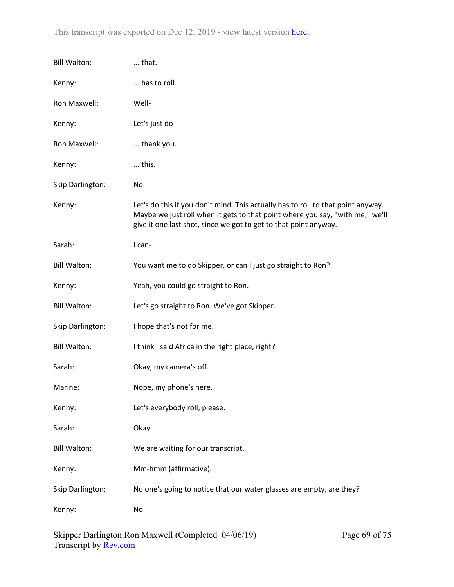| <b>Bill Walton:</b> | that.                                                                                                                                                                                                                                 |
|---------------------|---------------------------------------------------------------------------------------------------------------------------------------------------------------------------------------------------------------------------------------|
| Kenny:              | has to roll.                                                                                                                                                                                                                          |
| Ron Maxwell:        | Well-                                                                                                                                                                                                                                 |
| Kenny:              | Let's just do-                                                                                                                                                                                                                        |
| Ron Maxwell:        | thank you.                                                                                                                                                                                                                            |
| Kenny:              | this.                                                                                                                                                                                                                                 |
| Skip Darlington:    | No.                                                                                                                                                                                                                                   |
| Kenny:              | Let's do this if you don't mind. This actually has to roll to that point anyway.<br>Maybe we just roll when it gets to that point where you say, "with me," we'll<br>give it one last shot, since we got to get to that point anyway. |
| Sarah:              | I can-                                                                                                                                                                                                                                |
| <b>Bill Walton:</b> | You want me to do Skipper, or can I just go straight to Ron?                                                                                                                                                                          |
| Kenny:              | Yeah, you could go straight to Ron.                                                                                                                                                                                                   |
| <b>Bill Walton:</b> | Let's go straight to Ron. We've got Skipper.                                                                                                                                                                                          |
| Skip Darlington:    | I hope that's not for me.                                                                                                                                                                                                             |
| <b>Bill Walton:</b> | I think I said Africa in the right place, right?                                                                                                                                                                                      |
| Sarah:              | Okay, my camera's off.                                                                                                                                                                                                                |
| Marine:             | Nope, my phone's here.                                                                                                                                                                                                                |
| Kenny:              | Let's everybody roll, please.                                                                                                                                                                                                         |
| Sarah:              | Okay.                                                                                                                                                                                                                                 |
| <b>Bill Walton:</b> | We are waiting for our transcript.                                                                                                                                                                                                    |
| Kenny:              | Mm-hmm (affirmative).                                                                                                                                                                                                                 |
| Skip Darlington:    | No one's going to notice that our water glasses are empty, are they?                                                                                                                                                                  |
| Kenny:              | No.                                                                                                                                                                                                                                   |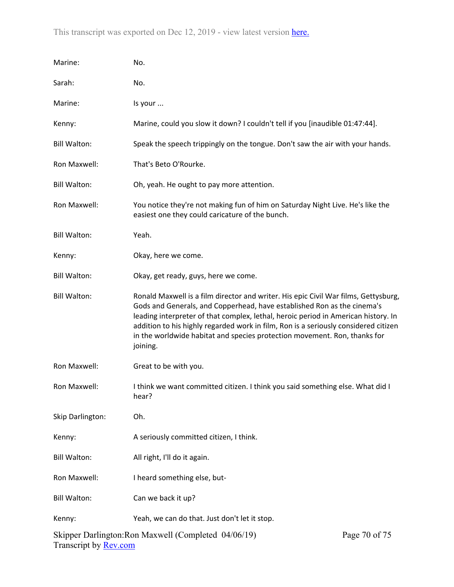| Marine:             | No.                                                                                                                                                                                                                                                                                                                                                                                                                                  |               |
|---------------------|--------------------------------------------------------------------------------------------------------------------------------------------------------------------------------------------------------------------------------------------------------------------------------------------------------------------------------------------------------------------------------------------------------------------------------------|---------------|
| Sarah:              | No.                                                                                                                                                                                                                                                                                                                                                                                                                                  |               |
| Marine:             | Is your                                                                                                                                                                                                                                                                                                                                                                                                                              |               |
| Kenny:              | Marine, could you slow it down? I couldn't tell if you [inaudible 01:47:44].                                                                                                                                                                                                                                                                                                                                                         |               |
| <b>Bill Walton:</b> | Speak the speech trippingly on the tongue. Don't saw the air with your hands.                                                                                                                                                                                                                                                                                                                                                        |               |
| Ron Maxwell:        | That's Beto O'Rourke.                                                                                                                                                                                                                                                                                                                                                                                                                |               |
| <b>Bill Walton:</b> | Oh, yeah. He ought to pay more attention.                                                                                                                                                                                                                                                                                                                                                                                            |               |
| Ron Maxwell:        | You notice they're not making fun of him on Saturday Night Live. He's like the<br>easiest one they could caricature of the bunch.                                                                                                                                                                                                                                                                                                    |               |
| <b>Bill Walton:</b> | Yeah.                                                                                                                                                                                                                                                                                                                                                                                                                                |               |
| Kenny:              | Okay, here we come.                                                                                                                                                                                                                                                                                                                                                                                                                  |               |
| <b>Bill Walton:</b> | Okay, get ready, guys, here we come.                                                                                                                                                                                                                                                                                                                                                                                                 |               |
| <b>Bill Walton:</b> | Ronald Maxwell is a film director and writer. His epic Civil War films, Gettysburg,<br>Gods and Generals, and Copperhead, have established Ron as the cinema's<br>leading interpreter of that complex, lethal, heroic period in American history. In<br>addition to his highly regarded work in film, Ron is a seriously considered citizen<br>in the worldwide habitat and species protection movement. Ron, thanks for<br>joining. |               |
| Ron Maxwell:        | Great to be with you.                                                                                                                                                                                                                                                                                                                                                                                                                |               |
| Ron Maxwell:        | I think we want committed citizen. I think you said something else. What did I<br>hear?                                                                                                                                                                                                                                                                                                                                              |               |
| Skip Darlington:    | Oh.                                                                                                                                                                                                                                                                                                                                                                                                                                  |               |
| Kenny:              | A seriously committed citizen, I think.                                                                                                                                                                                                                                                                                                                                                                                              |               |
| <b>Bill Walton:</b> | All right, I'll do it again.                                                                                                                                                                                                                                                                                                                                                                                                         |               |
| Ron Maxwell:        | I heard something else, but-                                                                                                                                                                                                                                                                                                                                                                                                         |               |
| <b>Bill Walton:</b> | Can we back it up?                                                                                                                                                                                                                                                                                                                                                                                                                   |               |
| Kenny:              | Yeah, we can do that. Just don't let it stop.                                                                                                                                                                                                                                                                                                                                                                                        |               |
|                     | Skipper Darlington: Ron Maxwell (Completed 04/06/19)                                                                                                                                                                                                                                                                                                                                                                                 | Page 70 of 75 |

Transcript by <u>Rev.com</u>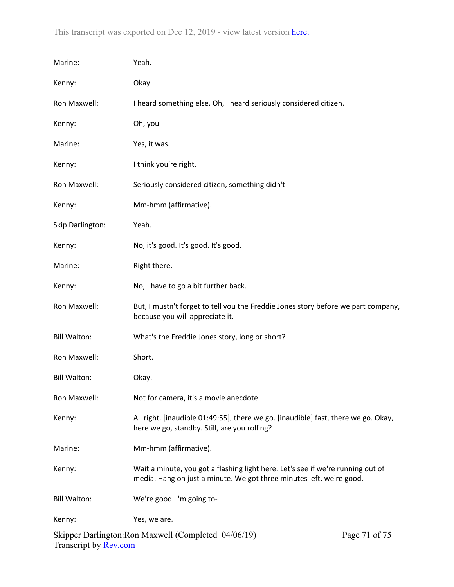| Marine:             | Yeah.                                                                                                                                                   |               |
|---------------------|---------------------------------------------------------------------------------------------------------------------------------------------------------|---------------|
| Kenny:              | Okay.                                                                                                                                                   |               |
| Ron Maxwell:        | I heard something else. Oh, I heard seriously considered citizen.                                                                                       |               |
| Kenny:              | Oh, you-                                                                                                                                                |               |
| Marine:             | Yes, it was.                                                                                                                                            |               |
| Kenny:              | I think you're right.                                                                                                                                   |               |
| Ron Maxwell:        | Seriously considered citizen, something didn't-                                                                                                         |               |
| Kenny:              | Mm-hmm (affirmative).                                                                                                                                   |               |
| Skip Darlington:    | Yeah.                                                                                                                                                   |               |
| Kenny:              | No, it's good. It's good. It's good.                                                                                                                    |               |
| Marine:             | Right there.                                                                                                                                            |               |
| Kenny:              | No, I have to go a bit further back.                                                                                                                    |               |
| Ron Maxwell:        | But, I mustn't forget to tell you the Freddie Jones story before we part company,<br>because you will appreciate it.                                    |               |
| <b>Bill Walton:</b> | What's the Freddie Jones story, long or short?                                                                                                          |               |
| Ron Maxwell:        | Short.                                                                                                                                                  |               |
| <b>Bill Walton:</b> | Okay.                                                                                                                                                   |               |
| Ron Maxwell:        | Not for camera, it's a movie anecdote.                                                                                                                  |               |
| Kenny:              | All right. [inaudible 01:49:55], there we go. [inaudible] fast, there we go. Okay,<br>here we go, standby. Still, are you rolling?                      |               |
| Marine:             | Mm-hmm (affirmative).                                                                                                                                   |               |
| Kenny:              | Wait a minute, you got a flashing light here. Let's see if we're running out of<br>media. Hang on just a minute. We got three minutes left, we're good. |               |
| <b>Bill Walton:</b> | We're good. I'm going to-                                                                                                                               |               |
| Kenny:              | Yes, we are.                                                                                                                                            |               |
|                     | Skipper Darlington: Ron Maxwell (Completed 04/06/19)                                                                                                    | Page 71 of 75 |

Transcript by **Rev.com**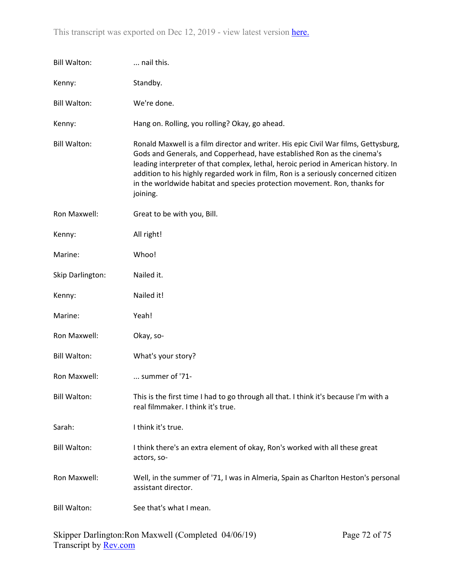| <b>Bill Walton:</b> | nail this.                                                                                                                                                                                                                                                                                                                                                                                                                          |
|---------------------|-------------------------------------------------------------------------------------------------------------------------------------------------------------------------------------------------------------------------------------------------------------------------------------------------------------------------------------------------------------------------------------------------------------------------------------|
| Kenny:              | Standby.                                                                                                                                                                                                                                                                                                                                                                                                                            |
| <b>Bill Walton:</b> | We're done.                                                                                                                                                                                                                                                                                                                                                                                                                         |
| Kenny:              | Hang on. Rolling, you rolling? Okay, go ahead.                                                                                                                                                                                                                                                                                                                                                                                      |
| <b>Bill Walton:</b> | Ronald Maxwell is a film director and writer. His epic Civil War films, Gettysburg,<br>Gods and Generals, and Copperhead, have established Ron as the cinema's<br>leading interpreter of that complex, lethal, heroic period in American history. In<br>addition to his highly regarded work in film, Ron is a seriously concerned citizen<br>in the worldwide habitat and species protection movement. Ron, thanks for<br>joining. |
| Ron Maxwell:        | Great to be with you, Bill.                                                                                                                                                                                                                                                                                                                                                                                                         |
| Kenny:              | All right!                                                                                                                                                                                                                                                                                                                                                                                                                          |
| Marine:             | Whoo!                                                                                                                                                                                                                                                                                                                                                                                                                               |
| Skip Darlington:    | Nailed it.                                                                                                                                                                                                                                                                                                                                                                                                                          |
| Kenny:              | Nailed it!                                                                                                                                                                                                                                                                                                                                                                                                                          |
| Marine:             | Yeah!                                                                                                                                                                                                                                                                                                                                                                                                                               |
| Ron Maxwell:        | Okay, so-                                                                                                                                                                                                                                                                                                                                                                                                                           |
|                     |                                                                                                                                                                                                                                                                                                                                                                                                                                     |
| <b>Bill Walton:</b> | What's your story?                                                                                                                                                                                                                                                                                                                                                                                                                  |
| Ron Maxwell:        | summer of '71-                                                                                                                                                                                                                                                                                                                                                                                                                      |
| <b>Bill Walton:</b> | This is the first time I had to go through all that. I think it's because I'm with a<br>real filmmaker. I think it's true.                                                                                                                                                                                                                                                                                                          |
| Sarah:              | I think it's true.                                                                                                                                                                                                                                                                                                                                                                                                                  |
| <b>Bill Walton:</b> | I think there's an extra element of okay, Ron's worked with all these great<br>actors, so-                                                                                                                                                                                                                                                                                                                                          |
| Ron Maxwell:        | Well, in the summer of '71, I was in Almeria, Spain as Charlton Heston's personal<br>assistant director.                                                                                                                                                                                                                                                                                                                            |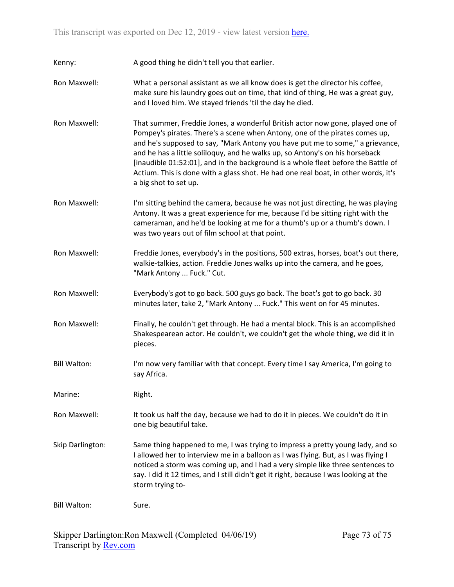Kenny: A good thing he didn't tell you that earlier.

- Ron Maxwell: What a personal assistant as we all know does is get the director his coffee, make sure his laundry goes out on time, that kind of thing, He was a great guy, and I loved him. We stayed friends 'til the day he died.
- Ron Maxwell: That summer, Freddie Jones, a wonderful British actor now gone, played one of Pompey's pirates. There's a scene when Antony, one of the pirates comes up, and he's supposed to say, "Mark Antony you have put me to some," a grievance, and he has a little soliloquy, and he walks up, so Antony's on his horseback [inaudible 01:52:01], and in the background is a whole fleet before the Battle of Actium. This is done with a glass shot. He had one real boat, in other words, it's a big shot to set up.
- Ron Maxwell: I'm sitting behind the camera, because he was not just directing, he was playing Antony. It was a great experience for me, because I'd be sitting right with the cameraman, and he'd be looking at me for a thumb's up or a thumb's down. I was two years out of film school at that point.
- Ron Maxwell: Freddie Jones, everybody's in the positions, 500 extras, horses, boat's out there, walkie-talkies, action. Freddie Jones walks up into the camera, and he goes, "Mark Antony ... Fuck." Cut.
- Ron Maxwell: Everybody's got to go back. 500 guys go back. The boat's got to go back. 30 minutes later, take 2, "Mark Antony ... Fuck." This went on for 45 minutes.
- Ron Maxwell: Finally, he couldn't get through. He had a mental block. This is an accomplished Shakespearean actor. He couldn't, we couldn't get the whole thing, we did it in pieces.
- Bill Walton: I'm now very familiar with that concept. Every time I say America, I'm going to say Africa.

Marine: Right.

- Ron Maxwell: It took us half the day, because we had to do it in pieces. We couldn't do it in one big beautiful take.
- Skip Darlington: Same thing happened to me, I was trying to impress a pretty young lady, and so I allowed her to interview me in a balloon as I was flying. But, as I was flying I noticed a storm was coming up, and I had a very simple like three sentences to say. I did it 12 times, and I still didn't get it right, because I was looking at the storm trying to-

Bill Walton: Sure.

Skipper Darlington:Ron Maxwell (Completed 04/06/19) Transcript by [Rev.com](https://www.rev.com/)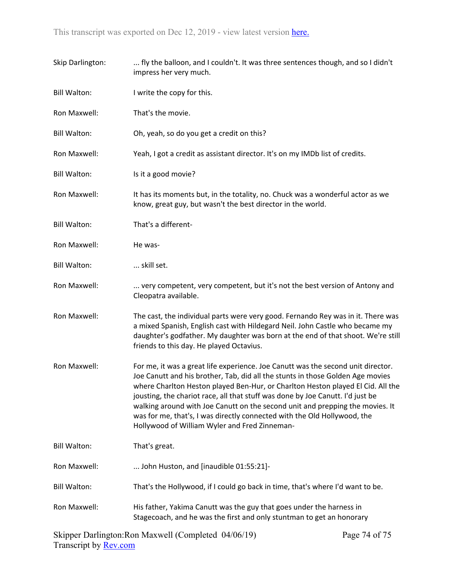| Skip Darlington:    | fly the balloon, and I couldn't. It was three sentences though, and so I didn't<br>impress her very much.                                                                                                                                                                                                                                                                                                                                                                                                                                             |
|---------------------|-------------------------------------------------------------------------------------------------------------------------------------------------------------------------------------------------------------------------------------------------------------------------------------------------------------------------------------------------------------------------------------------------------------------------------------------------------------------------------------------------------------------------------------------------------|
| <b>Bill Walton:</b> | I write the copy for this.                                                                                                                                                                                                                                                                                                                                                                                                                                                                                                                            |
| Ron Maxwell:        | That's the movie.                                                                                                                                                                                                                                                                                                                                                                                                                                                                                                                                     |
| <b>Bill Walton:</b> | Oh, yeah, so do you get a credit on this?                                                                                                                                                                                                                                                                                                                                                                                                                                                                                                             |
| Ron Maxwell:        | Yeah, I got a credit as assistant director. It's on my IMDb list of credits.                                                                                                                                                                                                                                                                                                                                                                                                                                                                          |
| <b>Bill Walton:</b> | Is it a good movie?                                                                                                                                                                                                                                                                                                                                                                                                                                                                                                                                   |
| Ron Maxwell:        | It has its moments but, in the totality, no. Chuck was a wonderful actor as we<br>know, great guy, but wasn't the best director in the world.                                                                                                                                                                                                                                                                                                                                                                                                         |
| <b>Bill Walton:</b> | That's a different-                                                                                                                                                                                                                                                                                                                                                                                                                                                                                                                                   |
| Ron Maxwell:        | He was-                                                                                                                                                                                                                                                                                                                                                                                                                                                                                                                                               |
| <b>Bill Walton:</b> | skill set.                                                                                                                                                                                                                                                                                                                                                                                                                                                                                                                                            |
| Ron Maxwell:        | very competent, very competent, but it's not the best version of Antony and<br>Cleopatra available.                                                                                                                                                                                                                                                                                                                                                                                                                                                   |
| Ron Maxwell:        | The cast, the individual parts were very good. Fernando Rey was in it. There was<br>a mixed Spanish, English cast with Hildegard Neil. John Castle who became my<br>daughter's godfather. My daughter was born at the end of that shoot. We're still<br>friends to this day. He played Octavius.                                                                                                                                                                                                                                                      |
| Ron Maxwell:        | For me, it was a great life experience. Joe Canutt was the second unit director.<br>Joe Canutt and his brother, Tab, did all the stunts in those Golden Age movies<br>where Charlton Heston played Ben-Hur, or Charlton Heston played El Cid. All the<br>jousting, the chariot race, all that stuff was done by Joe Canutt. I'd just be<br>walking around with Joe Canutt on the second unit and prepping the movies. It<br>was for me, that's, I was directly connected with the Old Hollywood, the<br>Hollywood of William Wyler and Fred Zinneman- |
| <b>Bill Walton:</b> | That's great.                                                                                                                                                                                                                                                                                                                                                                                                                                                                                                                                         |
| Ron Maxwell:        | John Huston, and [inaudible 01:55:21]-                                                                                                                                                                                                                                                                                                                                                                                                                                                                                                                |
| <b>Bill Walton:</b> | That's the Hollywood, if I could go back in time, that's where I'd want to be.                                                                                                                                                                                                                                                                                                                                                                                                                                                                        |
| Ron Maxwell:        | His father, Yakima Canutt was the guy that goes under the harness in<br>Stagecoach, and he was the first and only stuntman to get an honorary                                                                                                                                                                                                                                                                                                                                                                                                         |

Skipper Darlington:Ron Maxwell (Completed 04/06/19) Transcript by <u>Rev.com</u>